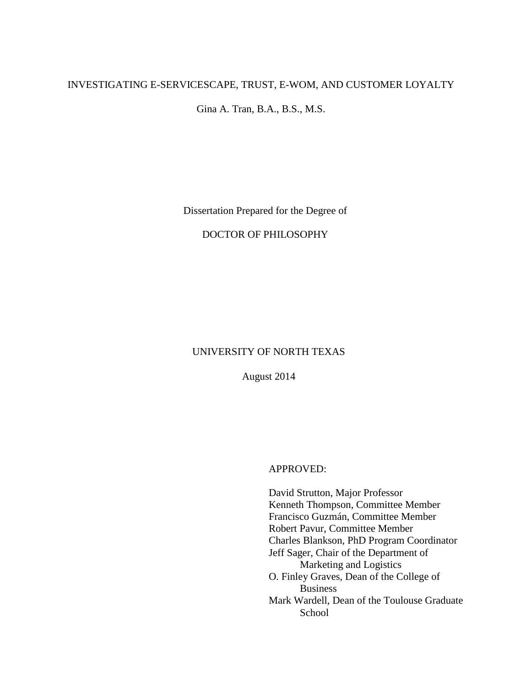# INVESTIGATING E-SERVICESCAPE, TRUST, E-WOM, AND CUSTOMER LOYALTY

Gina A. Tran, B.A., B.S., M.S.

Dissertation Prepared for the Degree of

# DOCTOR OF PHILOSOPHY

# UNIVERSITY OF NORTH TEXAS

August 2014

APPROVED:

David Strutton, Major Professor Kenneth Thompson, Committee Member Francisco Guzmán, Committee Member Robert Pavur, Committee Member Charles Blankson, PhD Program Coordinator Jeff Sager, Chair of the Department of Marketing and Logistics O. Finley Graves, Dean of the College of Business Mark Wardell, Dean of the Toulouse Graduate **School**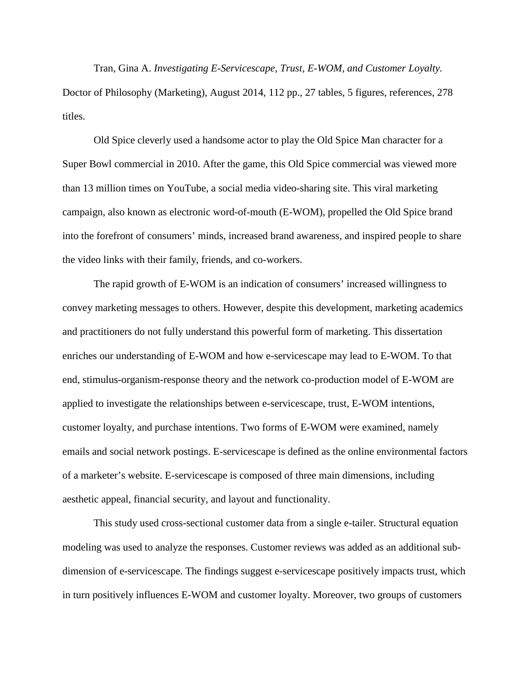Tran, Gina A. *Investigating E-Servicescape, Trust, E-WOM, and Customer Loyalty.* Doctor of Philosophy (Marketing), August 2014, 112 pp., 27 tables, 5 figures, references, 278 titles.

Old Spice cleverly used a handsome actor to play the Old Spice Man character for a Super Bowl commercial in 2010. After the game, this Old Spice commercial was viewed more than 13 million times on YouTube, a social media video-sharing site. This viral marketing campaign, also known as electronic word-of-mouth (E-WOM), propelled the Old Spice brand into the forefront of consumers' minds, increased brand awareness, and inspired people to share the video links with their family, friends, and co-workers.

The rapid growth of E-WOM is an indication of consumers' increased willingness to convey marketing messages to others. However, despite this development, marketing academics and practitioners do not fully understand this powerful form of marketing. This dissertation enriches our understanding of E-WOM and how e-servicescape may lead to E-WOM. To that end, stimulus-organism-response theory and the network co-production model of E-WOM are applied to investigate the relationships between e-servicescape, trust, E-WOM intentions, customer loyalty, and purchase intentions. Two forms of E-WOM were examined, namely emails and social network postings. E-servicescape is defined as the online environmental factors of a marketer's website. E-servicescape is composed of three main dimensions, including aesthetic appeal, financial security, and layout and functionality.

This study used cross-sectional customer data from a single e-tailer. Structural equation modeling was used to analyze the responses. Customer reviews was added as an additional subdimension of e-servicescape. The findings suggest e-servicescape positively impacts trust, which in turn positively influences E-WOM and customer loyalty. Moreover, two groups of customers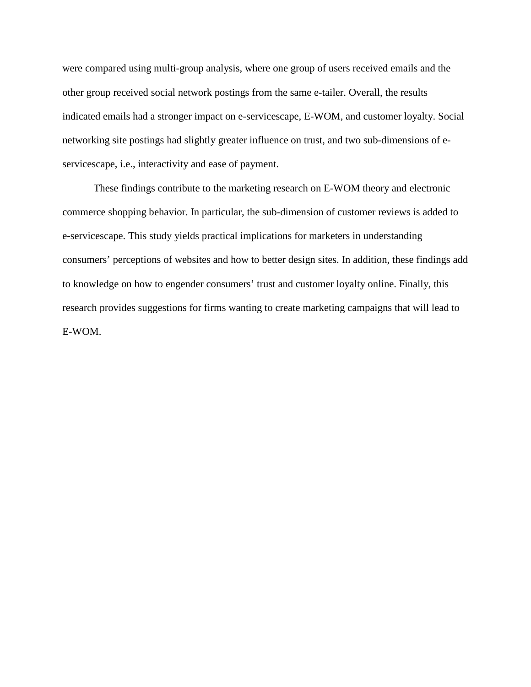were compared using multi-group analysis, where one group of users received emails and the other group received social network postings from the same e-tailer. Overall, the results indicated emails had a stronger impact on e-servicescape, E-WOM, and customer loyalty. Social networking site postings had slightly greater influence on trust, and two sub-dimensions of eservicescape, i.e., interactivity and ease of payment.

These findings contribute to the marketing research on E-WOM theory and electronic commerce shopping behavior. In particular, the sub-dimension of customer reviews is added to e-servicescape. This study yields practical implications for marketers in understanding consumers' perceptions of websites and how to better design sites. In addition, these findings add to knowledge on how to engender consumers' trust and customer loyalty online. Finally, this research provides suggestions for firms wanting to create marketing campaigns that will lead to E-WOM.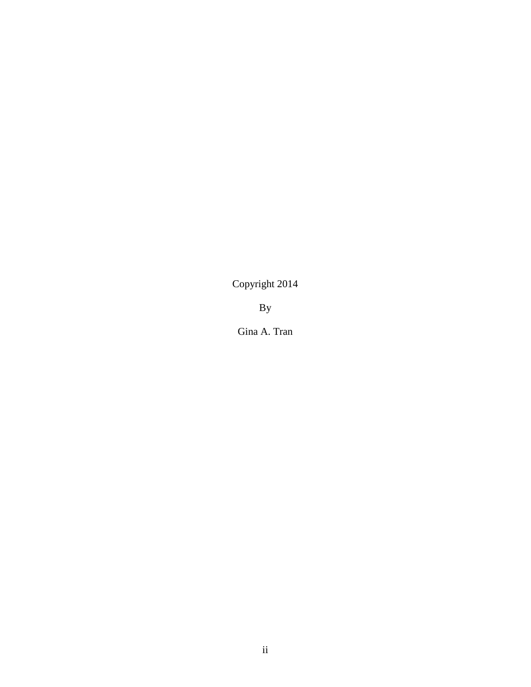Copyright 2014

By

Gina A. Tran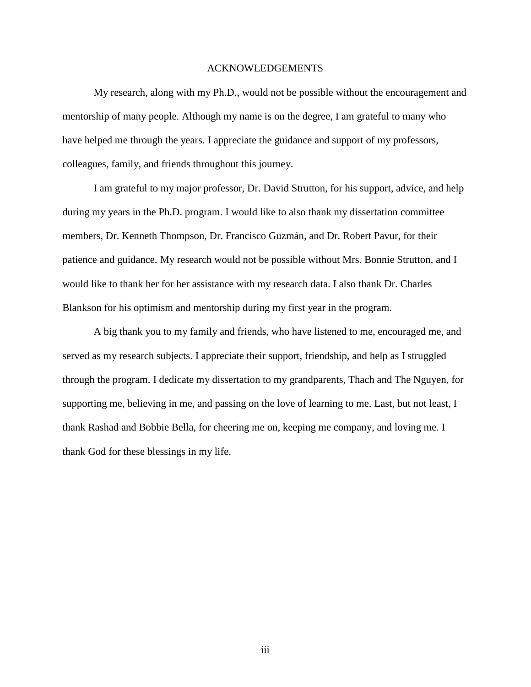# ACKNOWLEDGEMENTS

My research, along with my Ph.D., would not be possible without the encouragement and mentorship of many people. Although my name is on the degree, I am grateful to many who have helped me through the years. I appreciate the guidance and support of my professors, colleagues, family, and friends throughout this journey.

I am grateful to my major professor, Dr. David Strutton, for his support, advice, and help during my years in the Ph.D. program. I would like to also thank my dissertation committee members, Dr. Kenneth Thompson, Dr. Francisco Guzmán, and Dr. Robert Pavur, for their patience and guidance. My research would not be possible without Mrs. Bonnie Strutton, and I would like to thank her for her assistance with my research data. I also thank Dr. Charles Blankson for his optimism and mentorship during my first year in the program.

A big thank you to my family and friends, who have listened to me, encouraged me, and served as my research subjects. I appreciate their support, friendship, and help as I struggled through the program. I dedicate my dissertation to my grandparents, Thach and The Nguyen, for supporting me, believing in me, and passing on the love of learning to me. Last, but not least, I thank Rashad and Bobbie Bella, for cheering me on, keeping me company, and loving me. I thank God for these blessings in my life.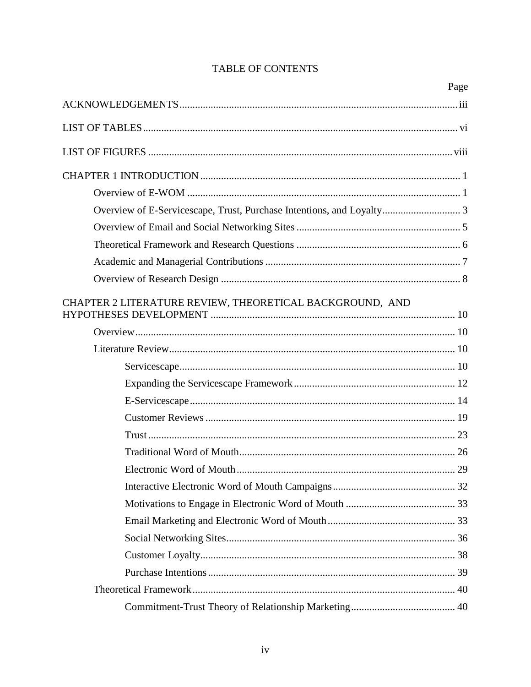|                                                                       | Page |
|-----------------------------------------------------------------------|------|
|                                                                       |      |
|                                                                       |      |
|                                                                       |      |
|                                                                       |      |
|                                                                       |      |
| Overview of E-Servicescape, Trust, Purchase Intentions, and Loyalty 3 |      |
|                                                                       |      |
|                                                                       |      |
|                                                                       |      |
|                                                                       |      |
| CHAPTER 2 LITERATURE REVIEW, THEORETICAL BACKGROUND, AND              |      |
|                                                                       |      |
|                                                                       |      |
|                                                                       |      |
|                                                                       |      |
|                                                                       |      |
|                                                                       |      |
|                                                                       |      |
|                                                                       |      |
|                                                                       |      |
|                                                                       |      |
|                                                                       |      |
|                                                                       |      |
|                                                                       |      |
|                                                                       |      |
|                                                                       |      |
|                                                                       |      |
|                                                                       |      |
|                                                                       |      |

# TABLE OF CONTENTS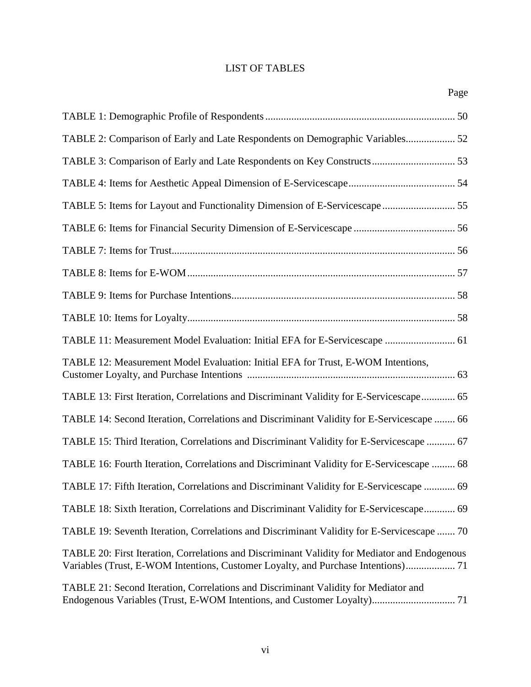# LIST OF TABLES

| Page                                                                                                                                                                               |  |
|------------------------------------------------------------------------------------------------------------------------------------------------------------------------------------|--|
|                                                                                                                                                                                    |  |
| TABLE 2: Comparison of Early and Late Respondents on Demographic Variables 52                                                                                                      |  |
|                                                                                                                                                                                    |  |
|                                                                                                                                                                                    |  |
| TABLE 5: Items for Layout and Functionality Dimension of E-Servicescape 55                                                                                                         |  |
|                                                                                                                                                                                    |  |
|                                                                                                                                                                                    |  |
|                                                                                                                                                                                    |  |
|                                                                                                                                                                                    |  |
|                                                                                                                                                                                    |  |
| TABLE 11: Measurement Model Evaluation: Initial EFA for E-Servicescape  61                                                                                                         |  |
| TABLE 12: Measurement Model Evaluation: Initial EFA for Trust, E-WOM Intentions,                                                                                                   |  |
| TABLE 13: First Iteration, Correlations and Discriminant Validity for E-Servicescape 65                                                                                            |  |
| TABLE 14: Second Iteration, Correlations and Discriminant Validity for E-Servicescape  66                                                                                          |  |
| TABLE 15: Third Iteration, Correlations and Discriminant Validity for E-Servicescape  67                                                                                           |  |
| TABLE 16: Fourth Iteration, Correlations and Discriminant Validity for E-Servicescape  68                                                                                          |  |
| TABLE 17: Fifth Iteration, Correlations and Discriminant Validity for E-Servicescape  69                                                                                           |  |
| TABLE 18: Sixth Iteration, Correlations and Discriminant Validity for E-Servicescape 69                                                                                            |  |
| TABLE 19: Seventh Iteration, Correlations and Discriminant Validity for E-Servicescape  70                                                                                         |  |
| TABLE 20: First Iteration, Correlations and Discriminant Validity for Mediator and Endogenous<br>Variables (Trust, E-WOM Intentions, Customer Loyalty, and Purchase Intentions) 71 |  |
| TABLE 21: Second Iteration, Correlations and Discriminant Validity for Mediator and<br>Endogenous Variables (Trust, E-WOM Intentions, and Customer Loyalty) 71                     |  |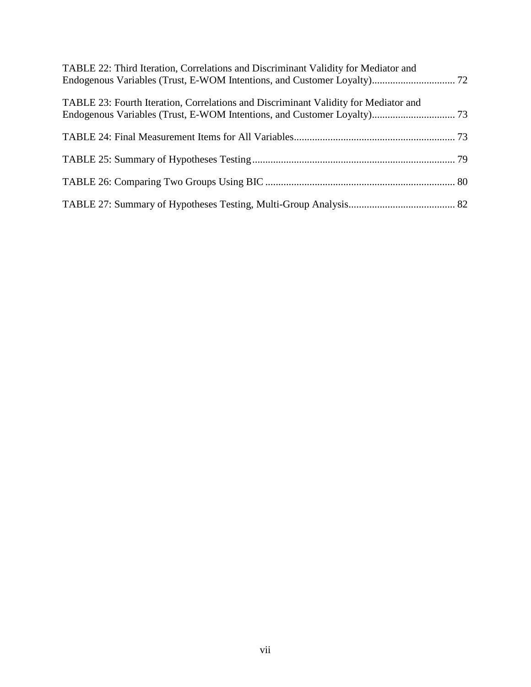| TABLE 22: Third Iteration, Correlations and Discriminant Validity for Mediator and  |  |
|-------------------------------------------------------------------------------------|--|
| TABLE 23: Fourth Iteration, Correlations and Discriminant Validity for Mediator and |  |
|                                                                                     |  |
|                                                                                     |  |
|                                                                                     |  |
|                                                                                     |  |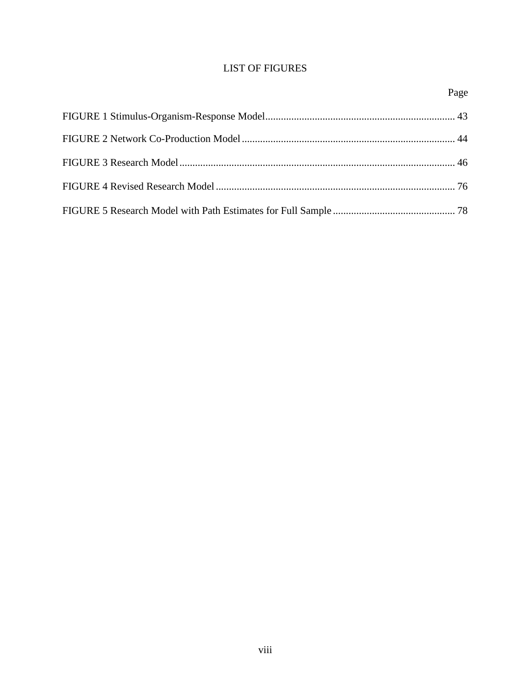# LIST OF FIGURES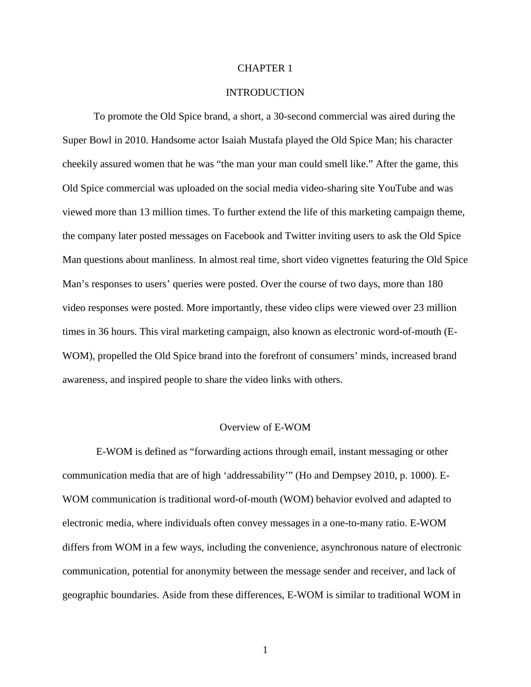# CHAPTER 1

# **INTRODUCTION**

To promote the Old Spice brand, a short, a 30-second commercial was aired during the Super Bowl in 2010. Handsome actor Isaiah Mustafa played the Old Spice Man; his character cheekily assured women that he was "the man your man could smell like." After the game, this Old Spice commercial was uploaded on the social media video-sharing site YouTube and was viewed more than 13 million times. To further extend the life of this marketing campaign theme, the company later posted messages on Facebook and Twitter inviting users to ask the Old Spice Man questions about manliness. In almost real time, short video vignettes featuring the Old Spice Man's responses to users' queries were posted. Over the course of two days, more than 180 video responses were posted. More importantly, these video clips were viewed over 23 million times in 36 hours. This viral marketing campaign, also known as electronic word-of-mouth (E-WOM), propelled the Old Spice brand into the forefront of consumers' minds, increased brand awareness, and inspired people to share the video links with others.

#### Overview of E-WOM

E-WOM is defined as "forwarding actions through email, instant messaging or other communication media that are of high 'addressability'" (Ho and Dempsey 2010, p. 1000). E-WOM communication is traditional word-of-mouth (WOM) behavior evolved and adapted to electronic media, where individuals often convey messages in a one-to-many ratio. E-WOM differs from WOM in a few ways, including the convenience, asynchronous nature of electronic communication, potential for anonymity between the message sender and receiver, and lack of geographic boundaries. Aside from these differences, E-WOM is similar to traditional WOM in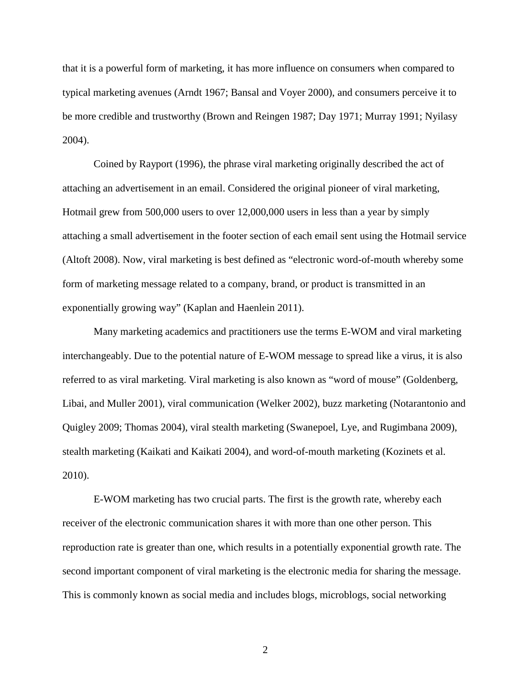that it is a powerful form of marketing, it has more influence on consumers when compared to typical marketing avenues (Arndt 1967; Bansal and Voyer 2000), and consumers perceive it to be more credible and trustworthy (Brown and Reingen 1987; Day 1971; Murray 1991; Nyilasy 2004).

Coined by Rayport (1996), the phrase viral marketing originally described the act of attaching an advertisement in an email. Considered the original pioneer of viral marketing, Hotmail grew from 500,000 users to over 12,000,000 users in less than a year by simply attaching a small advertisement in the footer section of each email sent using the Hotmail service (Altoft 2008). Now, viral marketing is best defined as "electronic word-of-mouth whereby some form of marketing message related to a company, brand, or product is transmitted in an exponentially growing way" (Kaplan and Haenlein 2011).

Many marketing academics and practitioners use the terms E-WOM and viral marketing interchangeably. Due to the potential nature of E-WOM message to spread like a virus, it is also referred to as viral marketing. Viral marketing is also known as "word of mouse" (Goldenberg, Libai, and Muller 2001), viral communication (Welker 2002), buzz marketing (Notarantonio and Quigley 2009; Thomas 2004), viral stealth marketing (Swanepoel, Lye, and Rugimbana 2009), stealth marketing (Kaikati and Kaikati 2004), and word-of-mouth marketing (Kozinets et al. 2010).

E-WOM marketing has two crucial parts. The first is the growth rate, whereby each receiver of the electronic communication shares it with more than one other person. This reproduction rate is greater than one, which results in a potentially exponential growth rate. The second important component of viral marketing is the electronic media for sharing the message. This is commonly known as social media and includes blogs, microblogs, social networking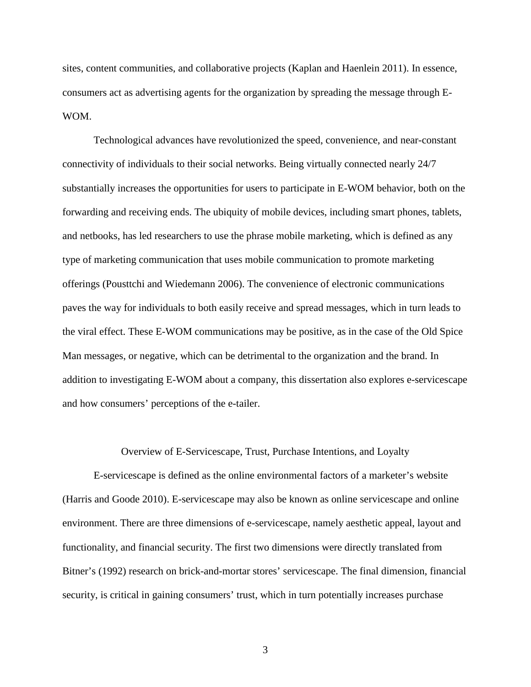sites, content communities, and collaborative projects (Kaplan and Haenlein 2011). In essence, consumers act as advertising agents for the organization by spreading the message through E-WOM.

Technological advances have revolutionized the speed, convenience, and near-constant connectivity of individuals to their social networks. Being virtually connected nearly 24/7 substantially increases the opportunities for users to participate in E-WOM behavior, both on the forwarding and receiving ends. The ubiquity of mobile devices, including smart phones, tablets, and netbooks, has led researchers to use the phrase mobile marketing, which is defined as any type of marketing communication that uses mobile communication to promote marketing offerings (Pousttchi and Wiedemann 2006). The convenience of electronic communications paves the way for individuals to both easily receive and spread messages, which in turn leads to the viral effect. These E-WOM communications may be positive, as in the case of the Old Spice Man messages, or negative, which can be detrimental to the organization and the brand. In addition to investigating E-WOM about a company, this dissertation also explores e-servicescape and how consumers' perceptions of the e-tailer.

#### Overview of E-Servicescape, Trust, Purchase Intentions, and Loyalty

E-servicescape is defined as the online environmental factors of a marketer's website (Harris and Goode 2010). E-servicescape may also be known as online servicescape and online environment. There are three dimensions of e-servicescape, namely aesthetic appeal, layout and functionality, and financial security. The first two dimensions were directly translated from Bitner's (1992) research on brick-and-mortar stores' servicescape. The final dimension, financial security, is critical in gaining consumers' trust, which in turn potentially increases purchase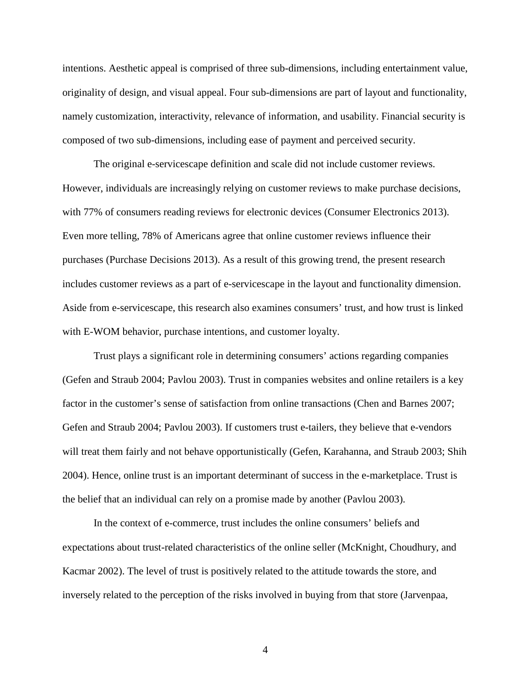intentions. Aesthetic appeal is comprised of three sub-dimensions, including entertainment value, originality of design, and visual appeal. Four sub-dimensions are part of layout and functionality, namely customization, interactivity, relevance of information, and usability. Financial security is composed of two sub-dimensions, including ease of payment and perceived security.

The original e-servicescape definition and scale did not include customer reviews. However, individuals are increasingly relying on customer reviews to make purchase decisions, with 77% of consumers reading reviews for electronic devices (Consumer Electronics 2013). Even more telling, 78% of Americans agree that online customer reviews influence their purchases (Purchase Decisions 2013). As a result of this growing trend, the present research includes customer reviews as a part of e-servicescape in the layout and functionality dimension. Aside from e-servicescape, this research also examines consumers' trust, and how trust is linked with E-WOM behavior, purchase intentions, and customer loyalty.

Trust plays a significant role in determining consumers' actions regarding companies (Gefen and Straub 2004; Pavlou 2003). Trust in companies websites and online retailers is a key factor in the customer's sense of satisfaction from online transactions (Chen and Barnes 2007; Gefen and Straub 2004; Pavlou 2003). If customers trust e-tailers, they believe that e-vendors will treat them fairly and not behave opportunistically (Gefen, Karahanna, and Straub 2003; Shih 2004). Hence, online trust is an important determinant of success in the e-marketplace. Trust is the belief that an individual can rely on a promise made by another (Pavlou 2003).

In the context of e-commerce, trust includes the online consumers' beliefs and expectations about trust-related characteristics of the online seller (McKnight, Choudhury, and Kacmar 2002). The level of trust is positively related to the attitude towards the store, and inversely related to the perception of the risks involved in buying from that store (Jarvenpaa,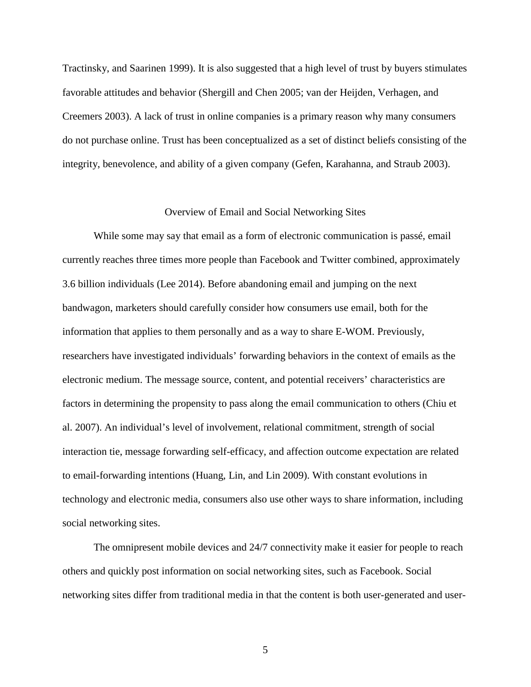Tractinsky, and Saarinen 1999). It is also suggested that a high level of trust by buyers stimulates favorable attitudes and behavior (Shergill and Chen 2005; van der Heijden, Verhagen, and Creemers 2003). A lack of trust in online companies is a primary reason why many consumers do not purchase online. Trust has been conceptualized as a set of distinct beliefs consisting of the integrity, benevolence, and ability of a given company (Gefen, Karahanna, and Straub 2003).

#### Overview of Email and Social Networking Sites

While some may say that email as a form of electronic communication is passé, email currently reaches three times more people than Facebook and Twitter combined, approximately 3.6 billion individuals (Lee 2014). Before abandoning email and jumping on the next bandwagon, marketers should carefully consider how consumers use email, both for the information that applies to them personally and as a way to share E-WOM. Previously, researchers have investigated individuals' forwarding behaviors in the context of emails as the electronic medium. The message source, content, and potential receivers' characteristics are factors in determining the propensity to pass along the email communication to others (Chiu et al. 2007). An individual's level of involvement, relational commitment, strength of social interaction tie, message forwarding self-efficacy, and affection outcome expectation are related to email-forwarding intentions (Huang, Lin, and Lin 2009). With constant evolutions in technology and electronic media, consumers also use other ways to share information, including social networking sites.

The omnipresent mobile devices and 24/7 connectivity make it easier for people to reach others and quickly post information on social networking sites, such as Facebook. Social networking sites differ from traditional media in that the content is both user-generated and user-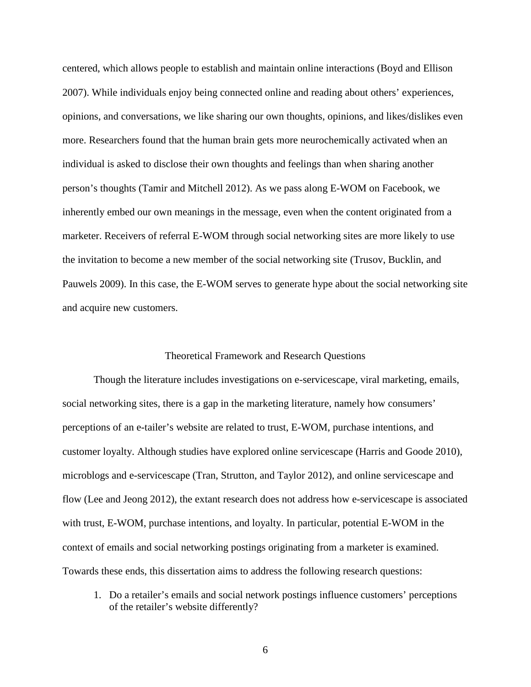centered, which allows people to establish and maintain online interactions (Boyd and Ellison 2007). While individuals enjoy being connected online and reading about others' experiences, opinions, and conversations, we like sharing our own thoughts, opinions, and likes/dislikes even more. Researchers found that the human brain gets more neurochemically activated when an individual is asked to disclose their own thoughts and feelings than when sharing another person's thoughts (Tamir and Mitchell 2012). As we pass along E-WOM on Facebook, we inherently embed our own meanings in the message, even when the content originated from a marketer. Receivers of referral E-WOM through social networking sites are more likely to use the invitation to become a new member of the social networking site (Trusov, Bucklin, and Pauwels 2009). In this case, the E-WOM serves to generate hype about the social networking site and acquire new customers.

### Theoretical Framework and Research Questions

Though the literature includes investigations on e-servicescape, viral marketing, emails, social networking sites, there is a gap in the marketing literature, namely how consumers' perceptions of an e-tailer's website are related to trust, E-WOM, purchase intentions, and customer loyalty. Although studies have explored online servicescape (Harris and Goode 2010), microblogs and e-servicescape (Tran, Strutton, and Taylor 2012), and online servicescape and flow (Lee and Jeong 2012), the extant research does not address how e-servicescape is associated with trust, E-WOM, purchase intentions, and loyalty. In particular, potential E-WOM in the context of emails and social networking postings originating from a marketer is examined. Towards these ends, this dissertation aims to address the following research questions:

1. Do a retailer's emails and social network postings influence customers' perceptions of the retailer's website differently?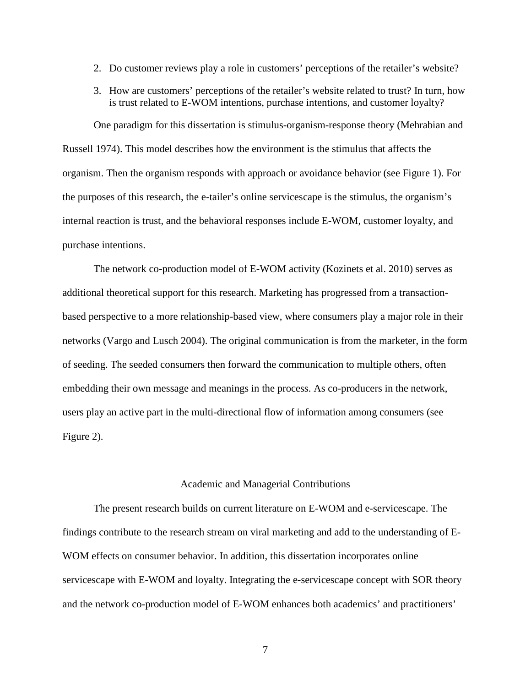- 2. Do customer reviews play a role in customers' perceptions of the retailer's website?
- 3. How are customers' perceptions of the retailer's website related to trust? In turn, how is trust related to E-WOM intentions, purchase intentions, and customer loyalty?

One paradigm for this dissertation is stimulus-organism-response theory (Mehrabian and Russell 1974). This model describes how the environment is the stimulus that affects the organism. Then the organism responds with approach or avoidance behavior (see Figure 1). For the purposes of this research, the e-tailer's online servicescape is the stimulus, the organism's internal reaction is trust, and the behavioral responses include E-WOM, customer loyalty, and purchase intentions.

The network co-production model of E-WOM activity (Kozinets et al. 2010) serves as additional theoretical support for this research. Marketing has progressed from a transactionbased perspective to a more relationship-based view, where consumers play a major role in their networks (Vargo and Lusch 2004). The original communication is from the marketer, in the form of seeding. The seeded consumers then forward the communication to multiple others, often embedding their own message and meanings in the process. As co-producers in the network, users play an active part in the multi-directional flow of information among consumers (see Figure 2).

# Academic and Managerial Contributions

The present research builds on current literature on E-WOM and e-servicescape. The findings contribute to the research stream on viral marketing and add to the understanding of E-WOM effects on consumer behavior. In addition, this dissertation incorporates online servicescape with E-WOM and loyalty. Integrating the e-servicescape concept with SOR theory and the network co-production model of E-WOM enhances both academics' and practitioners'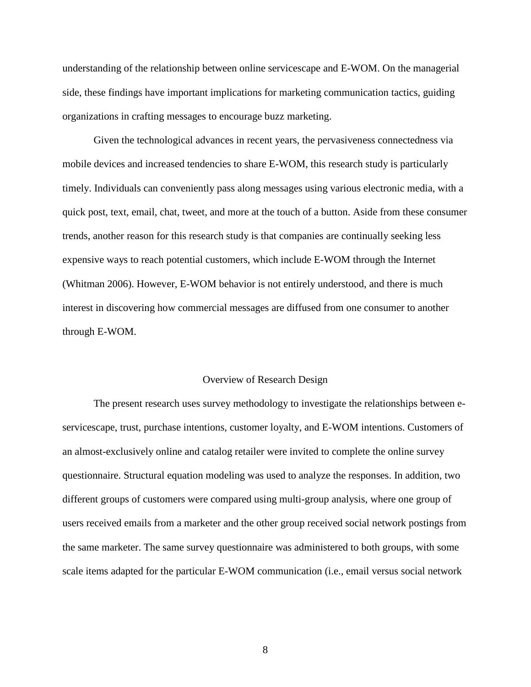understanding of the relationship between online servicescape and E-WOM. On the managerial side, these findings have important implications for marketing communication tactics, guiding organizations in crafting messages to encourage buzz marketing.

Given the technological advances in recent years, the pervasiveness connectedness via mobile devices and increased tendencies to share E-WOM, this research study is particularly timely. Individuals can conveniently pass along messages using various electronic media, with a quick post, text, email, chat, tweet, and more at the touch of a button. Aside from these consumer trends, another reason for this research study is that companies are continually seeking less expensive ways to reach potential customers, which include E-WOM through the Internet (Whitman 2006). However, E-WOM behavior is not entirely understood, and there is much interest in discovering how commercial messages are diffused from one consumer to another through E-WOM.

#### Overview of Research Design

The present research uses survey methodology to investigate the relationships between eservicescape, trust, purchase intentions, customer loyalty, and E-WOM intentions. Customers of an almost-exclusively online and catalog retailer were invited to complete the online survey questionnaire. Structural equation modeling was used to analyze the responses. In addition, two different groups of customers were compared using multi-group analysis, where one group of users received emails from a marketer and the other group received social network postings from the same marketer. The same survey questionnaire was administered to both groups, with some scale items adapted for the particular E-WOM communication (i.e., email versus social network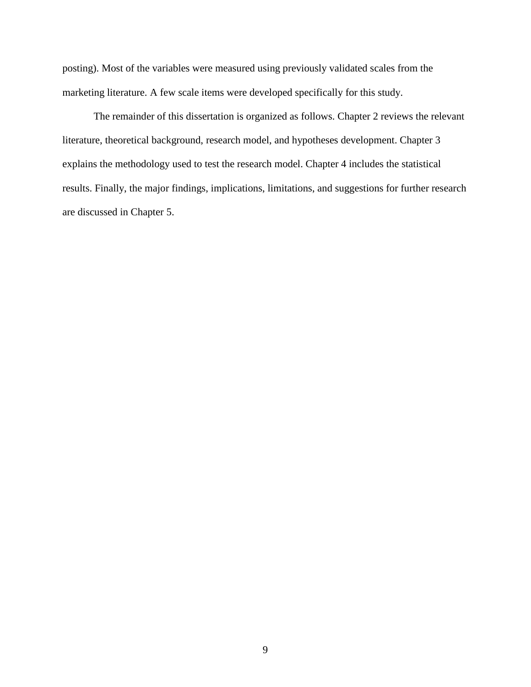posting). Most of the variables were measured using previously validated scales from the marketing literature. A few scale items were developed specifically for this study.

The remainder of this dissertation is organized as follows. Chapter 2 reviews the relevant literature, theoretical background, research model, and hypotheses development. Chapter 3 explains the methodology used to test the research model. Chapter 4 includes the statistical results. Finally, the major findings, implications, limitations, and suggestions for further research are discussed in Chapter 5.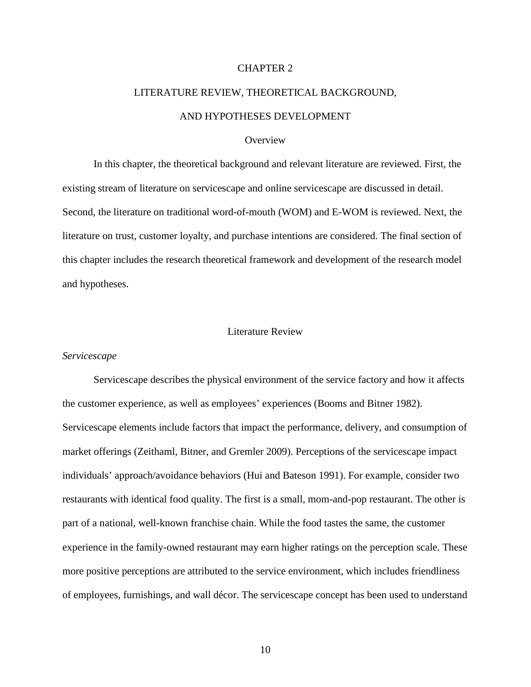# CHAPTER 2

# LITERATURE REVIEW, THEORETICAL BACKGROUND, AND HYPOTHESES DEVELOPMENT

### **Overview**

In this chapter, the theoretical background and relevant literature are reviewed. First, the existing stream of literature on servicescape and online servicescape are discussed in detail. Second, the literature on traditional word-of-mouth (WOM) and E-WOM is reviewed. Next, the literature on trust, customer loyalty, and purchase intentions are considered. The final section of this chapter includes the research theoretical framework and development of the research model and hypotheses.

# Literature Review

### *Servicescape*

Servicescape describes the physical environment of the service factory and how it affects the customer experience, as well as employees' experiences (Booms and Bitner 1982). Servicescape elements include factors that impact the performance, delivery, and consumption of market offerings (Zeithaml, Bitner, and Gremler 2009). Perceptions of the servicescape impact individuals' approach/avoidance behaviors (Hui and Bateson 1991). For example, consider two restaurants with identical food quality. The first is a small, mom-and-pop restaurant. The other is part of a national, well-known franchise chain. While the food tastes the same, the customer experience in the family-owned restaurant may earn higher ratings on the perception scale. These more positive perceptions are attributed to the service environment, which includes friendliness of employees, furnishings, and wall décor. The servicescape concept has been used to understand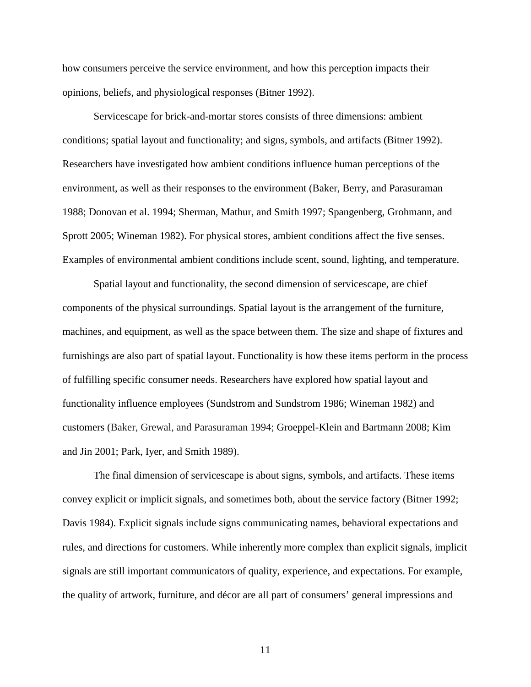how consumers perceive the service environment, and how this perception impacts their opinions, beliefs, and physiological responses (Bitner 1992).

Servicescape for brick-and-mortar stores consists of three dimensions: ambient conditions; spatial layout and functionality; and signs, symbols, and artifacts (Bitner 1992). Researchers have investigated how ambient conditions influence human perceptions of the environment, as well as their responses to the environment (Baker, Berry, and Parasuraman 1988; Donovan et al. 1994; Sherman, Mathur, and Smith 1997; Spangenberg, Grohmann, and Sprott 2005; Wineman 1982). For physical stores, ambient conditions affect the five senses. Examples of environmental ambient conditions include scent, sound, lighting, and temperature.

Spatial layout and functionality, the second dimension of servicescape, are chief components of the physical surroundings. Spatial layout is the arrangement of the furniture, machines, and equipment, as well as the space between them. The size and shape of fixtures and furnishings are also part of spatial layout. Functionality is how these items perform in the process of fulfilling specific consumer needs. Researchers have explored how spatial layout and functionality influence employees (Sundstrom and Sundstrom 1986; Wineman 1982) and customers (Baker, Grewal, and Parasuraman 1994; Groeppel-Klein and Bartmann 2008; Kim and Jin 2001; Park, Iyer, and Smith 1989).

The final dimension of servicescape is about signs, symbols, and artifacts. These items convey explicit or implicit signals, and sometimes both, about the service factory (Bitner 1992; Davis 1984). Explicit signals include signs communicating names, behavioral expectations and rules, and directions for customers. While inherently more complex than explicit signals, implicit signals are still important communicators of quality, experience, and expectations. For example, the quality of artwork, furniture, and décor are all part of consumers' general impressions and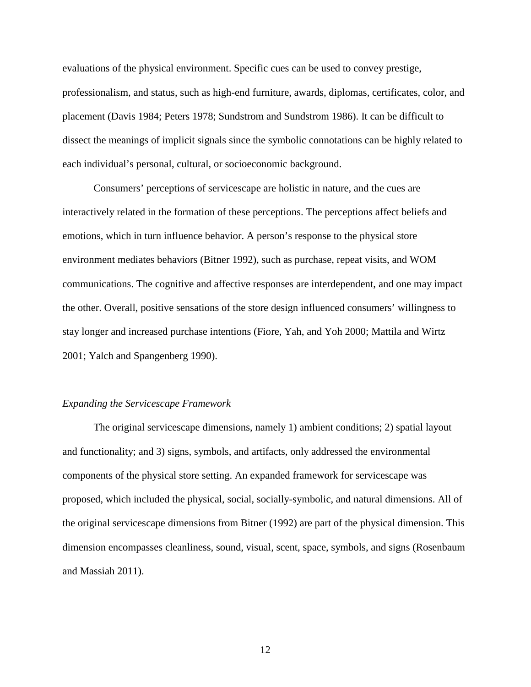evaluations of the physical environment. Specific cues can be used to convey prestige, professionalism, and status, such as high-end furniture, awards, diplomas, certificates, color, and placement (Davis 1984; Peters 1978; Sundstrom and Sundstrom 1986). It can be difficult to dissect the meanings of implicit signals since the symbolic connotations can be highly related to each individual's personal, cultural, or socioeconomic background.

Consumers' perceptions of servicescape are holistic in nature, and the cues are interactively related in the formation of these perceptions. The perceptions affect beliefs and emotions, which in turn influence behavior. A person's response to the physical store environment mediates behaviors (Bitner 1992), such as purchase, repeat visits, and WOM communications. The cognitive and affective responses are interdependent, and one may impact the other. Overall, positive sensations of the store design influenced consumers' willingness to stay longer and increased purchase intentions (Fiore, Yah, and Yoh 2000; Mattila and Wirtz 2001; Yalch and Spangenberg 1990).

# *Expanding the Servicescape Framework*

The original servicescape dimensions, namely 1) ambient conditions; 2) spatial layout and functionality; and 3) signs, symbols, and artifacts, only addressed the environmental components of the physical store setting. An expanded framework for servicescape was proposed, which included the physical, social, socially-symbolic, and natural dimensions. All of the original servicescape dimensions from Bitner (1992) are part of the physical dimension. This dimension encompasses cleanliness, sound, visual, scent, space, symbols, and signs (Rosenbaum and Massiah 2011).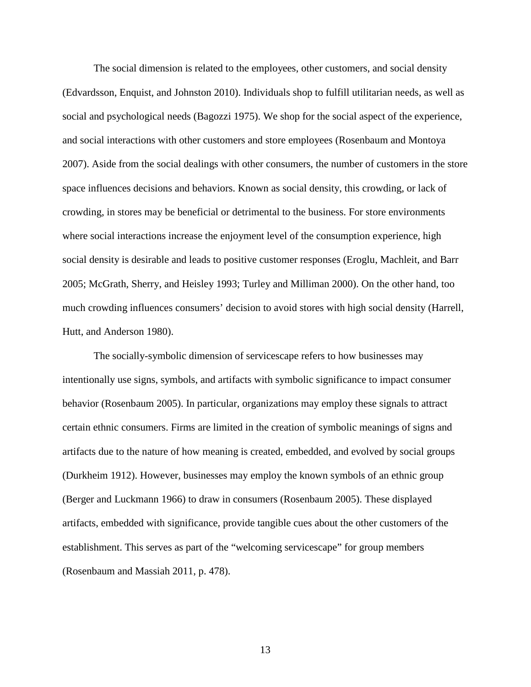The social dimension is related to the employees, other customers, and social density (Edvardsson, Enquist, and Johnston 2010). Individuals shop to fulfill utilitarian needs, as well as social and psychological needs (Bagozzi 1975). We shop for the social aspect of the experience, and social interactions with other customers and store employees (Rosenbaum and Montoya 2007). Aside from the social dealings with other consumers, the number of customers in the store space influences decisions and behaviors. Known as social density, this crowding, or lack of crowding, in stores may be beneficial or detrimental to the business. For store environments where social interactions increase the enjoyment level of the consumption experience, high social density is desirable and leads to positive customer responses (Eroglu, Machleit, and Barr 2005; McGrath, Sherry, and Heisley 1993; Turley and Milliman 2000). On the other hand, too much crowding influences consumers' decision to avoid stores with high social density (Harrell, Hutt, and Anderson 1980).

The socially-symbolic dimension of servicescape refers to how businesses may intentionally use signs, symbols, and artifacts with symbolic significance to impact consumer behavior (Rosenbaum 2005). In particular, organizations may employ these signals to attract certain ethnic consumers. Firms are limited in the creation of symbolic meanings of signs and artifacts due to the nature of how meaning is created, embedded, and evolved by social groups (Durkheim 1912). However, businesses may employ the known symbols of an ethnic group (Berger and Luckmann 1966) to draw in consumers (Rosenbaum 2005). These displayed artifacts, embedded with significance, provide tangible cues about the other customers of the establishment. This serves as part of the "welcoming servicescape" for group members (Rosenbaum and Massiah 2011, p. 478).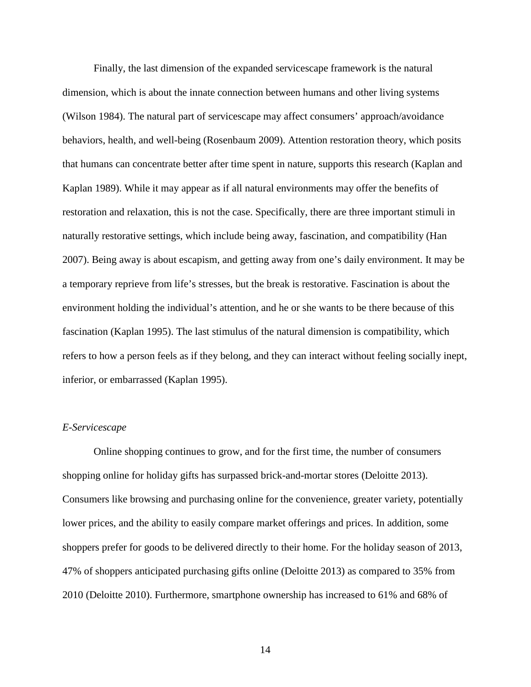Finally, the last dimension of the expanded servicescape framework is the natural dimension, which is about the innate connection between humans and other living systems (Wilson 1984). The natural part of servicescape may affect consumers' approach/avoidance behaviors, health, and well-being (Rosenbaum 2009). Attention restoration theory, which posits that humans can concentrate better after time spent in nature, supports this research (Kaplan and Kaplan 1989). While it may appear as if all natural environments may offer the benefits of restoration and relaxation, this is not the case. Specifically, there are three important stimuli in naturally restorative settings, which include being away, fascination, and compatibility (Han 2007). Being away is about escapism, and getting away from one's daily environment. It may be a temporary reprieve from life's stresses, but the break is restorative. Fascination is about the environment holding the individual's attention, and he or she wants to be there because of this fascination (Kaplan 1995). The last stimulus of the natural dimension is compatibility, which refers to how a person feels as if they belong, and they can interact without feeling socially inept, inferior, or embarrassed (Kaplan 1995).

# *E-Servicescape*

Online shopping continues to grow, and for the first time, the number of consumers shopping online for holiday gifts has surpassed brick-and-mortar stores (Deloitte 2013). Consumers like browsing and purchasing online for the convenience, greater variety, potentially lower prices, and the ability to easily compare market offerings and prices. In addition, some shoppers prefer for goods to be delivered directly to their home. For the holiday season of 2013, 47% of shoppers anticipated purchasing gifts online (Deloitte 2013) as compared to 35% from 2010 (Deloitte 2010). Furthermore, smartphone ownership has increased to 61% and 68% of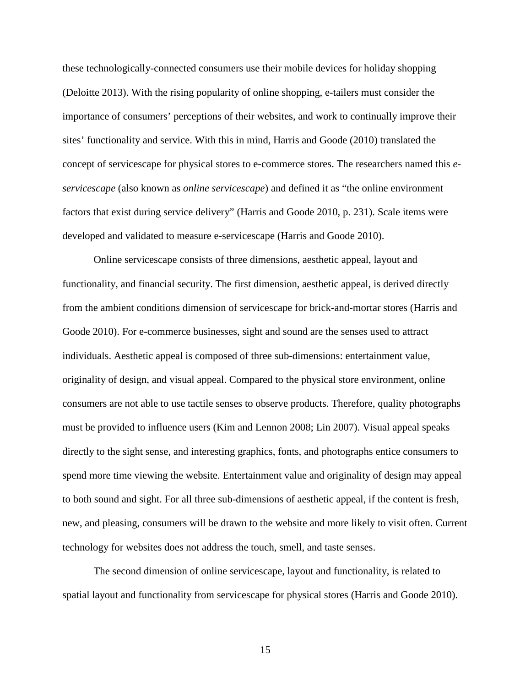these technologically-connected consumers use their mobile devices for holiday shopping (Deloitte 2013). With the rising popularity of online shopping, e-tailers must consider the importance of consumers' perceptions of their websites, and work to continually improve their sites' functionality and service. With this in mind, Harris and Goode (2010) translated the concept of servicescape for physical stores to e-commerce stores. The researchers named this *eservicescape* (also known as *online servicescape*) and defined it as "the online environment factors that exist during service delivery" (Harris and Goode 2010, p. 231). Scale items were developed and validated to measure e-servicescape (Harris and Goode 2010).

Online servicescape consists of three dimensions, aesthetic appeal, layout and functionality, and financial security. The first dimension, aesthetic appeal, is derived directly from the ambient conditions dimension of servicescape for brick-and-mortar stores (Harris and Goode 2010). For e-commerce businesses, sight and sound are the senses used to attract individuals. Aesthetic appeal is composed of three sub-dimensions: entertainment value, originality of design, and visual appeal. Compared to the physical store environment, online consumers are not able to use tactile senses to observe products. Therefore, quality photographs must be provided to influence users (Kim and Lennon 2008; Lin 2007). Visual appeal speaks directly to the sight sense, and interesting graphics, fonts, and photographs entice consumers to spend more time viewing the website. Entertainment value and originality of design may appeal to both sound and sight. For all three sub-dimensions of aesthetic appeal, if the content is fresh, new, and pleasing, consumers will be drawn to the website and more likely to visit often. Current technology for websites does not address the touch, smell, and taste senses.

The second dimension of online servicescape, layout and functionality, is related to spatial layout and functionality from servicescape for physical stores (Harris and Goode 2010).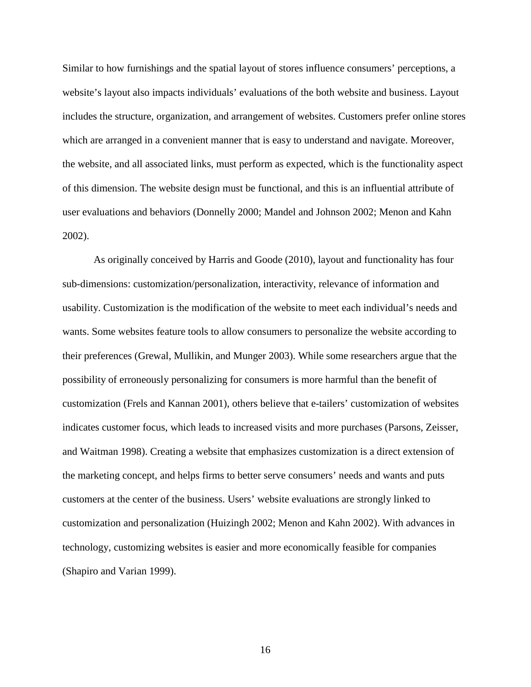Similar to how furnishings and the spatial layout of stores influence consumers' perceptions, a website's layout also impacts individuals' evaluations of the both website and business. Layout includes the structure, organization, and arrangement of websites. Customers prefer online stores which are arranged in a convenient manner that is easy to understand and navigate. Moreover, the website, and all associated links, must perform as expected, which is the functionality aspect of this dimension. The website design must be functional, and this is an influential attribute of user evaluations and behaviors (Donnelly 2000; Mandel and Johnson 2002; Menon and Kahn 2002).

As originally conceived by Harris and Goode (2010), layout and functionality has four sub-dimensions: customization/personalization, interactivity, relevance of information and usability. Customization is the modification of the website to meet each individual's needs and wants. Some websites feature tools to allow consumers to personalize the website according to their preferences (Grewal, Mullikin, and Munger 2003). While some researchers argue that the possibility of erroneously personalizing for consumers is more harmful than the benefit of customization (Frels and Kannan 2001), others believe that e-tailers' customization of websites indicates customer focus, which leads to increased visits and more purchases (Parsons, Zeisser, and Waitman 1998). Creating a website that emphasizes customization is a direct extension of the marketing concept, and helps firms to better serve consumers' needs and wants and puts customers at the center of the business. Users' website evaluations are strongly linked to customization and personalization (Huizingh 2002; Menon and Kahn 2002). With advances in technology, customizing websites is easier and more economically feasible for companies (Shapiro and Varian 1999).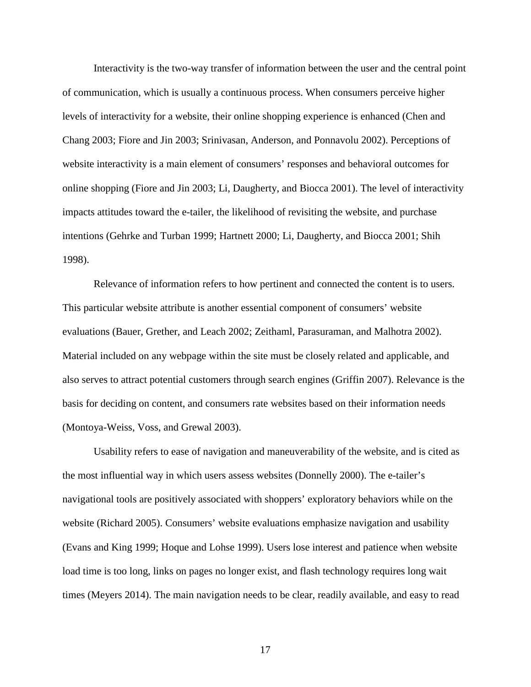Interactivity is the two-way transfer of information between the user and the central point of communication, which is usually a continuous process. When consumers perceive higher levels of interactivity for a website, their online shopping experience is enhanced (Chen and Chang 2003; Fiore and Jin 2003; Srinivasan, Anderson, and Ponnavolu 2002). Perceptions of website interactivity is a main element of consumers' responses and behavioral outcomes for online shopping (Fiore and Jin 2003; Li, Daugherty, and Biocca 2001). The level of interactivity impacts attitudes toward the e-tailer, the likelihood of revisiting the website, and purchase intentions (Gehrke and Turban 1999; Hartnett 2000; Li, Daugherty, and Biocca 2001; Shih 1998).

Relevance of information refers to how pertinent and connected the content is to users. This particular website attribute is another essential component of consumers' website evaluations (Bauer, Grether, and Leach 2002; Zeithaml, Parasuraman, and Malhotra 2002). Material included on any webpage within the site must be closely related and applicable, and also serves to attract potential customers through search engines (Griffin 2007). Relevance is the basis for deciding on content, and consumers rate websites based on their information needs (Montoya-Weiss, Voss, and Grewal 2003).

Usability refers to ease of navigation and maneuverability of the website, and is cited as the most influential way in which users assess websites (Donnelly 2000). The e-tailer's navigational tools are positively associated with shoppers' exploratory behaviors while on the website (Richard 2005). Consumers' website evaluations emphasize navigation and usability (Evans and King 1999; Hoque and Lohse 1999). Users lose interest and patience when website load time is too long, links on pages no longer exist, and flash technology requires long wait times (Meyers 2014). The main navigation needs to be clear, readily available, and easy to read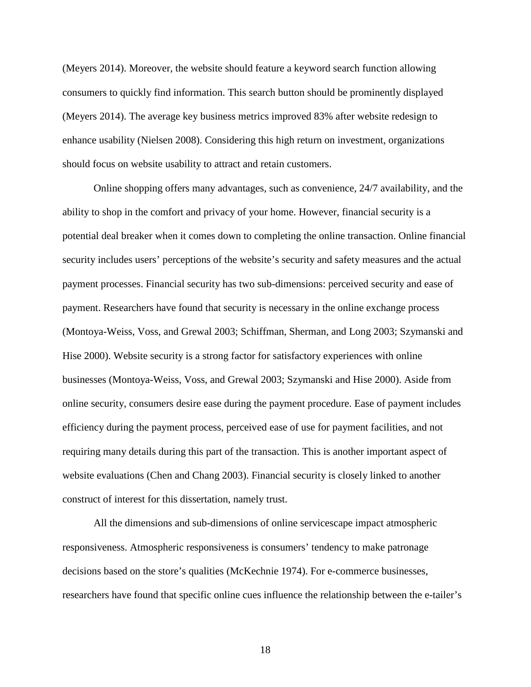(Meyers 2014). Moreover, the website should feature a keyword search function allowing consumers to quickly find information. This search button should be prominently displayed (Meyers 2014). The average key business metrics improved 83% after website redesign to enhance usability (Nielsen 2008). Considering this high return on investment, organizations should focus on website usability to attract and retain customers.

Online shopping offers many advantages, such as convenience, 24/7 availability, and the ability to shop in the comfort and privacy of your home. However, financial security is a potential deal breaker when it comes down to completing the online transaction. Online financial security includes users' perceptions of the website's security and safety measures and the actual payment processes. Financial security has two sub-dimensions: perceived security and ease of payment. Researchers have found that security is necessary in the online exchange process (Montoya-Weiss, Voss, and Grewal 2003; Schiffman, Sherman, and Long 2003; Szymanski and Hise 2000). Website security is a strong factor for satisfactory experiences with online businesses (Montoya-Weiss, Voss, and Grewal 2003; Szymanski and Hise 2000). Aside from online security, consumers desire ease during the payment procedure. Ease of payment includes efficiency during the payment process, perceived ease of use for payment facilities, and not requiring many details during this part of the transaction. This is another important aspect of website evaluations (Chen and Chang 2003). Financial security is closely linked to another construct of interest for this dissertation, namely trust.

All the dimensions and sub-dimensions of online servicescape impact atmospheric responsiveness. Atmospheric responsiveness is consumers' tendency to make patronage decisions based on the store's qualities (McKechnie 1974). For e-commerce businesses, researchers have found that specific online cues influence the relationship between the e-tailer's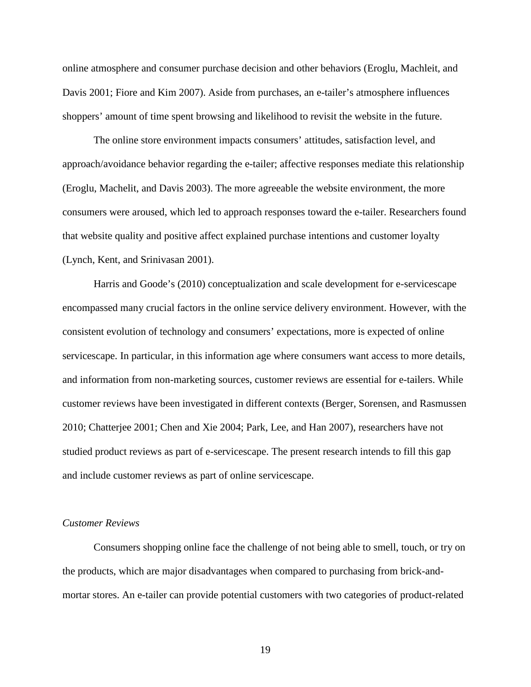online atmosphere and consumer purchase decision and other behaviors (Eroglu, Machleit, and Davis 2001; Fiore and Kim 2007). Aside from purchases, an e-tailer's atmosphere influences shoppers' amount of time spent browsing and likelihood to revisit the website in the future.

The online store environment impacts consumers' attitudes, satisfaction level, and approach/avoidance behavior regarding the e-tailer; affective responses mediate this relationship (Eroglu, Machelit, and Davis 2003). The more agreeable the website environment, the more consumers were aroused, which led to approach responses toward the e-tailer. Researchers found that website quality and positive affect explained purchase intentions and customer loyalty (Lynch, Kent, and Srinivasan 2001).

Harris and Goode's (2010) conceptualization and scale development for e-servicescape encompassed many crucial factors in the online service delivery environment. However, with the consistent evolution of technology and consumers' expectations, more is expected of online servicescape. In particular, in this information age where consumers want access to more details, and information from non-marketing sources, customer reviews are essential for e-tailers. While customer reviews have been investigated in different contexts (Berger, Sorensen, and Rasmussen 2010; Chatterjee 2001; Chen and Xie 2004; Park, Lee, and Han 2007), researchers have not studied product reviews as part of e-servicescape. The present research intends to fill this gap and include customer reviews as part of online servicescape.

# *Customer Reviews*

Consumers shopping online face the challenge of not being able to smell, touch, or try on the products, which are major disadvantages when compared to purchasing from brick-andmortar stores. An e-tailer can provide potential customers with two categories of product-related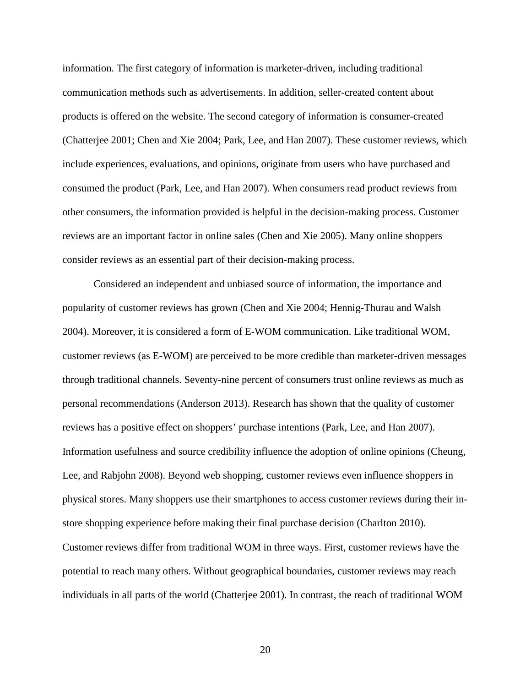information. The first category of information is marketer-driven, including traditional communication methods such as advertisements. In addition, seller-created content about products is offered on the website. The second category of information is consumer-created (Chatterjee 2001; Chen and Xie 2004; Park, Lee, and Han 2007). These customer reviews, which include experiences, evaluations, and opinions, originate from users who have purchased and consumed the product (Park, Lee, and Han 2007). When consumers read product reviews from other consumers, the information provided is helpful in the decision-making process. Customer reviews are an important factor in online sales (Chen and Xie 2005). Many online shoppers consider reviews as an essential part of their decision-making process.

Considered an independent and unbiased source of information, the importance and popularity of customer reviews has grown (Chen and Xie 2004; Hennig-Thurau and Walsh 2004). Moreover, it is considered a form of E-WOM communication. Like traditional WOM, customer reviews (as E-WOM) are perceived to be more credible than marketer-driven messages through traditional channels. Seventy-nine percent of consumers trust online reviews as much as personal recommendations (Anderson 2013). Research has shown that the quality of customer reviews has a positive effect on shoppers' purchase intentions (Park, Lee, and Han 2007). Information usefulness and source credibility influence the adoption of online opinions (Cheung, Lee, and Rabjohn 2008). Beyond web shopping, customer reviews even influence shoppers in physical stores. Many shoppers use their smartphones to access customer reviews during their instore shopping experience before making their final purchase decision (Charlton 2010). Customer reviews differ from traditional WOM in three ways. First, customer reviews have the potential to reach many others. Without geographical boundaries, customer reviews may reach individuals in all parts of the world (Chatterjee 2001). In contrast, the reach of traditional WOM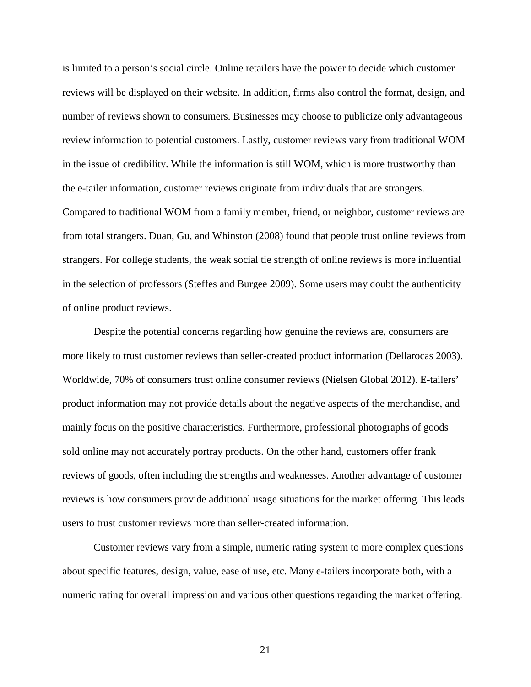is limited to a person's social circle. Online retailers have the power to decide which customer reviews will be displayed on their website. In addition, firms also control the format, design, and number of reviews shown to consumers. Businesses may choose to publicize only advantageous review information to potential customers. Lastly, customer reviews vary from traditional WOM in the issue of credibility. While the information is still WOM, which is more trustworthy than the e-tailer information, customer reviews originate from individuals that are strangers. Compared to traditional WOM from a family member, friend, or neighbor, customer reviews are from total strangers. Duan, Gu, and Whinston (2008) found that people trust online reviews from strangers. For college students, the weak social tie strength of online reviews is more influential in the selection of professors (Steffes and Burgee 2009). Some users may doubt the authenticity

of online product reviews.

Despite the potential concerns regarding how genuine the reviews are, consumers are more likely to trust customer reviews than seller-created product information (Dellarocas 2003). Worldwide, 70% of consumers trust online consumer reviews (Nielsen Global 2012). E-tailers' product information may not provide details about the negative aspects of the merchandise, and mainly focus on the positive characteristics. Furthermore, professional photographs of goods sold online may not accurately portray products. On the other hand, customers offer frank reviews of goods, often including the strengths and weaknesses. Another advantage of customer reviews is how consumers provide additional usage situations for the market offering. This leads users to trust customer reviews more than seller-created information.

Customer reviews vary from a simple, numeric rating system to more complex questions about specific features, design, value, ease of use, etc. Many e-tailers incorporate both, with a numeric rating for overall impression and various other questions regarding the market offering.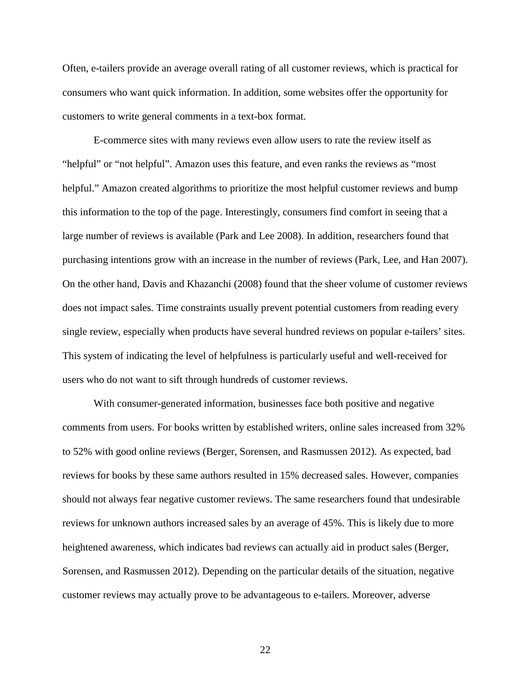Often, e-tailers provide an average overall rating of all customer reviews, which is practical for consumers who want quick information. In addition, some websites offer the opportunity for customers to write general comments in a text-box format.

E-commerce sites with many reviews even allow users to rate the review itself as "helpful" or "not helpful". Amazon uses this feature, and even ranks the reviews as "most helpful." Amazon created algorithms to prioritize the most helpful customer reviews and bump this information to the top of the page. Interestingly, consumers find comfort in seeing that a large number of reviews is available (Park and Lee 2008). In addition, researchers found that purchasing intentions grow with an increase in the number of reviews (Park, Lee, and Han 2007). On the other hand, Davis and Khazanchi (2008) found that the sheer volume of customer reviews does not impact sales. Time constraints usually prevent potential customers from reading every single review, especially when products have several hundred reviews on popular e-tailers' sites. This system of indicating the level of helpfulness is particularly useful and well-received for users who do not want to sift through hundreds of customer reviews.

With consumer-generated information, businesses face both positive and negative comments from users. For books written by established writers, online sales increased from 32% to 52% with good online reviews (Berger, Sorensen, and Rasmussen 2012). As expected, bad reviews for books by these same authors resulted in 15% decreased sales. However, companies should not always fear negative customer reviews. The same researchers found that undesirable reviews for unknown authors increased sales by an average of 45%. This is likely due to more heightened awareness, which indicates bad reviews can actually aid in product sales (Berger, Sorensen, and Rasmussen 2012). Depending on the particular details of the situation, negative customer reviews may actually prove to be advantageous to e-tailers. Moreover, adverse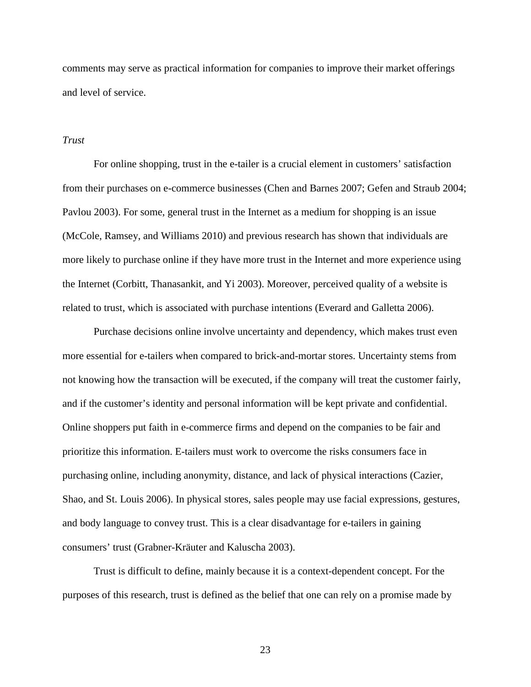comments may serve as practical information for companies to improve their market offerings and level of service.

#### *Trust*

For online shopping, trust in the e-tailer is a crucial element in customers' satisfaction from their purchases on e-commerce businesses (Chen and Barnes 2007; Gefen and Straub 2004; Pavlou 2003). For some, general trust in the Internet as a medium for shopping is an issue (McCole, Ramsey, and Williams 2010) and previous research has shown that individuals are more likely to purchase online if they have more trust in the Internet and more experience using the Internet (Corbitt, Thanasankit, and Yi 2003). Moreover, perceived quality of a website is related to trust, which is associated with purchase intentions (Everard and Galletta 2006).

Purchase decisions online involve uncertainty and dependency, which makes trust even more essential for e-tailers when compared to brick-and-mortar stores. Uncertainty stems from not knowing how the transaction will be executed, if the company will treat the customer fairly, and if the customer's identity and personal information will be kept private and confidential. Online shoppers put faith in e-commerce firms and depend on the companies to be fair and prioritize this information. E-tailers must work to overcome the risks consumers face in purchasing online, including anonymity, distance, and lack of physical interactions (Cazier, Shao, and St. Louis 2006). In physical stores, sales people may use facial expressions, gestures, and body language to convey trust. This is a clear disadvantage for e-tailers in gaining consumers' trust (Grabner-Kräuter and Kaluscha 2003).

Trust is difficult to define, mainly because it is a context-dependent concept. For the purposes of this research, trust is defined as the belief that one can rely on a promise made by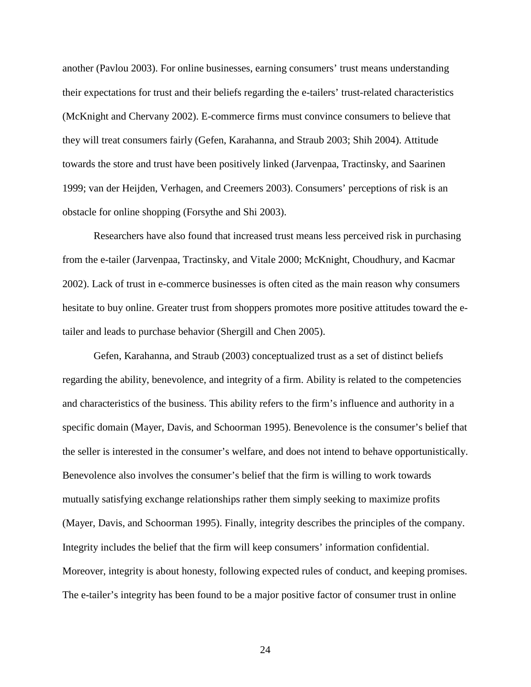another (Pavlou 2003). For online businesses, earning consumers' trust means understanding their expectations for trust and their beliefs regarding the e-tailers' trust-related characteristics (McKnight and Chervany 2002). E-commerce firms must convince consumers to believe that they will treat consumers fairly (Gefen, Karahanna, and Straub 2003; Shih 2004). Attitude towards the store and trust have been positively linked (Jarvenpaa, Tractinsky, and Saarinen 1999; van der Heijden, Verhagen, and Creemers 2003). Consumers' perceptions of risk is an obstacle for online shopping (Forsythe and Shi 2003).

Researchers have also found that increased trust means less perceived risk in purchasing from the e-tailer (Jarvenpaa, Tractinsky, and Vitale 2000; McKnight, Choudhury, and Kacmar 2002). Lack of trust in e-commerce businesses is often cited as the main reason why consumers hesitate to buy online. Greater trust from shoppers promotes more positive attitudes toward the etailer and leads to purchase behavior (Shergill and Chen 2005).

Gefen, Karahanna, and Straub (2003) conceptualized trust as a set of distinct beliefs regarding the ability, benevolence, and integrity of a firm. Ability is related to the competencies and characteristics of the business. This ability refers to the firm's influence and authority in a specific domain (Mayer, Davis, and Schoorman 1995). Benevolence is the consumer's belief that the seller is interested in the consumer's welfare, and does not intend to behave opportunistically. Benevolence also involves the consumer's belief that the firm is willing to work towards mutually satisfying exchange relationships rather them simply seeking to maximize profits (Mayer, Davis, and Schoorman 1995). Finally, integrity describes the principles of the company. Integrity includes the belief that the firm will keep consumers' information confidential. Moreover, integrity is about honesty, following expected rules of conduct, and keeping promises. The e-tailer's integrity has been found to be a major positive factor of consumer trust in online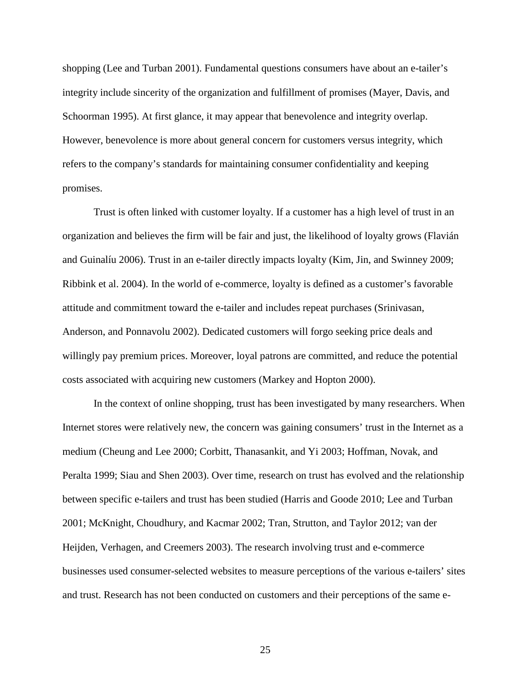shopping (Lee and Turban 2001). Fundamental questions consumers have about an e-tailer's integrity include sincerity of the organization and fulfillment of promises (Mayer, Davis, and Schoorman 1995). At first glance, it may appear that benevolence and integrity overlap. However, benevolence is more about general concern for customers versus integrity, which refers to the company's standards for maintaining consumer confidentiality and keeping promises.

Trust is often linked with customer loyalty. If a customer has a high level of trust in an organization and believes the firm will be fair and just, the likelihood of loyalty grows (Flavián and Guinalíu 2006). Trust in an e-tailer directly impacts loyalty (Kim, Jin, and Swinney 2009; Ribbink et al. 2004). In the world of e-commerce, loyalty is defined as a customer's favorable attitude and commitment toward the e-tailer and includes repeat purchases (Srinivasan, Anderson, and Ponnavolu 2002). Dedicated customers will forgo seeking price deals and willingly pay premium prices. Moreover, loyal patrons are committed, and reduce the potential costs associated with acquiring new customers (Markey and Hopton 2000).

In the context of online shopping, trust has been investigated by many researchers. When Internet stores were relatively new, the concern was gaining consumers' trust in the Internet as a medium (Cheung and Lee 2000; Corbitt, Thanasankit, and Yi 2003; Hoffman, Novak, and Peralta 1999; Siau and Shen 2003). Over time, research on trust has evolved and the relationship between specific e-tailers and trust has been studied (Harris and Goode 2010; Lee and Turban 2001; McKnight, Choudhury, and Kacmar 2002; Tran, Strutton, and Taylor 2012; van der Heijden, Verhagen, and Creemers 2003). The research involving trust and e-commerce businesses used consumer-selected websites to measure perceptions of the various e-tailers' sites and trust. Research has not been conducted on customers and their perceptions of the same e-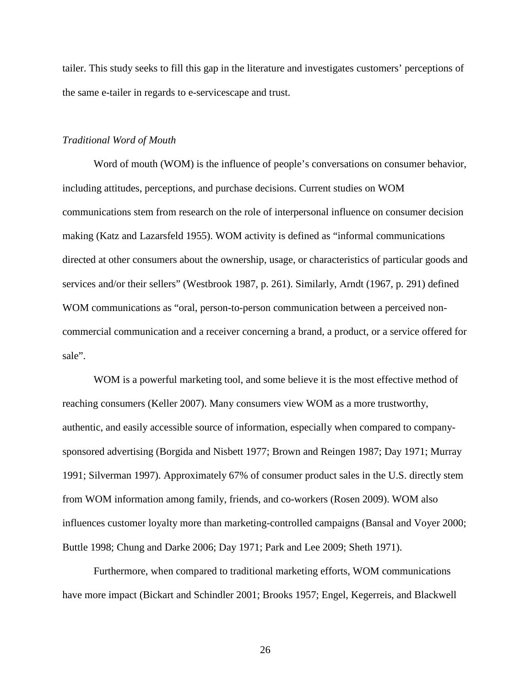tailer. This study seeks to fill this gap in the literature and investigates customers' perceptions of the same e-tailer in regards to e-servicescape and trust.

# *Traditional Word of Mouth*

Word of mouth (WOM) is the influence of people's conversations on consumer behavior, including attitudes, perceptions, and purchase decisions. Current studies on WOM communications stem from research on the role of interpersonal influence on consumer decision making (Katz and Lazarsfeld 1955). WOM activity is defined as "informal communications directed at other consumers about the ownership, usage, or characteristics of particular goods and services and/or their sellers" (Westbrook 1987, p. 261). Similarly, Arndt (1967, p. 291) defined WOM communications as "oral, person-to-person communication between a perceived noncommercial communication and a receiver concerning a brand, a product, or a service offered for sale".

WOM is a powerful marketing tool, and some believe it is the most effective method of reaching consumers (Keller 2007). Many consumers view WOM as a more trustworthy, authentic, and easily accessible source of information, especially when compared to companysponsored advertising (Borgida and Nisbett 1977; Brown and Reingen 1987; Day 1971; Murray 1991; Silverman 1997). Approximately 67% of consumer product sales in the U.S. directly stem from WOM information among family, friends, and co-workers (Rosen 2009). WOM also influences customer loyalty more than marketing-controlled campaigns (Bansal and Voyer 2000; Buttle 1998; Chung and Darke 2006; Day 1971; Park and Lee 2009; Sheth 1971).

Furthermore, when compared to traditional marketing efforts, WOM communications have more impact (Bickart and Schindler 2001; Brooks 1957; Engel, Kegerreis, and Blackwell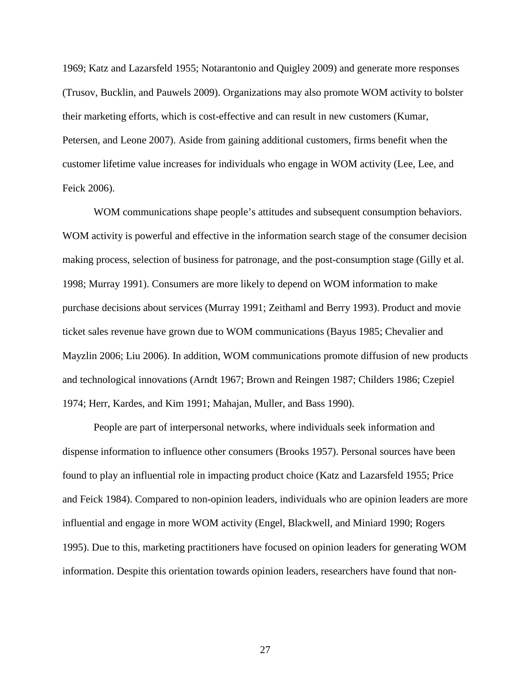1969; Katz and Lazarsfeld 1955; Notarantonio and Quigley 2009) and generate more responses (Trusov, Bucklin, and Pauwels 2009). Organizations may also promote WOM activity to bolster their marketing efforts, which is cost-effective and can result in new customers (Kumar, Petersen, and Leone 2007). Aside from gaining additional customers, firms benefit when the customer lifetime value increases for individuals who engage in WOM activity (Lee, Lee, and Feick 2006).

WOM communications shape people's attitudes and subsequent consumption behaviors. WOM activity is powerful and effective in the information search stage of the consumer decision making process, selection of business for patronage, and the post-consumption stage (Gilly et al. 1998; Murray 1991). Consumers are more likely to depend on WOM information to make purchase decisions about services (Murray 1991; Zeithaml and Berry 1993). Product and movie ticket sales revenue have grown due to WOM communications (Bayus 1985; Chevalier and Mayzlin 2006; Liu 2006). In addition, WOM communications promote diffusion of new products and technological innovations (Arndt 1967; Brown and Reingen 1987; Childers 1986; Czepiel 1974; Herr, Kardes, and Kim 1991; Mahajan, Muller, and Bass 1990).

People are part of interpersonal networks, where individuals seek information and dispense information to influence other consumers (Brooks 1957). Personal sources have been found to play an influential role in impacting product choice (Katz and Lazarsfeld 1955; Price and Feick 1984). Compared to non-opinion leaders, individuals who are opinion leaders are more influential and engage in more WOM activity (Engel, Blackwell, and Miniard 1990; Rogers 1995). Due to this, marketing practitioners have focused on opinion leaders for generating WOM information. Despite this orientation towards opinion leaders, researchers have found that non-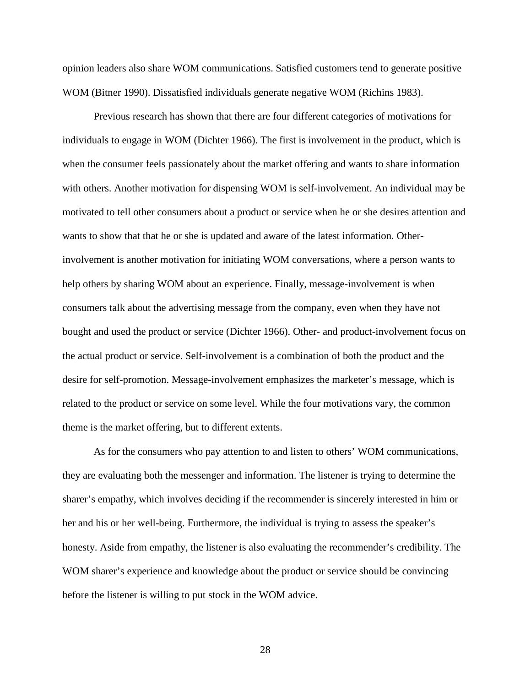opinion leaders also share WOM communications. Satisfied customers tend to generate positive WOM (Bitner 1990). Dissatisfied individuals generate negative WOM (Richins 1983).

Previous research has shown that there are four different categories of motivations for individuals to engage in WOM (Dichter 1966). The first is involvement in the product, which is when the consumer feels passionately about the market offering and wants to share information with others. Another motivation for dispensing WOM is self-involvement. An individual may be motivated to tell other consumers about a product or service when he or she desires attention and wants to show that that he or she is updated and aware of the latest information. Otherinvolvement is another motivation for initiating WOM conversations, where a person wants to help others by sharing WOM about an experience. Finally, message-involvement is when consumers talk about the advertising message from the company, even when they have not bought and used the product or service (Dichter 1966). Other- and product-involvement focus on the actual product or service. Self-involvement is a combination of both the product and the desire for self-promotion. Message-involvement emphasizes the marketer's message, which is related to the product or service on some level. While the four motivations vary, the common theme is the market offering, but to different extents.

As for the consumers who pay attention to and listen to others' WOM communications, they are evaluating both the messenger and information. The listener is trying to determine the sharer's empathy, which involves deciding if the recommender is sincerely interested in him or her and his or her well-being. Furthermore, the individual is trying to assess the speaker's honesty. Aside from empathy, the listener is also evaluating the recommender's credibility. The WOM sharer's experience and knowledge about the product or service should be convincing before the listener is willing to put stock in the WOM advice.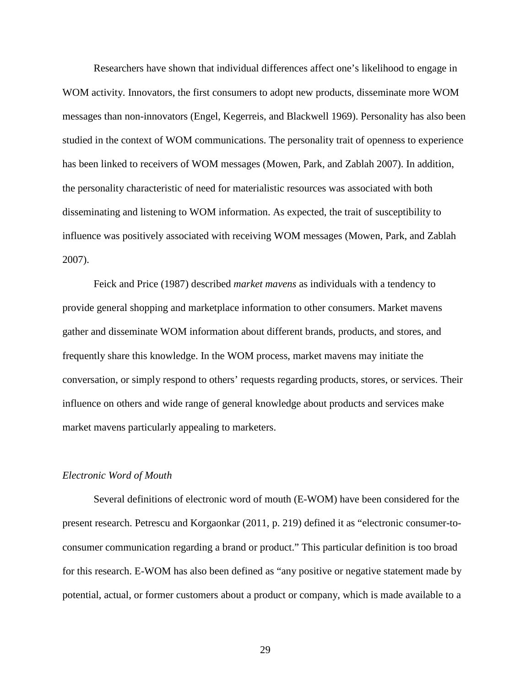Researchers have shown that individual differences affect one's likelihood to engage in WOM activity. Innovators, the first consumers to adopt new products, disseminate more WOM messages than non-innovators (Engel, Kegerreis, and Blackwell 1969). Personality has also been studied in the context of WOM communications. The personality trait of openness to experience has been linked to receivers of WOM messages (Mowen, Park, and Zablah 2007). In addition, the personality characteristic of need for materialistic resources was associated with both disseminating and listening to WOM information. As expected, the trait of susceptibility to influence was positively associated with receiving WOM messages (Mowen, Park, and Zablah 2007).

Feick and Price (1987) described *market mavens* as individuals with a tendency to provide general shopping and marketplace information to other consumers. Market mavens gather and disseminate WOM information about different brands, products, and stores, and frequently share this knowledge. In the WOM process, market mavens may initiate the conversation, or simply respond to others' requests regarding products, stores, or services. Their influence on others and wide range of general knowledge about products and services make market mavens particularly appealing to marketers.

#### *Electronic Word of Mouth*

Several definitions of electronic word of mouth (E-WOM) have been considered for the present research. Petrescu and Korgaonkar (2011, p. 219) defined it as "electronic consumer-toconsumer communication regarding a brand or product." This particular definition is too broad for this research. E-WOM has also been defined as "any positive or negative statement made by potential, actual, or former customers about a product or company, which is made available to a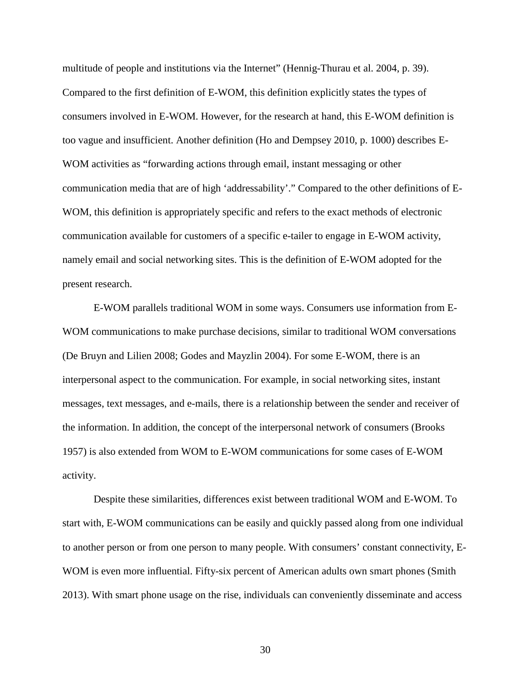multitude of people and institutions via the Internet" (Hennig-Thurau et al. 2004, p. 39). Compared to the first definition of E-WOM, this definition explicitly states the types of consumers involved in E-WOM. However, for the research at hand, this E-WOM definition is too vague and insufficient. Another definition (Ho and Dempsey 2010, p. 1000) describes E-WOM activities as "forwarding actions through email, instant messaging or other communication media that are of high 'addressability'." Compared to the other definitions of E-WOM, this definition is appropriately specific and refers to the exact methods of electronic communication available for customers of a specific e-tailer to engage in E-WOM activity, namely email and social networking sites. This is the definition of E-WOM adopted for the present research.

E-WOM parallels traditional WOM in some ways. Consumers use information from E-WOM communications to make purchase decisions, similar to traditional WOM conversations (De Bruyn and Lilien 2008; Godes and Mayzlin 2004). For some E-WOM, there is an interpersonal aspect to the communication. For example, in social networking sites, instant messages, text messages, and e-mails, there is a relationship between the sender and receiver of the information. In addition, the concept of the interpersonal network of consumers (Brooks 1957) is also extended from WOM to E-WOM communications for some cases of E-WOM activity.

Despite these similarities, differences exist between traditional WOM and E-WOM. To start with, E-WOM communications can be easily and quickly passed along from one individual to another person or from one person to many people. With consumers' constant connectivity, E-WOM is even more influential. Fifty-six percent of American adults own smart phones (Smith 2013). With smart phone usage on the rise, individuals can conveniently disseminate and access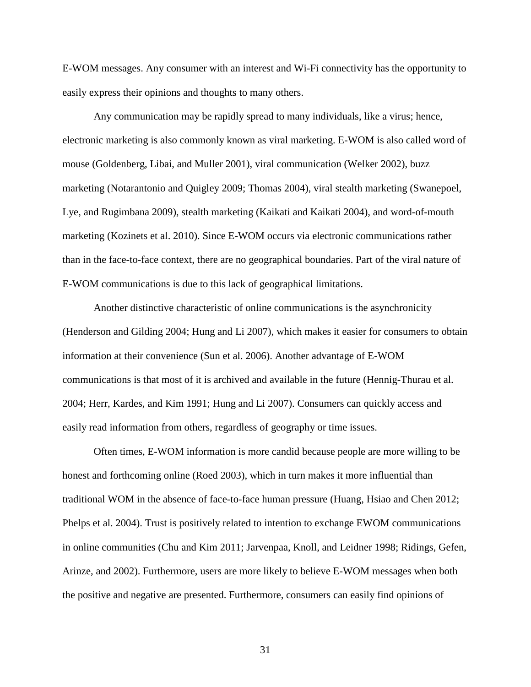E-WOM messages. Any consumer with an interest and Wi-Fi connectivity has the opportunity to easily express their opinions and thoughts to many others.

Any communication may be rapidly spread to many individuals, like a virus; hence, electronic marketing is also commonly known as viral marketing. E-WOM is also called word of mouse (Goldenberg, Libai, and Muller 2001), viral communication (Welker 2002), buzz marketing (Notarantonio and Quigley 2009; Thomas 2004), viral stealth marketing (Swanepoel, Lye, and Rugimbana 2009), stealth marketing (Kaikati and Kaikati 2004), and word-of-mouth marketing (Kozinets et al. 2010). Since E-WOM occurs via electronic communications rather than in the face-to-face context, there are no geographical boundaries. Part of the viral nature of E-WOM communications is due to this lack of geographical limitations.

Another distinctive characteristic of online communications is the asynchronicity (Henderson and Gilding 2004; Hung and Li 2007), which makes it easier for consumers to obtain information at their convenience (Sun et al. 2006). Another advantage of E-WOM communications is that most of it is archived and available in the future (Hennig-Thurau et al. 2004; Herr, Kardes, and Kim 1991; Hung and Li 2007). Consumers can quickly access and easily read information from others, regardless of geography or time issues.

Often times, E-WOM information is more candid because people are more willing to be honest and forthcoming online (Roed 2003), which in turn makes it more influential than traditional WOM in the absence of face-to-face human pressure (Huang, Hsiao and Chen 2012; Phelps et al. 2004). Trust is positively related to intention to exchange EWOM communications in online communities (Chu and Kim 2011; Jarvenpaa, Knoll, and Leidner 1998; Ridings, Gefen, Arinze, and 2002). Furthermore, users are more likely to believe E-WOM messages when both the positive and negative are presented. Furthermore, consumers can easily find opinions of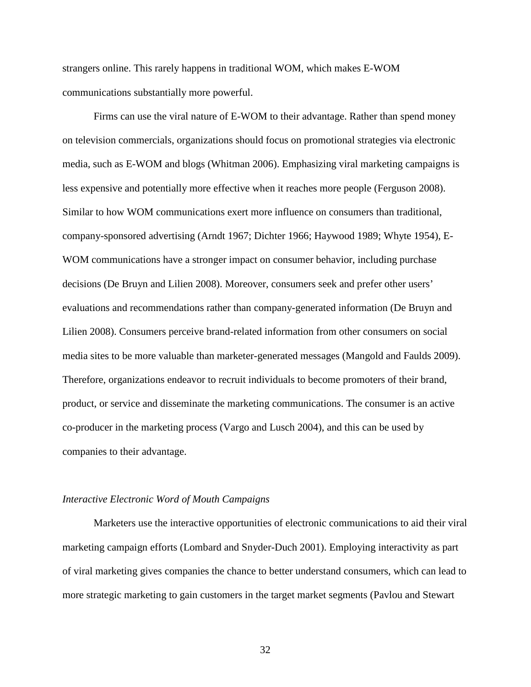strangers online. This rarely happens in traditional WOM, which makes E-WOM communications substantially more powerful.

Firms can use the viral nature of E-WOM to their advantage. Rather than spend money on television commercials, organizations should focus on promotional strategies via electronic media, such as E-WOM and blogs (Whitman 2006). Emphasizing viral marketing campaigns is less expensive and potentially more effective when it reaches more people (Ferguson 2008). Similar to how WOM communications exert more influence on consumers than traditional, company-sponsored advertising (Arndt 1967; Dichter 1966; Haywood 1989; Whyte 1954), E-WOM communications have a stronger impact on consumer behavior, including purchase decisions (De Bruyn and Lilien 2008). Moreover, consumers seek and prefer other users' evaluations and recommendations rather than company-generated information (De Bruyn and Lilien 2008). Consumers perceive brand-related information from other consumers on social media sites to be more valuable than marketer-generated messages (Mangold and Faulds 2009). Therefore, organizations endeavor to recruit individuals to become promoters of their brand, product, or service and disseminate the marketing communications. The consumer is an active co-producer in the marketing process (Vargo and Lusch 2004), and this can be used by companies to their advantage.

#### *Interactive Electronic Word of Mouth Campaigns*

Marketers use the interactive opportunities of electronic communications to aid their viral marketing campaign efforts (Lombard and Snyder-Duch 2001). Employing interactivity as part of viral marketing gives companies the chance to better understand consumers, which can lead to more strategic marketing to gain customers in the target market segments (Pavlou and Stewart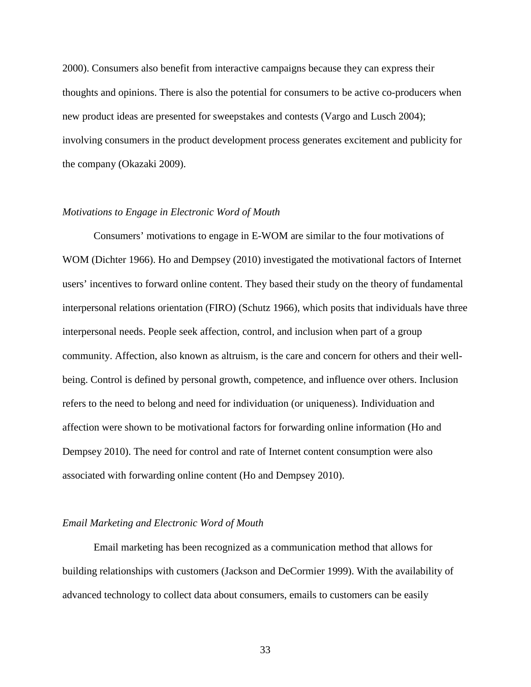2000). Consumers also benefit from interactive campaigns because they can express their thoughts and opinions. There is also the potential for consumers to be active co-producers when new product ideas are presented for sweepstakes and contests (Vargo and Lusch 2004); involving consumers in the product development process generates excitement and publicity for the company (Okazaki 2009).

## *Motivations to Engage in Electronic Word of Mouth*

Consumers' motivations to engage in E-WOM are similar to the four motivations of WOM (Dichter 1966). Ho and Dempsey (2010) investigated the motivational factors of Internet users' incentives to forward online content. They based their study on the theory of fundamental interpersonal relations orientation (FIRO) (Schutz 1966), which posits that individuals have three interpersonal needs. People seek affection, control, and inclusion when part of a group community. Affection, also known as altruism, is the care and concern for others and their wellbeing. Control is defined by personal growth, competence, and influence over others. Inclusion refers to the need to belong and need for individuation (or uniqueness). Individuation and affection were shown to be motivational factors for forwarding online information (Ho and Dempsey 2010). The need for control and rate of Internet content consumption were also associated with forwarding online content (Ho and Dempsey 2010).

# *Email Marketing and Electronic Word of Mouth*

Email marketing has been recognized as a communication method that allows for building relationships with customers (Jackson and DeCormier 1999). With the availability of advanced technology to collect data about consumers, emails to customers can be easily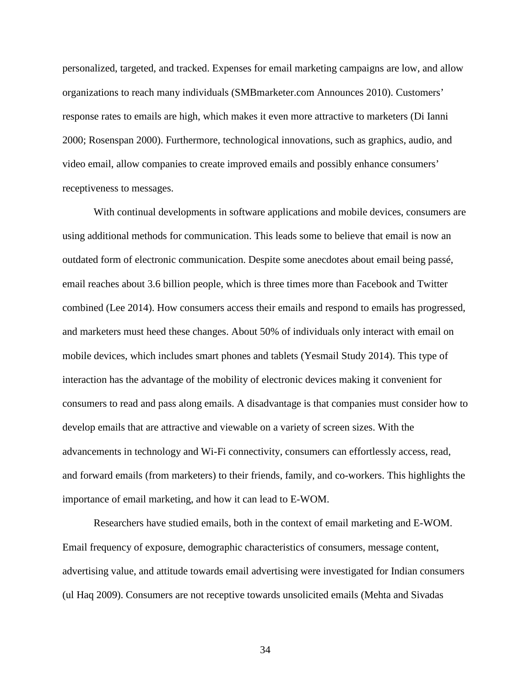personalized, targeted, and tracked. Expenses for email marketing campaigns are low, and allow organizations to reach many individuals (SMBmarketer.com Announces 2010). Customers' response rates to emails are high, which makes it even more attractive to marketers (Di Ianni 2000; Rosenspan 2000). Furthermore, technological innovations, such as graphics, audio, and video email, allow companies to create improved emails and possibly enhance consumers' receptiveness to messages.

With continual developments in software applications and mobile devices, consumers are using additional methods for communication. This leads some to believe that email is now an outdated form of electronic communication. Despite some anecdotes about email being passé, email reaches about 3.6 billion people, which is three times more than Facebook and Twitter combined (Lee 2014). How consumers access their emails and respond to emails has progressed, and marketers must heed these changes. About 50% of individuals only interact with email on mobile devices, which includes smart phones and tablets (Yesmail Study 2014). This type of interaction has the advantage of the mobility of electronic devices making it convenient for consumers to read and pass along emails. A disadvantage is that companies must consider how to develop emails that are attractive and viewable on a variety of screen sizes. With the advancements in technology and Wi-Fi connectivity, consumers can effortlessly access, read, and forward emails (from marketers) to their friends, family, and co-workers. This highlights the importance of email marketing, and how it can lead to E-WOM.

Researchers have studied emails, both in the context of email marketing and E-WOM. Email frequency of exposure, demographic characteristics of consumers, message content, advertising value, and attitude towards email advertising were investigated for Indian consumers (ul Haq 2009). Consumers are not receptive towards unsolicited emails (Mehta and Sivadas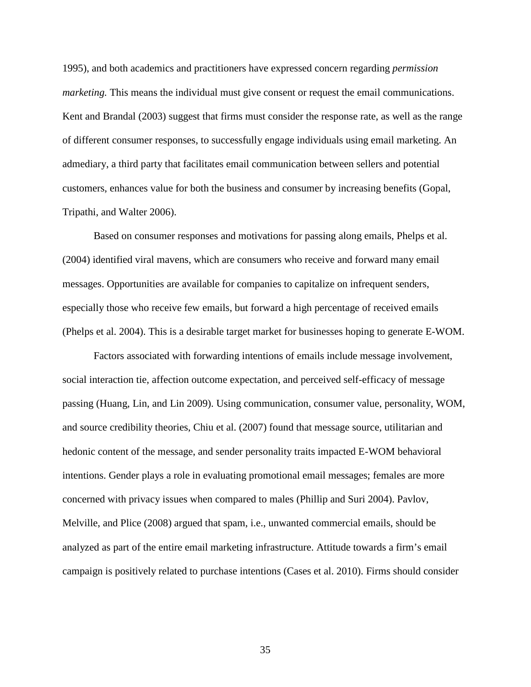1995), and both academics and practitioners have expressed concern regarding *permission marketing*. This means the individual must give consent or request the email communications. Kent and Brandal (2003) suggest that firms must consider the response rate, as well as the range of different consumer responses, to successfully engage individuals using email marketing. An admediary, a third party that facilitates email communication between sellers and potential customers, enhances value for both the business and consumer by increasing benefits (Gopal, Tripathi, and Walter 2006).

Based on consumer responses and motivations for passing along emails, Phelps et al. (2004) identified viral mavens, which are consumers who receive and forward many email messages. Opportunities are available for companies to capitalize on infrequent senders, especially those who receive few emails, but forward a high percentage of received emails (Phelps et al. 2004). This is a desirable target market for businesses hoping to generate E-WOM.

Factors associated with forwarding intentions of emails include message involvement, social interaction tie, affection outcome expectation, and perceived self-efficacy of message passing (Huang, Lin, and Lin 2009). Using communication, consumer value, personality, WOM, and source credibility theories, Chiu et al. (2007) found that message source, utilitarian and hedonic content of the message, and sender personality traits impacted E-WOM behavioral intentions. Gender plays a role in evaluating promotional email messages; females are more concerned with privacy issues when compared to males (Phillip and Suri 2004). Pavlov, Melville, and Plice (2008) argued that spam, i.e., unwanted commercial emails, should be analyzed as part of the entire email marketing infrastructure. Attitude towards a firm's email campaign is positively related to purchase intentions (Cases et al. 2010). Firms should consider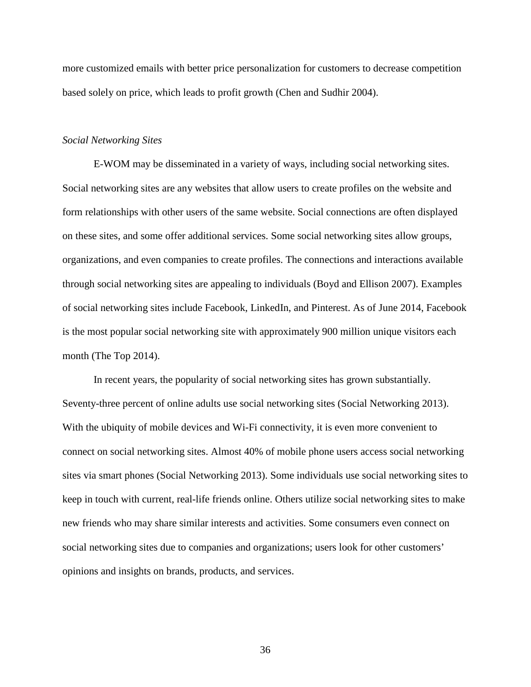more customized emails with better price personalization for customers to decrease competition based solely on price, which leads to profit growth (Chen and Sudhir 2004).

## *Social Networking Sites*

E-WOM may be disseminated in a variety of ways, including social networking sites. Social networking sites are any websites that allow users to create profiles on the website and form relationships with other users of the same website. Social connections are often displayed on these sites, and some offer additional services. Some social networking sites allow groups, organizations, and even companies to create profiles. The connections and interactions available through social networking sites are appealing to individuals (Boyd and Ellison 2007). Examples of social networking sites include Facebook, LinkedIn, and Pinterest. As of June 2014, Facebook is the most popular social networking site with approximately 900 million unique visitors each month (The Top 2014).

In recent years, the popularity of social networking sites has grown substantially. Seventy-three percent of online adults use social networking sites (Social Networking 2013). With the ubiquity of mobile devices and Wi-Fi connectivity, it is even more convenient to connect on social networking sites. Almost 40% of mobile phone users access social networking sites via smart phones (Social Networking 2013). Some individuals use social networking sites to keep in touch with current, real-life friends online. Others utilize social networking sites to make new friends who may share similar interests and activities. Some consumers even connect on social networking sites due to companies and organizations; users look for other customers' opinions and insights on brands, products, and services.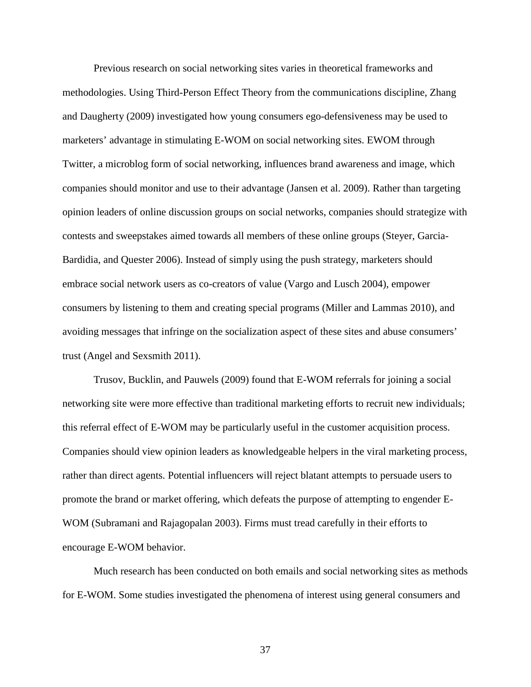Previous research on social networking sites varies in theoretical frameworks and methodologies. Using Third-Person Effect Theory from the communications discipline, Zhang and Daugherty (2009) investigated how young consumers ego-defensiveness may be used to marketers' advantage in stimulating E-WOM on social networking sites. EWOM through Twitter, a microblog form of social networking, influences brand awareness and image, which companies should monitor and use to their advantage (Jansen et al. 2009). Rather than targeting opinion leaders of online discussion groups on social networks, companies should strategize with contests and sweepstakes aimed towards all members of these online groups (Steyer, Garcia-Bardidia, and Quester 2006). Instead of simply using the push strategy, marketers should embrace social network users as co-creators of value (Vargo and Lusch 2004), empower consumers by listening to them and creating special programs (Miller and Lammas 2010), and avoiding messages that infringe on the socialization aspect of these sites and abuse consumers' trust (Angel and Sexsmith 2011).

Trusov, Bucklin, and Pauwels (2009) found that E-WOM referrals for joining a social networking site were more effective than traditional marketing efforts to recruit new individuals; this referral effect of E-WOM may be particularly useful in the customer acquisition process. Companies should view opinion leaders as knowledgeable helpers in the viral marketing process, rather than direct agents. Potential influencers will reject blatant attempts to persuade users to promote the brand or market offering, which defeats the purpose of attempting to engender E-WOM (Subramani and Rajagopalan 2003). Firms must tread carefully in their efforts to encourage E-WOM behavior.

Much research has been conducted on both emails and social networking sites as methods for E-WOM. Some studies investigated the phenomena of interest using general consumers and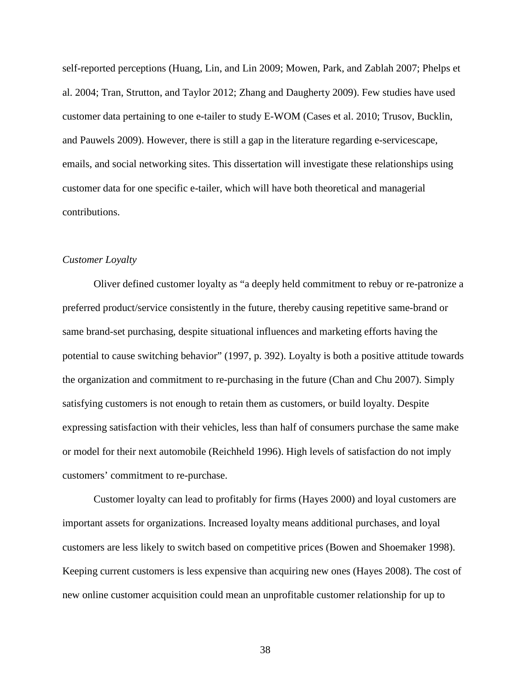self-reported perceptions (Huang, Lin, and Lin 2009; Mowen, Park, and Zablah 2007; Phelps et al. 2004; Tran, Strutton, and Taylor 2012; Zhang and Daugherty 2009). Few studies have used customer data pertaining to one e-tailer to study E-WOM (Cases et al. 2010; Trusov, Bucklin, and Pauwels 2009). However, there is still a gap in the literature regarding e-servicescape, emails, and social networking sites. This dissertation will investigate these relationships using customer data for one specific e-tailer, which will have both theoretical and managerial contributions.

## *Customer Loyalty*

Oliver defined customer loyalty as "a deeply held commitment to rebuy or re-patronize a preferred product/service consistently in the future, thereby causing repetitive same-brand or same brand-set purchasing, despite situational influences and marketing efforts having the potential to cause switching behavior" (1997, p. 392). Loyalty is both a positive attitude towards the organization and commitment to re-purchasing in the future (Chan and Chu 2007). Simply satisfying customers is not enough to retain them as customers, or build loyalty. Despite expressing satisfaction with their vehicles, less than half of consumers purchase the same make or model for their next automobile (Reichheld 1996). High levels of satisfaction do not imply customers' commitment to re-purchase.

Customer loyalty can lead to profitably for firms (Hayes 2000) and loyal customers are important assets for organizations. Increased loyalty means additional purchases, and loyal customers are less likely to switch based on competitive prices (Bowen and Shoemaker 1998). Keeping current customers is less expensive than acquiring new ones (Hayes 2008). The cost of new online customer acquisition could mean an unprofitable customer relationship for up to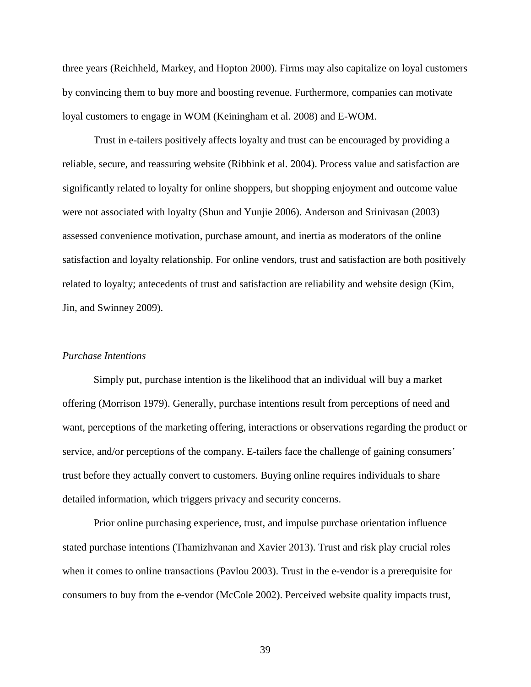three years (Reichheld, Markey, and Hopton 2000). Firms may also capitalize on loyal customers by convincing them to buy more and boosting revenue. Furthermore, companies can motivate loyal customers to engage in WOM (Keiningham et al. 2008) and E-WOM.

Trust in e-tailers positively affects loyalty and trust can be encouraged by providing a reliable, secure, and reassuring website (Ribbink et al. 2004). Process value and satisfaction are significantly related to loyalty for online shoppers, but shopping enjoyment and outcome value were not associated with loyalty (Shun and Yunjie 2006). Anderson and Srinivasan (2003) assessed convenience motivation, purchase amount, and inertia as moderators of the online satisfaction and loyalty relationship. For online vendors, trust and satisfaction are both positively related to loyalty; antecedents of trust and satisfaction are reliability and website design (Kim, Jin, and Swinney 2009).

#### *Purchase Intentions*

Simply put, purchase intention is the likelihood that an individual will buy a market offering (Morrison 1979). Generally, purchase intentions result from perceptions of need and want, perceptions of the marketing offering, interactions or observations regarding the product or service, and/or perceptions of the company. E-tailers face the challenge of gaining consumers' trust before they actually convert to customers. Buying online requires individuals to share detailed information, which triggers privacy and security concerns.

Prior online purchasing experience, trust, and impulse purchase orientation influence stated purchase intentions (Thamizhvanan and Xavier 2013). Trust and risk play crucial roles when it comes to online transactions (Pavlou 2003). Trust in the e-vendor is a prerequisite for consumers to buy from the e-vendor (McCole 2002). Perceived website quality impacts trust,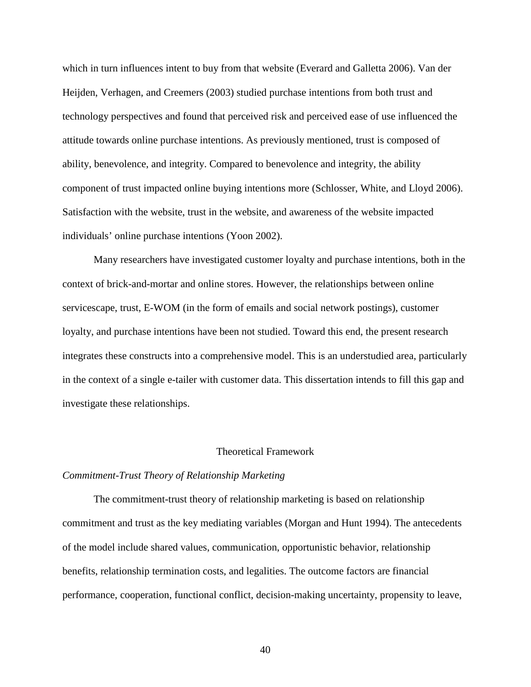which in turn influences intent to buy from that website (Everard and Galletta 2006). Van der Heijden, Verhagen, and Creemers (2003) studied purchase intentions from both trust and technology perspectives and found that perceived risk and perceived ease of use influenced the attitude towards online purchase intentions. As previously mentioned, trust is composed of ability, benevolence, and integrity. Compared to benevolence and integrity, the ability component of trust impacted online buying intentions more (Schlosser, White, and Lloyd 2006). Satisfaction with the website, trust in the website, and awareness of the website impacted individuals' online purchase intentions (Yoon 2002).

Many researchers have investigated customer loyalty and purchase intentions, both in the context of brick-and-mortar and online stores. However, the relationships between online servicescape, trust, E-WOM (in the form of emails and social network postings), customer loyalty, and purchase intentions have been not studied. Toward this end, the present research integrates these constructs into a comprehensive model. This is an understudied area, particularly in the context of a single e-tailer with customer data. This dissertation intends to fill this gap and investigate these relationships.

#### Theoretical Framework

#### *Commitment-Trust Theory of Relationship Marketing*

The commitment-trust theory of relationship marketing is based on relationship commitment and trust as the key mediating variables (Morgan and Hunt 1994). The antecedents of the model include shared values, communication, opportunistic behavior, relationship benefits, relationship termination costs, and legalities. The outcome factors are financial performance, cooperation, functional conflict, decision-making uncertainty, propensity to leave,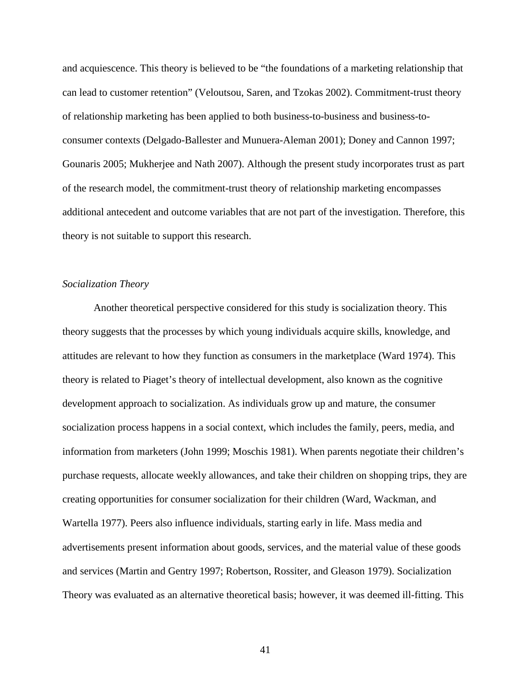and acquiescence. This theory is believed to be "the foundations of a marketing relationship that can lead to customer retention" (Veloutsou, Saren, and Tzokas 2002). Commitment-trust theory of relationship marketing has been applied to both business-to-business and business-toconsumer contexts (Delgado-Ballester and Munuera-Aleman 2001); Doney and Cannon 1997; Gounaris 2005; Mukherjee and Nath 2007). Although the present study incorporates trust as part of the research model, the commitment-trust theory of relationship marketing encompasses additional antecedent and outcome variables that are not part of the investigation. Therefore, this theory is not suitable to support this research.

# *Socialization Theory*

Another theoretical perspective considered for this study is socialization theory. This theory suggests that the processes by which young individuals acquire skills, knowledge, and attitudes are relevant to how they function as consumers in the marketplace (Ward 1974). This theory is related to Piaget's theory of intellectual development, also known as the cognitive development approach to socialization. As individuals grow up and mature, the consumer socialization process happens in a social context, which includes the family, peers, media, and information from marketers (John 1999; Moschis 1981). When parents negotiate their children's purchase requests, allocate weekly allowances, and take their children on shopping trips, they are creating opportunities for consumer socialization for their children (Ward, Wackman, and Wartella 1977). Peers also influence individuals, starting early in life. Mass media and advertisements present information about goods, services, and the material value of these goods and services (Martin and Gentry 1997; Robertson, Rossiter, and Gleason 1979). Socialization Theory was evaluated as an alternative theoretical basis; however, it was deemed ill-fitting. This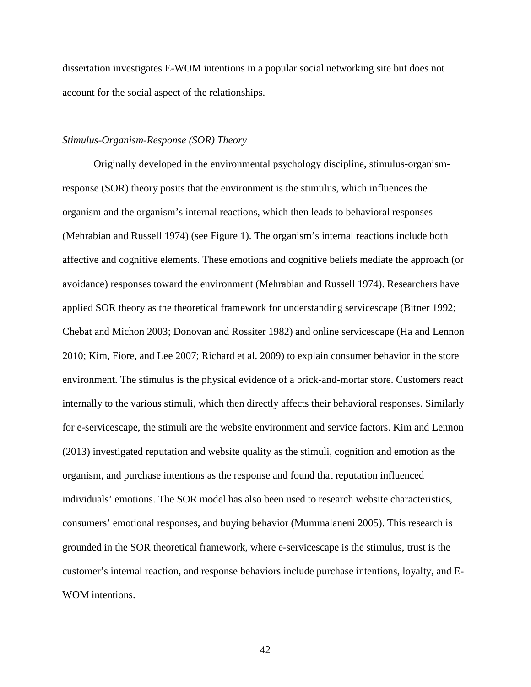dissertation investigates E-WOM intentions in a popular social networking site but does not account for the social aspect of the relationships.

## *Stimulus-Organism-Response (SOR) Theory*

Originally developed in the environmental psychology discipline, stimulus-organismresponse (SOR) theory posits that the environment is the stimulus, which influences the organism and the organism's internal reactions, which then leads to behavioral responses (Mehrabian and Russell 1974) (see Figure 1). The organism's internal reactions include both affective and cognitive elements. These emotions and cognitive beliefs mediate the approach (or avoidance) responses toward the environment (Mehrabian and Russell 1974). Researchers have applied SOR theory as the theoretical framework for understanding servicescape (Bitner 1992; Chebat and Michon 2003; Donovan and Rossiter 1982) and online servicescape (Ha and Lennon 2010; Kim, Fiore, and Lee 2007; Richard et al. 2009) to explain consumer behavior in the store environment. The stimulus is the physical evidence of a brick-and-mortar store. Customers react internally to the various stimuli, which then directly affects their behavioral responses. Similarly for e-servicescape, the stimuli are the website environment and service factors. Kim and Lennon (2013) investigated reputation and website quality as the stimuli, cognition and emotion as the organism, and purchase intentions as the response and found that reputation influenced individuals' emotions. The SOR model has also been used to research website characteristics, consumers' emotional responses, and buying behavior (Mummalaneni 2005). This research is grounded in the SOR theoretical framework, where e-servicescape is the stimulus, trust is the customer's internal reaction, and response behaviors include purchase intentions, loyalty, and E-WOM intentions.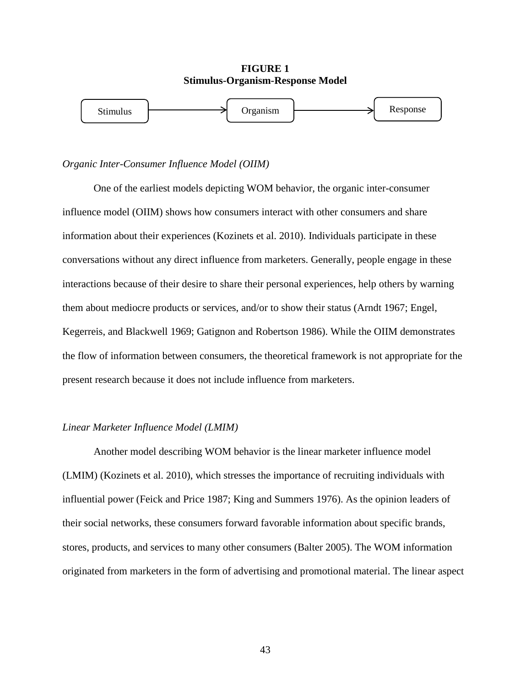

### *Organic Inter-Consumer Influence Model (OIIM)*

One of the earliest models depicting WOM behavior, the organic inter-consumer influence model (OIIM) shows how consumers interact with other consumers and share information about their experiences (Kozinets et al. 2010). Individuals participate in these conversations without any direct influence from marketers. Generally, people engage in these interactions because of their desire to share their personal experiences, help others by warning them about mediocre products or services, and/or to show their status (Arndt 1967; Engel, Kegerreis, and Blackwell 1969; Gatignon and Robertson 1986). While the OIIM demonstrates the flow of information between consumers, the theoretical framework is not appropriate for the present research because it does not include influence from marketers.

### *Linear Marketer Influence Model (LMIM)*

Another model describing WOM behavior is the linear marketer influence model (LMIM) (Kozinets et al. 2010), which stresses the importance of recruiting individuals with influential power (Feick and Price 1987; King and Summers 1976). As the opinion leaders of their social networks, these consumers forward favorable information about specific brands, stores, products, and services to many other consumers (Balter 2005). The WOM information originated from marketers in the form of advertising and promotional material. The linear aspect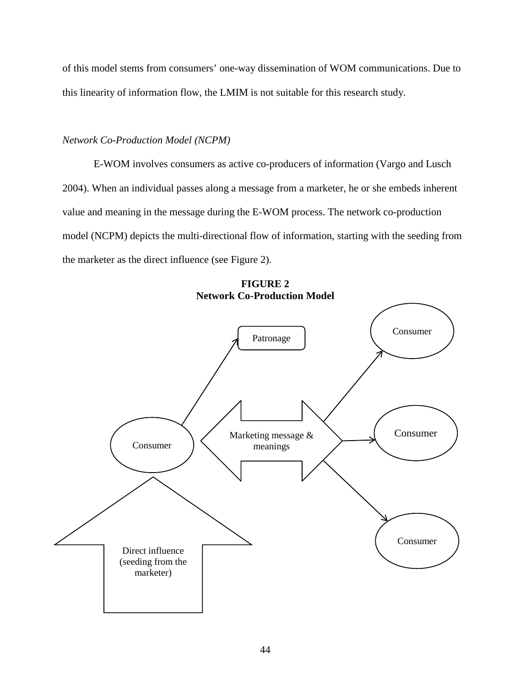of this model stems from consumers' one-way dissemination of WOM communications. Due to this linearity of information flow, the LMIM is not suitable for this research study.

# *Network Co-Production Model (NCPM)*

E-WOM involves consumers as active co-producers of information (Vargo and Lusch 2004). When an individual passes along a message from a marketer, he or she embeds inherent value and meaning in the message during the E-WOM process. The network co-production model (NCPM) depicts the multi-directional flow of information, starting with the seeding from the marketer as the direct influence (see Figure 2).



**FIGURE 2 Network Co-Production Model**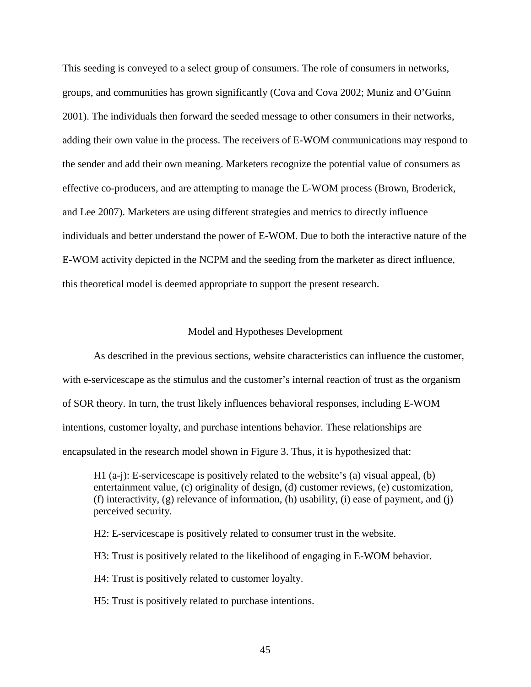This seeding is conveyed to a select group of consumers. The role of consumers in networks, groups, and communities has grown significantly (Cova and Cova 2002; Muniz and O'Guinn 2001). The individuals then forward the seeded message to other consumers in their networks, adding their own value in the process. The receivers of E-WOM communications may respond to the sender and add their own meaning. Marketers recognize the potential value of consumers as effective co-producers, and are attempting to manage the E-WOM process (Brown, Broderick, and Lee 2007). Marketers are using different strategies and metrics to directly influence individuals and better understand the power of E-WOM. Due to both the interactive nature of the E-WOM activity depicted in the NCPM and the seeding from the marketer as direct influence, this theoretical model is deemed appropriate to support the present research.

#### Model and Hypotheses Development

As described in the previous sections, website characteristics can influence the customer, with e-servicescape as the stimulus and the customer's internal reaction of trust as the organism of SOR theory. In turn, the trust likely influences behavioral responses, including E-WOM intentions, customer loyalty, and purchase intentions behavior. These relationships are encapsulated in the research model shown in Figure 3. Thus, it is hypothesized that:

H1 (a-j): E-servicescape is positively related to the website's (a) visual appeal, (b) entertainment value, (c) originality of design, (d) customer reviews, (e) customization, (f) interactivity, (g) relevance of information, (h) usability, (i) ease of payment, and (j) perceived security.

H2: E-servicescape is positively related to consumer trust in the website.

H3: Trust is positively related to the likelihood of engaging in E-WOM behavior.

H4: Trust is positively related to customer loyalty.

H5: Trust is positively related to purchase intentions.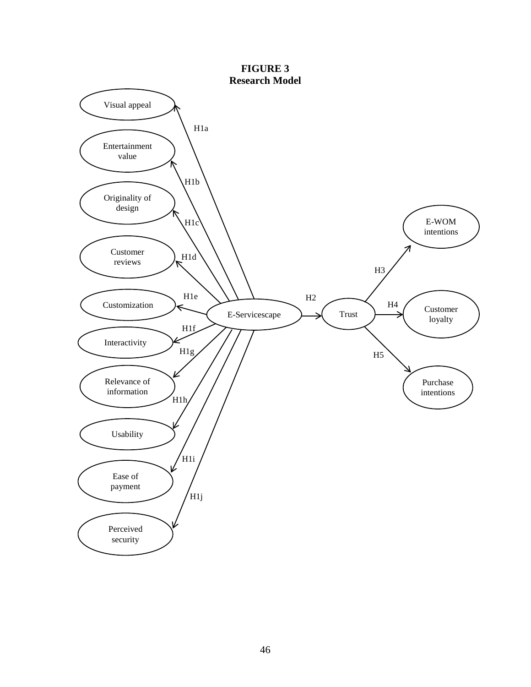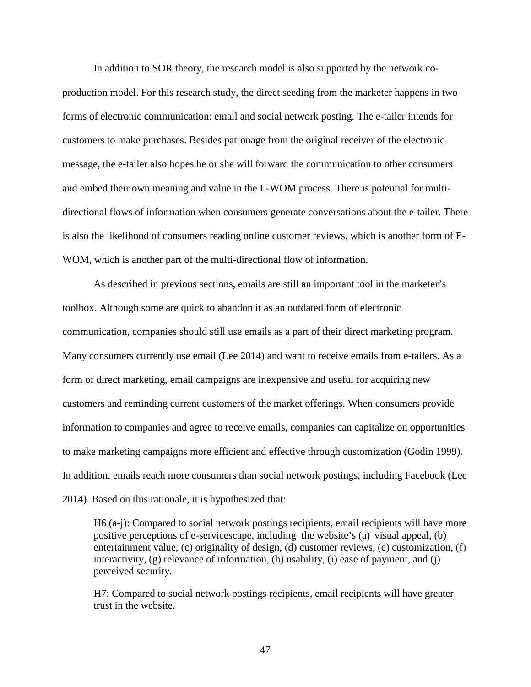In addition to SOR theory, the research model is also supported by the network coproduction model. For this research study, the direct seeding from the marketer happens in two forms of electronic communication: email and social network posting. The e-tailer intends for customers to make purchases. Besides patronage from the original receiver of the electronic message, the e-tailer also hopes he or she will forward the communication to other consumers and embed their own meaning and value in the E-WOM process. There is potential for multidirectional flows of information when consumers generate conversations about the e-tailer. There is also the likelihood of consumers reading online customer reviews, which is another form of E-WOM, which is another part of the multi-directional flow of information.

As described in previous sections, emails are still an important tool in the marketer's toolbox. Although some are quick to abandon it as an outdated form of electronic communication, companies should still use emails as a part of their direct marketing program. Many consumers currently use email (Lee 2014) and want to receive emails from e-tailers. As a form of direct marketing, email campaigns are inexpensive and useful for acquiring new customers and reminding current customers of the market offerings. When consumers provide information to companies and agree to receive emails, companies can capitalize on opportunities to make marketing campaigns more efficient and effective through customization (Godin 1999). In addition, emails reach more consumers than social network postings, including Facebook (Lee 2014). Based on this rationale, it is hypothesized that:

H6 (a-j): Compared to social network postings recipients, email recipients will have more positive perceptions of e-servicescape, including the website's (a) visual appeal, (b) entertainment value, (c) originality of design, (d) customer reviews, (e) customization, (f) interactivity, (g) relevance of information, (h) usability, (i) ease of payment, and (j) perceived security.

H7: Compared to social network postings recipients, email recipients will have greater trust in the website.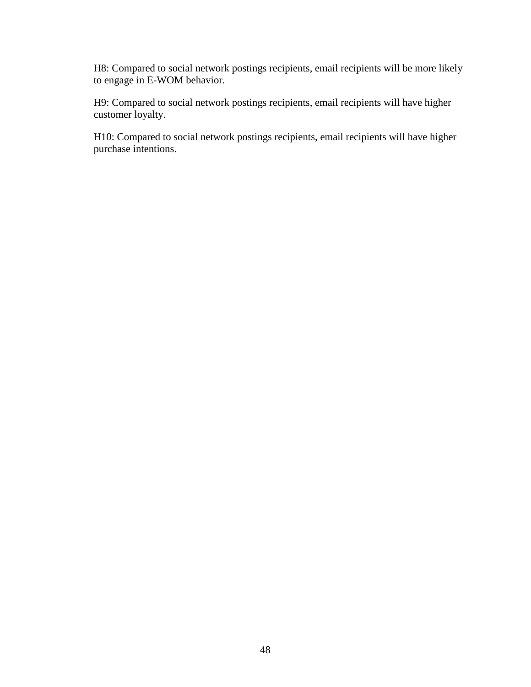H8: Compared to social network postings recipients, email recipients will be more likely to engage in E-WOM behavior.

H9: Compared to social network postings recipients, email recipients will have higher customer loyalty.

H10: Compared to social network postings recipients, email recipients will have higher purchase intentions.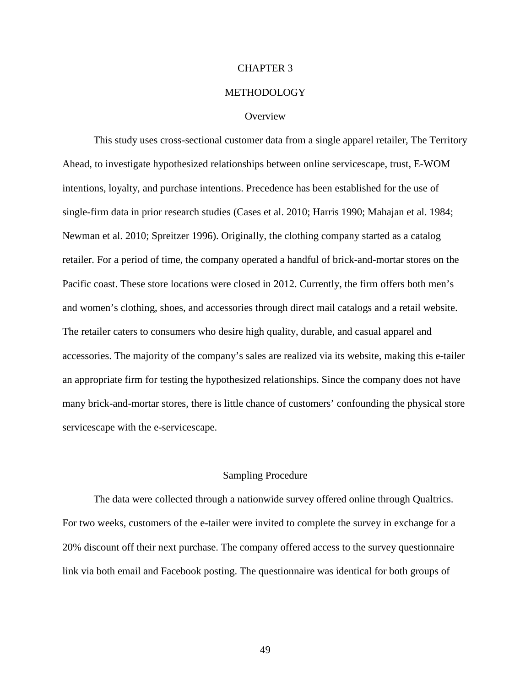## CHAPTER 3

## METHODOLOGY

### **Overview**

This study uses cross-sectional customer data from a single apparel retailer, The Territory Ahead, to investigate hypothesized relationships between online servicescape, trust, E-WOM intentions, loyalty, and purchase intentions. Precedence has been established for the use of single-firm data in prior research studies (Cases et al. 2010; Harris 1990; Mahajan et al. 1984; Newman et al. 2010; Spreitzer 1996). Originally, the clothing company started as a catalog retailer. For a period of time, the company operated a handful of brick-and-mortar stores on the Pacific coast. These store locations were closed in 2012. Currently, the firm offers both men's and women's clothing, shoes, and accessories through direct mail catalogs and a retail website. The retailer caters to consumers who desire high quality, durable, and casual apparel and accessories. The majority of the company's sales are realized via its website, making this e-tailer an appropriate firm for testing the hypothesized relationships. Since the company does not have many brick-and-mortar stores, there is little chance of customers' confounding the physical store servicescape with the e-servicescape.

## Sampling Procedure

The data were collected through a nationwide survey offered online through Qualtrics. For two weeks, customers of the e-tailer were invited to complete the survey in exchange for a 20% discount off their next purchase. The company offered access to the survey questionnaire link via both email and Facebook posting. The questionnaire was identical for both groups of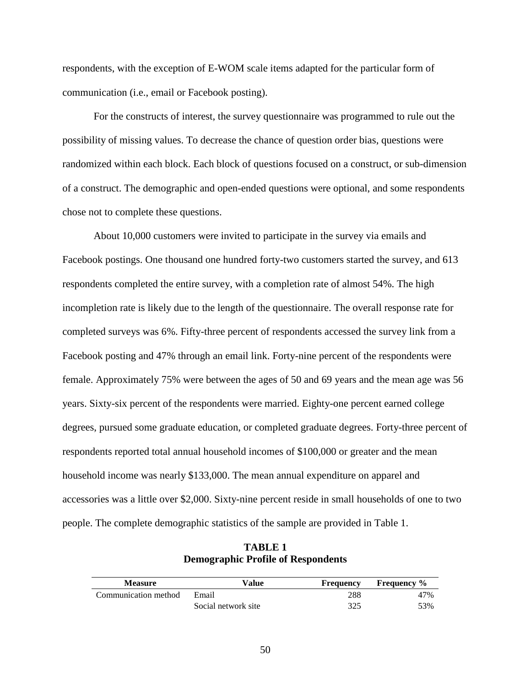respondents, with the exception of E-WOM scale items adapted for the particular form of communication (i.e., email or Facebook posting).

For the constructs of interest, the survey questionnaire was programmed to rule out the possibility of missing values. To decrease the chance of question order bias, questions were randomized within each block. Each block of questions focused on a construct, or sub-dimension of a construct. The demographic and open-ended questions were optional, and some respondents chose not to complete these questions.

About 10,000 customers were invited to participate in the survey via emails and Facebook postings. One thousand one hundred forty-two customers started the survey, and 613 respondents completed the entire survey, with a completion rate of almost 54%. The high incompletion rate is likely due to the length of the questionnaire. The overall response rate for completed surveys was 6%. Fifty-three percent of respondents accessed the survey link from a Facebook posting and 47% through an email link. Forty-nine percent of the respondents were female. Approximately 75% were between the ages of 50 and 69 years and the mean age was 56 years. Sixty-six percent of the respondents were married. Eighty-one percent earned college degrees, pursued some graduate education, or completed graduate degrees. Forty-three percent of respondents reported total annual household incomes of \$100,000 or greater and the mean household income was nearly \$133,000. The mean annual expenditure on apparel and accessories was a little over \$2,000. Sixty-nine percent reside in small households of one to two people. The complete demographic statistics of the sample are provided in Table 1.

**TABLE 1 Demographic Profile of Respondents**

| <b>Measure</b>       | Value               | Frequency | <b>Frequency</b> % |
|----------------------|---------------------|-----------|--------------------|
| Communication method | Email               | 288       | 47%                |
|                      | Social network site | 325       | 53%                |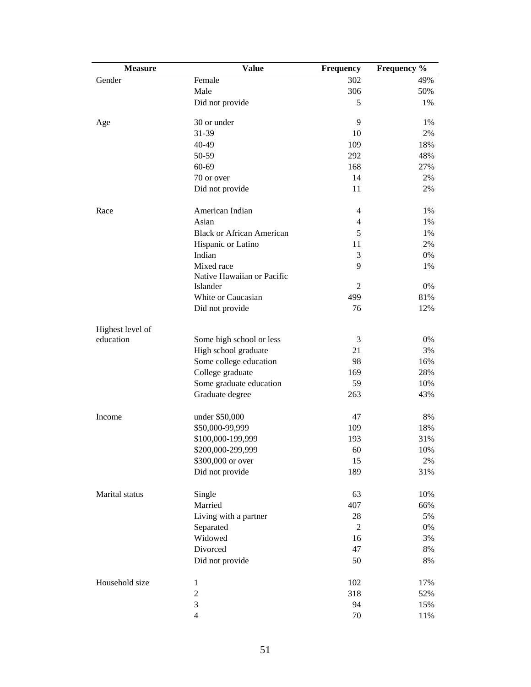| <b>Measure</b>   | <b>Value</b>                     | Frequency      | Frequency % |
|------------------|----------------------------------|----------------|-------------|
| Gender           | Female                           | 302            | 49%         |
|                  | Male                             | 306            | 50%         |
|                  | Did not provide                  | 5              | 1%          |
|                  |                                  |                |             |
| Age              | 30 or under                      | 9              | 1%          |
|                  | 31-39                            | 10             | 2%          |
|                  | 40-49                            | 109            | 18%         |
|                  | 50-59                            | 292            | 48%         |
|                  | 60-69                            | 168            | 27%         |
|                  | 70 or over                       | 14             | 2%          |
|                  | Did not provide                  | 11             | 2%          |
| Race             | American Indian                  | $\overline{4}$ | 1%          |
|                  | Asian                            | $\overline{4}$ | 1%          |
|                  | <b>Black or African American</b> | 5              | 1%          |
|                  | Hispanic or Latino               | 11             | 2%          |
|                  | Indian                           | 3              | $0\%$       |
|                  | Mixed race                       | 9              | 1%          |
|                  | Native Hawaiian or Pacific       |                |             |
|                  | Islander                         | $\overline{c}$ | $0\%$       |
|                  | White or Caucasian               | 499            | 81%         |
|                  | Did not provide                  | 76             | 12%         |
|                  |                                  |                |             |
| Highest level of |                                  |                |             |
| education        | Some high school or less         | 3              | 0%          |
|                  | High school graduate             | 21             | 3%          |
|                  | Some college education           | 98             | 16%         |
|                  | College graduate                 | 169            | 28%         |
|                  | Some graduate education          | 59             | 10%         |
|                  | Graduate degree                  | 263            | 43%         |
| Income           | under \$50,000                   | 47             | $8\%$       |
|                  | \$50,000-99,999                  | 109            | 18%         |
|                  | \$100,000-199,999                | 193            | 31%         |
|                  | \$200,000-299,999                | 60             | 10%         |
|                  | \$300,000 or over                | 15             | 2%          |
|                  | Did not provide                  | 189            | 31%         |
|                  |                                  |                |             |
| Marital status   | Single                           | 63             | 10%         |
|                  | Married                          | 407            | 66%         |
|                  | Living with a partner            | 28             | 5%          |
|                  | Separated                        | $\mathfrak{2}$ | $0\%$       |
|                  | Widowed                          | 16             | 3%          |
|                  | Divorced                         | 47             | $8\%$       |
|                  | Did not provide                  | 50             | $8\%$       |
|                  |                                  |                |             |
| Household size   | $\mathbf{1}$                     | 102            | 17%         |
|                  | $\overline{c}$                   | 318            | 52%         |
|                  | 3                                | 94             | 15%         |
|                  | $\overline{4}$                   | 70             | $11\%$      |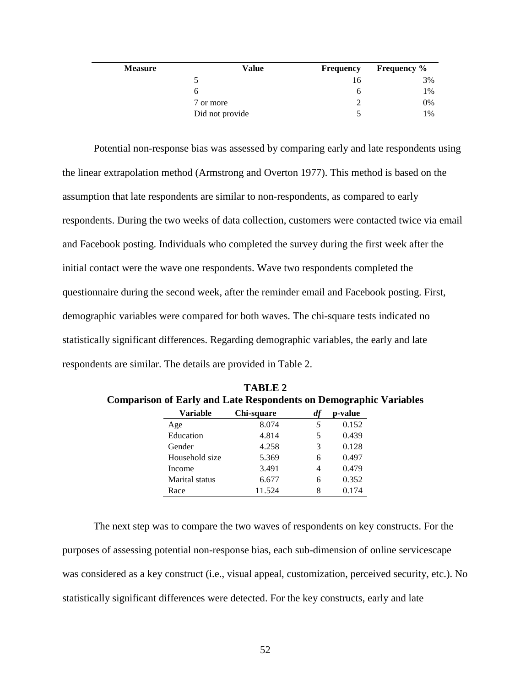| <b>Measure</b> | Value           | <b>Frequency</b> | <b>Frequency</b> % |
|----------------|-----------------|------------------|--------------------|
|                |                 | I b              | 3%                 |
|                |                 |                  | 1%                 |
|                | 7 or more       |                  | 0%                 |
|                | Did not provide |                  | 1%                 |

Potential non-response bias was assessed by comparing early and late respondents using the linear extrapolation method (Armstrong and Overton 1977). This method is based on the assumption that late respondents are similar to non-respondents, as compared to early respondents. During the two weeks of data collection, customers were contacted twice via email and Facebook posting. Individuals who completed the survey during the first week after the initial contact were the wave one respondents. Wave two respondents completed the questionnaire during the second week, after the reminder email and Facebook posting. First, demographic variables were compared for both waves. The chi-square tests indicated no statistically significant differences. Regarding demographic variables, the early and late respondents are similar. The details are provided in Table 2.

| <b>Variable</b> | Chi-square | df | p-value |
|-----------------|------------|----|---------|
| Age             | 8.074      | 5  | 0.152   |
| Education       | 4.814      | 5  | 0.439   |
| Gender          | 4.258      | 3  | 0.128   |
| Household size  | 5.369      | 6  | 0.497   |
| Income          | 3.491      | 4  | 0.479   |
| Marital status  | 6.677      | 6  | 0.352   |
| Race            | 11.524     | 8  | 0.174   |

**TABLE 2 Comparison of Early and Late Respondents on Demographic Variables**

The next step was to compare the two waves of respondents on key constructs. For the purposes of assessing potential non-response bias, each sub-dimension of online servicescape was considered as a key construct (i.e., visual appeal, customization, perceived security, etc.). No statistically significant differences were detected. For the key constructs, early and late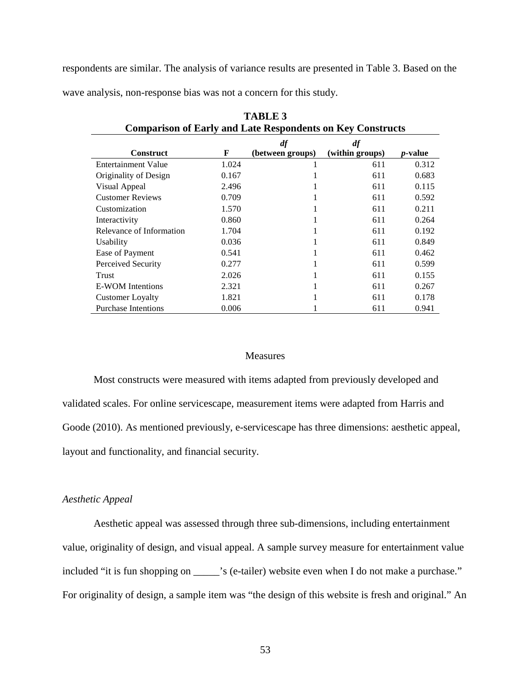respondents are similar. The analysis of variance results are presented in Table 3. Based on the wave analysis, non-response bias was not a concern for this study.

| <b>Comparison of Early and Late Respondents on Key Constructs</b> |       |                  |                 |                 |
|-------------------------------------------------------------------|-------|------------------|-----------------|-----------------|
|                                                                   |       | df               | df              |                 |
| <b>Construct</b>                                                  | F     | (between groups) | (within groups) | <i>p</i> -value |
| <b>Entertainment Value</b>                                        | 1.024 | 1                | 611             | 0.312           |
| Originality of Design                                             | 0.167 |                  | 611             | 0.683           |
| Visual Appeal                                                     | 2.496 |                  | 611             | 0.115           |
| <b>Customer Reviews</b>                                           | 0.709 |                  | 611             | 0.592           |
| Customization                                                     | 1.570 | T                | 611             | 0.211           |
| Interactivity                                                     | 0.860 |                  | 611             | 0.264           |
| Relevance of Information                                          | 1.704 |                  | 611             | 0.192           |
| <b>Usability</b>                                                  | 0.036 |                  | 611             | 0.849           |
| Ease of Payment                                                   | 0.541 |                  | 611             | 0.462           |
| Perceived Security                                                | 0.277 |                  | 611             | 0.599           |
| Trust                                                             | 2.026 | л                | 611             | 0.155           |
| E-WOM Intentions                                                  | 2.321 |                  | 611             | 0.267           |
| <b>Customer Loyalty</b>                                           | 1.821 |                  | 611             | 0.178           |
| <b>Purchase Intentions</b>                                        | 0.006 |                  | 611             | 0.941           |

**TABLE 3**

#### Measures

Most constructs were measured with items adapted from previously developed and validated scales. For online servicescape, measurement items were adapted from Harris and Goode (2010). As mentioned previously, e-servicescape has three dimensions: aesthetic appeal, layout and functionality, and financial security.

## *Aesthetic Appeal*

Aesthetic appeal was assessed through three sub-dimensions, including entertainment value, originality of design, and visual appeal. A sample survey measure for entertainment value included "it is fun shopping on \_\_\_\_\_'s (e-tailer) website even when I do not make a purchase." For originality of design, a sample item was "the design of this website is fresh and original." An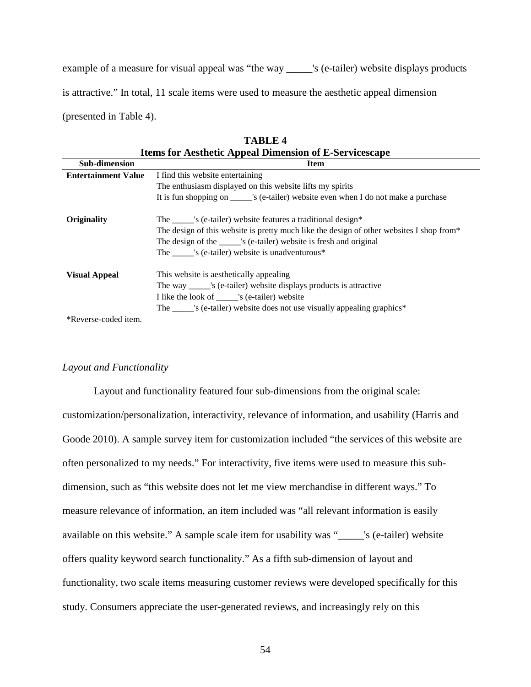example of a measure for visual appeal was "the way \_\_\_\_\_'s (e-tailer) website displays products is attractive." In total, 11 scale items were used to measure the aesthetic appeal dimension (presented in Table 4).

| <b>Items for Aesthetic Appeal Dimension of E-Servicescape</b> |                                                                                                                                                                                                                                                                                              |  |
|---------------------------------------------------------------|----------------------------------------------------------------------------------------------------------------------------------------------------------------------------------------------------------------------------------------------------------------------------------------------|--|
| <b>Sub-dimension</b>                                          | <b>Item</b>                                                                                                                                                                                                                                                                                  |  |
| <b>Entertainment Value</b>                                    | I find this website entertaining                                                                                                                                                                                                                                                             |  |
|                                                               | The enthusiasm displayed on this website lifts my spirits                                                                                                                                                                                                                                    |  |
|                                                               | It is fun shopping on _______'s (e-tailer) website even when I do not make a purchase                                                                                                                                                                                                        |  |
| Originality                                                   | The ______'s (e-tailer) website features a traditional design*<br>The design of this website is pretty much like the design of other websites I shop from*<br>The design of the ______'s (e-tailer) website is fresh and original<br>The 's (e-tailer) website is unadventurous <sup>*</sup> |  |
| <b>Visual Appeal</b>                                          | This website is aesthetically appealing<br>The way ______'s (e-tailer) website displays products is attractive<br>I like the look of _______'s (e-tailer) website<br>The ______'s (e-tailer) website does not use visually appealing graphics*                                               |  |

| <b>TABLE 4</b>                                               |  |
|--------------------------------------------------------------|--|
| <b>Items for Aesthetic Appeal Dimension of E-Servicescap</b> |  |

\*Reverse-coded item.

# *Layout and Functionality*

Layout and functionality featured four sub-dimensions from the original scale: customization/personalization, interactivity, relevance of information, and usability (Harris and Goode 2010). A sample survey item for customization included "the services of this website are often personalized to my needs." For interactivity, five items were used to measure this subdimension, such as "this website does not let me view merchandise in different ways." To measure relevance of information, an item included was "all relevant information is easily available on this website." A sample scale item for usability was "\_\_\_\_\_'s (e-tailer) website offers quality keyword search functionality." As a fifth sub-dimension of layout and functionality, two scale items measuring customer reviews were developed specifically for this study. Consumers appreciate the user-generated reviews, and increasingly rely on this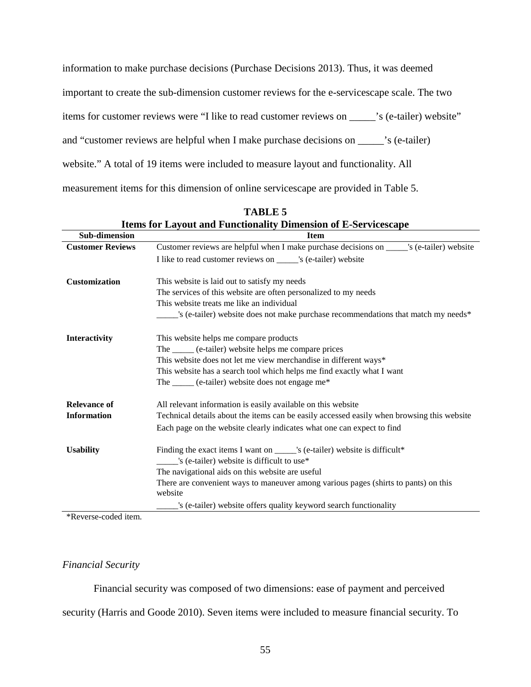information to make purchase decisions (Purchase Decisions 2013). Thus, it was deemed important to create the sub-dimension customer reviews for the e-servicescape scale. The two items for customer reviews were "I like to read customer reviews on \_\_\_\_\_'s (e-tailer) website" and "customer reviews are helpful when I make purchase decisions on \_\_\_\_\_'s (e-tailer) website." A total of 19 items were included to measure layout and functionality. All measurement items for this dimension of online servicescape are provided in Table 5.

| Sub-dimension           | <b>Item</b>                                                                                    |
|-------------------------|------------------------------------------------------------------------------------------------|
| <b>Customer Reviews</b> | Customer reviews are helpful when I make purchase decisions on _______'s (e-tailer) website    |
|                         | I like to read customer reviews on ______'s (e-tailer) website                                 |
|                         |                                                                                                |
| <b>Customization</b>    | This website is laid out to satisfy my needs                                                   |
|                         | The services of this website are often personalized to my needs                                |
|                         | This website treats me like an individual                                                      |
|                         | 's (e-tailer) website does not make purchase recommendations that match my needs*              |
| Interactivity           | This website helps me compare products                                                         |
|                         | The ______ (e-tailer) website helps me compare prices                                          |
|                         | This website does not let me view merchandise in different ways*                               |
|                         | This website has a search tool which helps me find exactly what I want                         |
|                         | The _____ (e-tailer) website does not engage me*                                               |
| <b>Relevance of</b>     | All relevant information is easily available on this website                                   |
| <b>Information</b>      | Technical details about the items can be easily accessed easily when browsing this website     |
|                         | Each page on the website clearly indicates what one can expect to find                         |
| <b>Usability</b>        | Finding the exact items I want on _____'s (e-tailer) website is difficult*                     |
|                         | 's (e-tailer) website is difficult to use*                                                     |
|                         | The navigational aids on this website are useful                                               |
|                         | There are convenient ways to maneuver among various pages (shirts to pants) on this<br>website |
|                         | 's (e-tailer) website offers quality keyword search functionality                              |

**TABLE 5 Items for Layout and Functionality Dimension of E-Servicescape**

\*Reverse-coded item.

### *Financial Security*

Financial security was composed of two dimensions: ease of payment and perceived security (Harris and Goode 2010). Seven items were included to measure financial security. To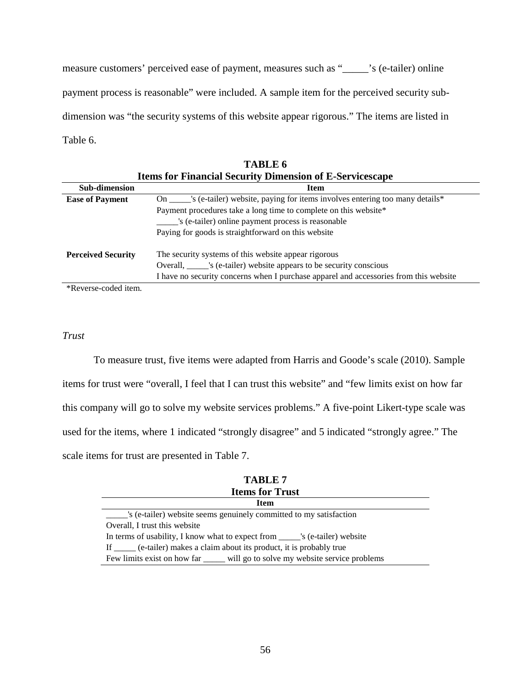measure customers' perceived ease of payment, measures such as "\_\_\_\_\_'s (e-tailer) online payment process is reasonable" were included. A sample item for the perceived security subdimension was "the security systems of this website appear rigorous." The items are listed in Table 6.

|                           | <b>Items for Financial Security Dimension of E-Servicescape</b>                       |
|---------------------------|---------------------------------------------------------------------------------------|
| <b>Sub-dimension</b>      | <b>Item</b>                                                                           |
| <b>Ease of Payment</b>    | s (e-tailer) website, paying for items involves entering too many details*<br>On      |
|                           | Payment procedures take a long time to complete on this website*                      |
|                           | 's (e-tailer) online payment process is reasonable                                    |
|                           | Paying for goods is straightforward on this website                                   |
| <b>Perceived Security</b> | The security systems of this website appear rigorous                                  |
|                           | Overall, ______'s (e-tailer) website appears to be security conscious                 |
|                           | I have no security concerns when I purchase apparel and accessories from this website |
|                           |                                                                                       |

**TABLE 6**

\*Reverse-coded item.

# *Trust*

To measure trust, five items were adapted from Harris and Goode's scale (2010). Sample items for trust were "overall, I feel that I can trust this website" and "few limits exist on how far this company will go to solve my website services problems." A five-point Likert-type scale was used for the items, where 1 indicated "strongly disagree" and 5 indicated "strongly agree." The scale items for trust are presented in Table 7.

| TABLE 7                                                                        |
|--------------------------------------------------------------------------------|
| <b>Items for Trust</b>                                                         |
| <b>Item</b>                                                                    |
| s (e-tailer) website seems genuinely committed to my satisfaction              |
| Overall, I trust this website                                                  |
| In terms of usability, I know what to expect from _______'s (e-tailer) website |
| If _____ (e-tailer) makes a claim about its product, it is probably true       |
| Few limits exist on how far _____ will go to solve my website service problems |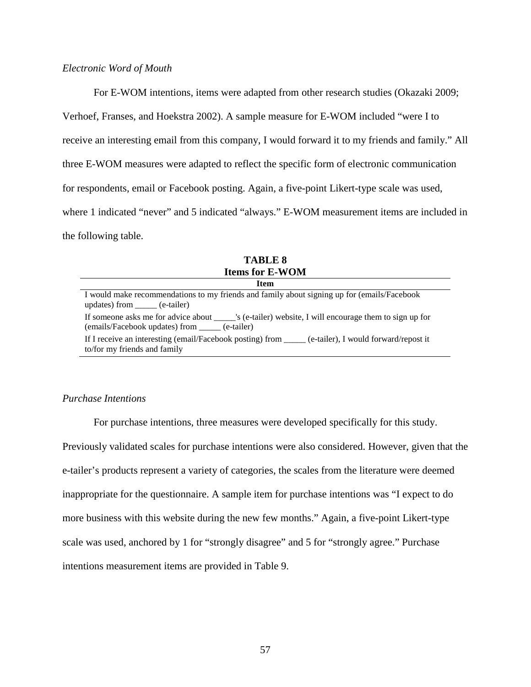## *Electronic Word of Mouth*

For E-WOM intentions, items were adapted from other research studies (Okazaki 2009; Verhoef, Franses, and Hoekstra 2002). A sample measure for E-WOM included "were I to receive an interesting email from this company, I would forward it to my friends and family." All three E-WOM measures were adapted to reflect the specific form of electronic communication for respondents, email or Facebook posting. Again, a five-point Likert-type scale was used, where 1 indicated "never" and 5 indicated "always." E-WOM measurement items are included in the following table.

| <b>Items for E-WOM</b>                                                                                                                |
|---------------------------------------------------------------------------------------------------------------------------------------|
| Item                                                                                                                                  |
| I would make recommendations to my friends and family about signing up for (emails/Facebook<br>updates) from _____ (e-tailer)         |
| If someone asks me for advice about _______'s (e-tailer) website, I will encourage them to sign up for<br>(e-tailer) (e-tailer)       |
| If I receive an interesting (email/Facebook posting) from _____ (e-tailer), I would forward/repost it<br>to/for my friends and family |

**TABLE 8**

## *Purchase Intentions*

For purchase intentions, three measures were developed specifically for this study. Previously validated scales for purchase intentions were also considered. However, given that the e-tailer's products represent a variety of categories, the scales from the literature were deemed inappropriate for the questionnaire. A sample item for purchase intentions was "I expect to do more business with this website during the new few months." Again, a five-point Likert-type scale was used, anchored by 1 for "strongly disagree" and 5 for "strongly agree." Purchase intentions measurement items are provided in Table 9.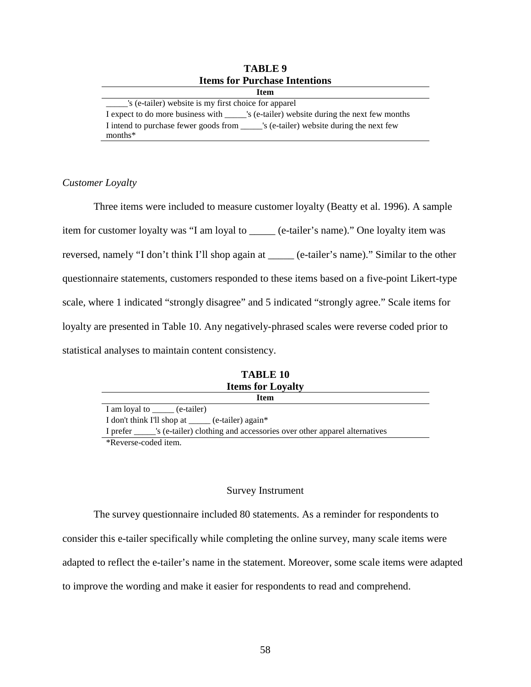| <b>Items for Purchase Intentions</b>                                                      |
|-------------------------------------------------------------------------------------------|
| <b>Item</b>                                                                               |
| s (e-tailer) website is my first choice for apparel                                       |
| I expect to do more business with _______'s (e-tailer) website during the next few months |
| I intend to purchase fewer goods from S (e-tailer) website during the next few            |
| $months*$                                                                                 |

# **TABLE 9 Items for Purchase Intentions**

# *Customer Loyalty*

Three items were included to measure customer loyalty (Beatty et al. 1996). A sample item for customer loyalty was "I am loyal to \_\_\_\_\_ (e-tailer's name)." One loyalty item was reversed, namely "I don't think I'll shop again at \_\_\_\_\_ (e-tailer's name)." Similar to the other questionnaire statements, customers responded to these items based on a five-point Likert-type scale, where 1 indicated "strongly disagree" and 5 indicated "strongly agree." Scale items for loyalty are presented in Table 10. Any negatively-phrased scales were reverse coded prior to statistical analyses to maintain content consistency.

| TABLE 10                                                                               |  |  |  |  |
|----------------------------------------------------------------------------------------|--|--|--|--|
| <b>Items for Loyalty</b>                                                               |  |  |  |  |
| Item                                                                                   |  |  |  |  |
| I am loyal to ______ (e-tailer)                                                        |  |  |  |  |
| I don't think I'll shop at ______ (e-tailer) again*                                    |  |  |  |  |
| I prefer _______'s (e-tailer) clothing and accessories over other apparel alternatives |  |  |  |  |
| $\mathbf{A}$                                                                           |  |  |  |  |

**TABLE 10**

\*Reverse-coded item.

## Survey Instrument

The survey questionnaire included 80 statements. As a reminder for respondents to consider this e-tailer specifically while completing the online survey, many scale items were adapted to reflect the e-tailer's name in the statement. Moreover, some scale items were adapted to improve the wording and make it easier for respondents to read and comprehend.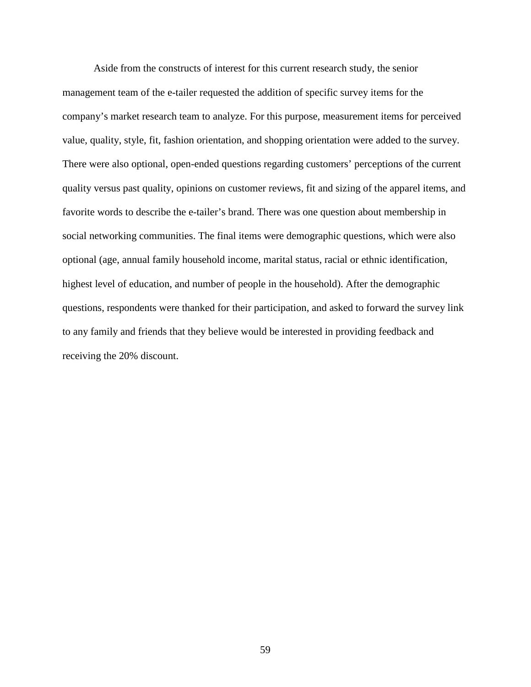Aside from the constructs of interest for this current research study, the senior management team of the e-tailer requested the addition of specific survey items for the company's market research team to analyze. For this purpose, measurement items for perceived value, quality, style, fit, fashion orientation, and shopping orientation were added to the survey. There were also optional, open-ended questions regarding customers' perceptions of the current quality versus past quality, opinions on customer reviews, fit and sizing of the apparel items, and favorite words to describe the e-tailer's brand. There was one question about membership in social networking communities. The final items were demographic questions, which were also optional (age, annual family household income, marital status, racial or ethnic identification, highest level of education, and number of people in the household). After the demographic questions, respondents were thanked for their participation, and asked to forward the survey link to any family and friends that they believe would be interested in providing feedback and receiving the 20% discount.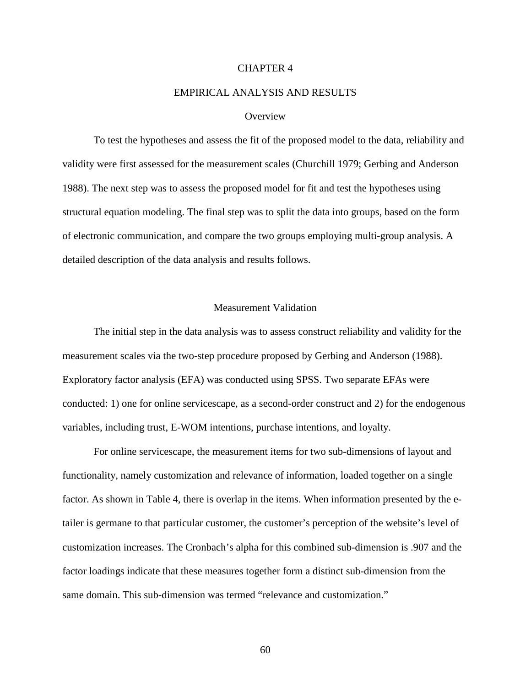## CHAPTER 4

# EMPIRICAL ANALYSIS AND RESULTS

#### **Overview**

To test the hypotheses and assess the fit of the proposed model to the data, reliability and validity were first assessed for the measurement scales (Churchill 1979; Gerbing and Anderson 1988). The next step was to assess the proposed model for fit and test the hypotheses using structural equation modeling. The final step was to split the data into groups, based on the form of electronic communication, and compare the two groups employing multi-group analysis. A detailed description of the data analysis and results follows.

#### Measurement Validation

The initial step in the data analysis was to assess construct reliability and validity for the measurement scales via the two-step procedure proposed by Gerbing and Anderson (1988). Exploratory factor analysis (EFA) was conducted using SPSS. Two separate EFAs were conducted: 1) one for online servicescape, as a second-order construct and 2) for the endogenous variables, including trust, E-WOM intentions, purchase intentions, and loyalty.

For online servicescape, the measurement items for two sub-dimensions of layout and functionality, namely customization and relevance of information, loaded together on a single factor. As shown in Table 4, there is overlap in the items. When information presented by the etailer is germane to that particular customer, the customer's perception of the website's level of customization increases. The Cronbach's alpha for this combined sub-dimension is .907 and the factor loadings indicate that these measures together form a distinct sub-dimension from the same domain. This sub-dimension was termed "relevance and customization."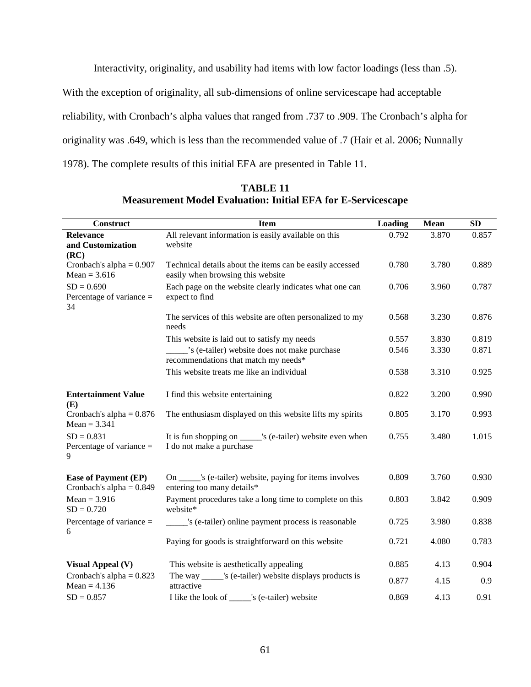Interactivity, originality, and usability had items with low factor loadings (less than .5).

With the exception of originality, all sub-dimensions of online servicescape had acceptable

reliability, with Cronbach's alpha values that ranged from .737 to .909. The Cronbach's alpha for

originality was .649, which is less than the recommended value of .7 (Hair et al. 2006; Nunnally

1978). The complete results of this initial EFA are presented in Table 11.

| <b>Construct</b>                                          | <b>Item</b>                                                                                   | Loading | <b>Mean</b> | SD    |
|-----------------------------------------------------------|-----------------------------------------------------------------------------------------------|---------|-------------|-------|
| Relevance<br>and Customization<br>(RC)                    | All relevant information is easily available on this<br>website                               | 0.792   | 3.870       | 0.857 |
| Cronbach's alpha = $0.907$<br>$Mean = 3.616$              | Technical details about the items can be easily accessed<br>easily when browsing this website | 0.780   | 3.780       | 0.889 |
| $SD = 0.690$<br>Percentage of variance $=$<br>34          | Each page on the website clearly indicates what one can<br>expect to find                     | 0.706   | 3.960       | 0.787 |
|                                                           | The services of this website are often personalized to my<br>needs                            | 0.568   | 3.230       | 0.876 |
|                                                           | This website is laid out to satisfy my needs                                                  | 0.557   | 3.830       | 0.819 |
|                                                           | 's (e-tailer) website does not make purchase<br>recommendations that match my needs*          | 0.546   | 3.330       | 0.871 |
|                                                           | This website treats me like an individual                                                     | 0.538   | 3.310       | 0.925 |
| <b>Entertainment Value</b><br>(E)                         | I find this website entertaining                                                              | 0.822   | 3.200       | 0.990 |
| Cronbach's alpha = $0.876$<br>$Mean = 3.341$              | The enthusiasm displayed on this website lifts my spirits                                     | 0.805   | 3.170       | 0.993 |
| $SD = 0.831$<br>Percentage of variance =<br>9             | It is fun shopping on ______'s (e-tailer) website even when<br>I do not make a purchase       | 0.755   | 3.480       | 1.015 |
| <b>Ease of Payment (EP)</b><br>Cronbach's alpha = $0.849$ | On ______'s (e-tailer) website, paying for items involves<br>entering too many details*       | 0.809   | 3.760       | 0.930 |
| $Mean = 3.916$<br>$SD = 0.720$                            | Payment procedures take a long time to complete on this<br>website*                           | 0.803   | 3.842       | 0.909 |
| Percentage of variance $=$<br>6                           | s (e-tailer) online payment process is reasonable                                             | 0.725   | 3.980       | 0.838 |
|                                                           | Paying for goods is straightforward on this website                                           | 0.721   | 4.080       | 0.783 |
| <b>Visual Appeal (V)</b>                                  | This website is aesthetically appealing                                                       | 0.885   | 4.13        | 0.904 |
| Cronbach's alpha = $0.823$<br>Mean = $4.136$              | The way ______'s (e-tailer) website displays products is<br>attractive                        | 0.877   | 4.15        | 0.9   |
| $SD = 0.857$                                              | I like the look of ______'s (e-tailer) website                                                | 0.869   | 4.13        | 0.91  |

**TABLE 11 Measurement Model Evaluation: Initial EFA for E-Servicescape**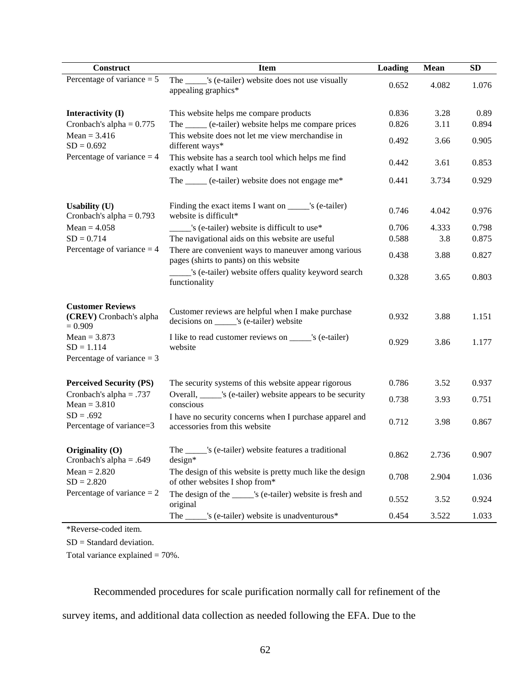| Construct                                                                            | <b>Item</b>                                                                                    | Loading | <b>Mean</b> | SD    |
|--------------------------------------------------------------------------------------|------------------------------------------------------------------------------------------------|---------|-------------|-------|
| Percentage of variance $= 5$                                                         | The ______'s (e-tailer) website does not use visually<br>appealing graphics*                   | 0.652   | 4.082       | 1.076 |
| Interactivity (I)                                                                    | This website helps me compare products                                                         | 0.836   | 3.28        | 0.89  |
| Cronbach's alpha = $0.775$                                                           | The _____ (e-tailer) website helps me compare prices                                           | 0.826   | 3.11        | 0.894 |
| $Mean = 3.416$<br>$SD = 0.692$<br>Percentage of variance $=$ 4                       | This website does not let me view merchandise in<br>different ways*                            | 0.492   | 3.66        | 0.905 |
|                                                                                      | This website has a search tool which helps me find<br>exactly what I want                      | 0.442   | 3.61        | 0.853 |
|                                                                                      | The _____ (e-tailer) website does not engage me*                                               | 0.441   | 3.734       | 0.929 |
| <b>Usability (U)</b><br>Cronbach's alpha = $0.793$                                   | Finding the exact items I want on ______'s (e-tailer)<br>website is difficult*                 | 0.746   | 4.042       | 0.976 |
| $Mean = 4.058$                                                                       | 's (e-tailer) website is difficult to use*                                                     | 0.706   | 4.333       | 0.798 |
| $SD = 0.714$                                                                         | The navigational aids on this website are useful                                               | 0.588   | 3.8         | 0.875 |
| Percentage of variance $=$ 4                                                         | There are convenient ways to maneuver among various<br>pages (shirts to pants) on this website | 0.438   | 3.88        | 0.827 |
|                                                                                      | s (e-tailer) website offers quality keyword search<br>functionality                            | 0.328   | 3.65        | 0.803 |
| <b>Customer Reviews</b><br>(CREV) Cronbach's alpha<br>$= 0.909$                      | Customer reviews are helpful when I make purchase<br>decisions on _____'s (e-tailer) website   | 0.932   | 3.88        | 1.151 |
| $Mean = 3.873$<br>$SD = 1.114$                                                       | I like to read customer reviews on _____'s (e-tailer)<br>website                               | 0.929   | 3.86        | 1.177 |
| Percentage of variance $=$ 3                                                         |                                                                                                |         |             |       |
| <b>Perceived Security (PS)</b>                                                       | The security systems of this website appear rigorous                                           | 0.786   | 3.52        | 0.937 |
| Cronbach's alpha = .737<br>$Mean = 3.810$<br>$SD = .692$<br>Percentage of variance=3 | Overall, ______'s (e-tailer) website appears to be security<br>conscious                       | 0.738   | 3.93        | 0.751 |
|                                                                                      | I have no security concerns when I purchase apparel and<br>accessories from this website       | 0.712   | 3.98        | 0.867 |
| Originality $(0)$<br>Cronbach's alpha = $.649$<br>$Mean = 2.820$<br>$SD = 2.820$     | The ______'s (e-tailer) website features a traditional<br>$design*$                            | 0.862   | 2.736       | 0.907 |
|                                                                                      | The design of this website is pretty much like the design<br>of other websites I shop from*    | 0.708   | 2.904       | 1.036 |
| Percentage of variance $= 2$                                                         | The design of the ______'s (e-tailer) website is fresh and<br>original                         | 0.552   | 3.52        | 0.924 |
|                                                                                      | The _____'s (e-tailer) website is unadventurous*                                               | 0.454   | 3.522       | 1.033 |

\*Reverse-coded item.

SD = Standard deviation.

Total variance explained = 70%.

Recommended procedures for scale purification normally call for refinement of the

survey items, and additional data collection as needed following the EFA. Due to the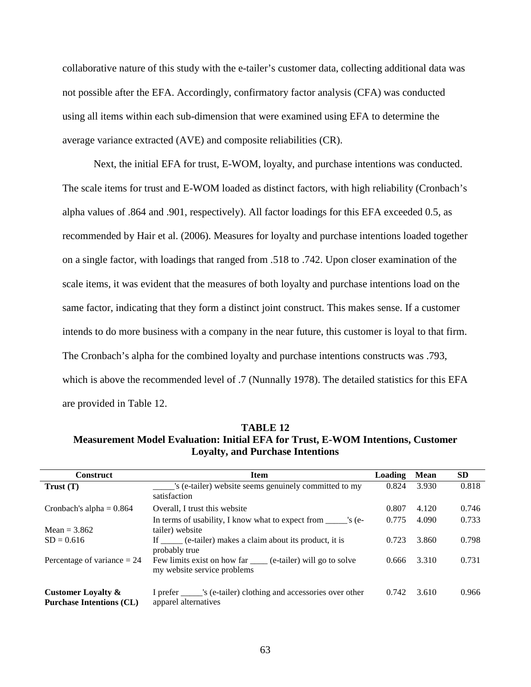collaborative nature of this study with the e-tailer's customer data, collecting additional data was not possible after the EFA. Accordingly, confirmatory factor analysis (CFA) was conducted using all items within each sub-dimension that were examined using EFA to determine the average variance extracted (AVE) and composite reliabilities (CR).

Next, the initial EFA for trust, E-WOM, loyalty, and purchase intentions was conducted. The scale items for trust and E-WOM loaded as distinct factors, with high reliability (Cronbach's alpha values of .864 and .901, respectively). All factor loadings for this EFA exceeded 0.5, as recommended by Hair et al. (2006). Measures for loyalty and purchase intentions loaded together on a single factor, with loadings that ranged from .518 to .742. Upon closer examination of the scale items, it was evident that the measures of both loyalty and purchase intentions load on the same factor, indicating that they form a distinct joint construct. This makes sense. If a customer intends to do more business with a company in the near future, this customer is loyal to that firm. The Cronbach's alpha for the combined loyalty and purchase intentions constructs was .793, which is above the recommended level of .7 (Nunnally 1978). The detailed statistics for this EFA are provided in Table 12.

**TABLE 12 Measurement Model Evaluation: Initial EFA for Trust, E-WOM Intentions, Customer Loyalty, and Purchase Intentions**

| <b>Construct</b>                                                 | <b>Item</b>                                                                                   | Loading | Mean  | <b>SD</b> |
|------------------------------------------------------------------|-----------------------------------------------------------------------------------------------|---------|-------|-----------|
| Trust(T)                                                         | 's (e-tailer) website seems genuinely committed to my<br>satisfaction                         | 0.824   | 3.930 | 0.818     |
| Cronbach's alpha = $0.864$                                       | Overall, I trust this website                                                                 | 0.807   | 4.120 | 0.746     |
| Mean = $3.862$                                                   | In terms of usability, I know what to expect from _______'s (e-<br>tailer) website            | 0.775   | 4.090 | 0.733     |
| $SD = 0.616$                                                     | If ______ (e-tailer) makes a claim about its product, it is<br>probably true                  | 0.723   | 3.860 | 0.798     |
| Percentage of variance $= 24$                                    | Few limits exist on how far ______ (e-tailer) will go to solve<br>my website service problems | 0.666   | 3.310 | 0.731     |
| <b>Customer Loyalty &amp;</b><br><b>Purchase Intentions (CL)</b> | I prefer _______'s (e-tailer) clothing and accessories over other<br>apparel alternatives     | 0.742   | 3.610 | 0.966     |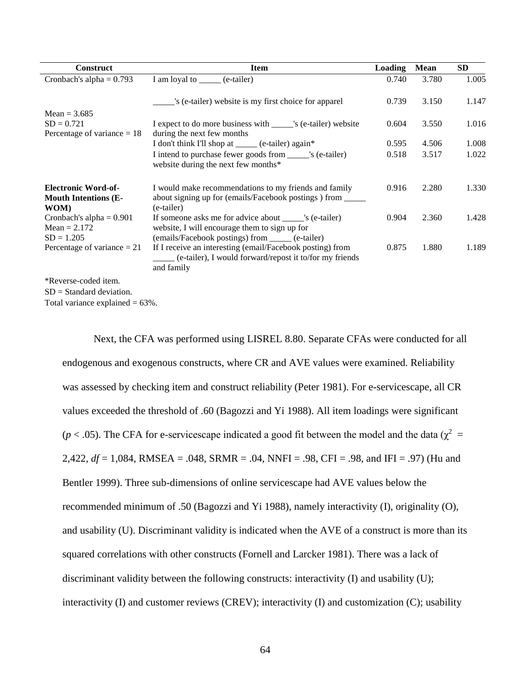| <b>Construct</b>                                                  | <b>Item</b>                                                                                                                                                   | <b>Loading</b> | Mean  | SD.   |
|-------------------------------------------------------------------|---------------------------------------------------------------------------------------------------------------------------------------------------------------|----------------|-------|-------|
| Cronbach's alpha = $0.793$                                        | I am loyal to ______ (e-tailer)                                                                                                                               | 0.740          | 3.780 | 1.005 |
|                                                                   | 's (e-tailer) website is my first choice for apparel                                                                                                          | 0.739          | 3.150 | 1.147 |
| Mean = $3.685$<br>$SD = 0.721$<br>Percentage of variance $= 18$   | I expect to do more business with _______'s (e-tailer) website<br>during the next few months                                                                  | 0.604          | 3.550 | 1.016 |
|                                                                   | I don't think I'll shop at _____ (e-tailer) again*                                                                                                            | 0.595          | 4.506 | 1.008 |
|                                                                   | I intend to purchase fewer goods from _______'s (e-tailer)<br>website during the next few months*                                                             | 0.518          | 3.517 | 1.022 |
| <b>Electronic Word-of-</b><br><b>Mouth Intentions (E-</b><br>WOM) | I would make recommendations to my friends and family<br>about signing up for (emails/Facebook postings) from _____<br>(e-tailer)                             | 0.916          | 2.280 | 1.330 |
| Cronbach's alpha = $0.901$<br>Mean = $2.172$<br>$SD = 1.205$      | If someone asks me for advice about _______'s (e-tailer)<br>website, I will encourage them to sign up for<br>(emails/Facebook postings) from _____ (e-tailer) | 0.904          | 2.360 | 1.428 |
| Percentage of variance $= 21$                                     | If I receive an interesting (email/Facebook posting) from<br>(e-tailer), I would forward/repost it to/for my friends<br>and family                            | 0.875          | 1.880 | 1.189 |
| *Reverse-coded item.<br>$SD = Standard deviation$ .               |                                                                                                                                                               |                |       |       |

Total variance explained  $= 63\%$ .

Next, the CFA was performed using LISREL 8.80. Separate CFAs were conducted for all endogenous and exogenous constructs, where CR and AVE values were examined. Reliability was assessed by checking item and construct reliability (Peter 1981). For e-servicescape, all CR values exceeded the threshold of .60 (Bagozzi and Yi 1988). All item loadings were significant ( $p < .05$ ). The CFA for e-servicescape indicated a good fit between the model and the data ( $\chi^2$  = 2,422, *df* = 1,084, RMSEA = .048, SRMR = .04, NNFI = .98, CFI = .98, and IFI = .97) (Hu and Bentler 1999). Three sub-dimensions of online servicescape had AVE values below the recommended minimum of .50 (Bagozzi and Yi 1988), namely interactivity (I), originality (O), and usability (U). Discriminant validity is indicated when the AVE of a construct is more than its squared correlations with other constructs (Fornell and Larcker 1981). There was a lack of discriminant validity between the following constructs: interactivity (I) and usability (U); interactivity (I) and customer reviews (CREV); interactivity (I) and customization (C); usability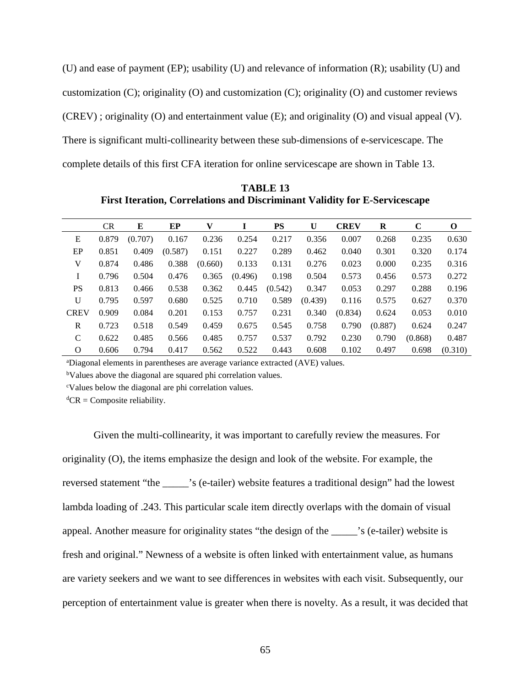(U) and ease of payment (EP); usability (U) and relevance of information (R); usability (U) and customization (C); originality (O) and customization (C); originality (O) and customer reviews (CREV) ; originality (O) and entertainment value (E); and originality (O) and visual appeal (V). There is significant multi-collinearity between these sub-dimensions of e-servicescape. The complete details of this first CFA iteration for online servicescape are shown in Table 13.

|              | <b>CR</b> | E       | EP      | V       |         | PS      | U       | <b>CREV</b> | $\bf{R}$ | C       | 0       |
|--------------|-----------|---------|---------|---------|---------|---------|---------|-------------|----------|---------|---------|
| E            | 0.879     | (0.707) | 0.167   | 0.236   | 0.254   | 0.217   | 0.356   | 0.007       | 0.268    | 0.235   | 0.630   |
| EP           | 0.851     | 0.409   | (0.587) | 0.151   | 0.227   | 0.289   | 0.462   | 0.040       | 0.301    | 0.320   | 0.174   |
| V            | 0.874     | 0.486   | 0.388   | (0.660) | 0.133   | 0.131   | 0.276   | 0.023       | 0.000    | 0.235   | 0.316   |
| Ι            | 0.796     | 0.504   | 0.476   | 0.365   | (0.496) | 0.198   | 0.504   | 0.573       | 0.456    | 0.573   | 0.272   |
| <b>PS</b>    | 0.813     | 0.466   | 0.538   | 0.362   | 0.445   | (0.542) | 0.347   | 0.053       | 0.297    | 0.288   | 0.196   |
| U            | 0.795     | 0.597   | 0.680   | 0.525   | 0.710   | 0.589   | (0.439) | 0.116       | 0.575    | 0.627   | 0.370   |
| <b>CREV</b>  | 0.909     | 0.084   | 0.201   | 0.153   | 0.757   | 0.231   | 0.340   | (0.834)     | 0.624    | 0.053   | 0.010   |
| $\mathbb{R}$ | 0.723     | 0.518   | 0.549   | 0.459   | 0.675   | 0.545   | 0.758   | 0.790       | (0.887)  | 0.624   | 0.247   |
| C            | 0.622     | 0.485   | 0.566   | 0.485   | 0.757   | 0.537   | 0.792   | 0.230       | 0.790    | (0.868) | 0.487   |
| O            | 0.606     | 0.794   | 0.417   | 0.562   | 0.522   | 0.443   | 0.608   | 0.102       | 0.497    | 0.698   | (0.310) |

**TABLE 13 First Iteration, Correlations and Discriminant Validity for E-Servicescape**

a Diagonal elements in parentheses are average variance extracted (AVE) values.

<sup>b</sup>Values above the diagonal are squared phi correlation values.

c Values below the diagonal are phi correlation values.

 ${}^d$ CR = Composite reliability.

Given the multi-collinearity, it was important to carefully review the measures. For originality (O), the items emphasize the design and look of the website. For example, the reversed statement "the \_\_\_\_\_'s (e-tailer) website features a traditional design" had the lowest lambda loading of .243. This particular scale item directly overlaps with the domain of visual appeal. Another measure for originality states "the design of the \_\_\_\_\_'s (e-tailer) website is fresh and original." Newness of a website is often linked with entertainment value, as humans are variety seekers and we want to see differences in websites with each visit. Subsequently, our perception of entertainment value is greater when there is novelty. As a result, it was decided that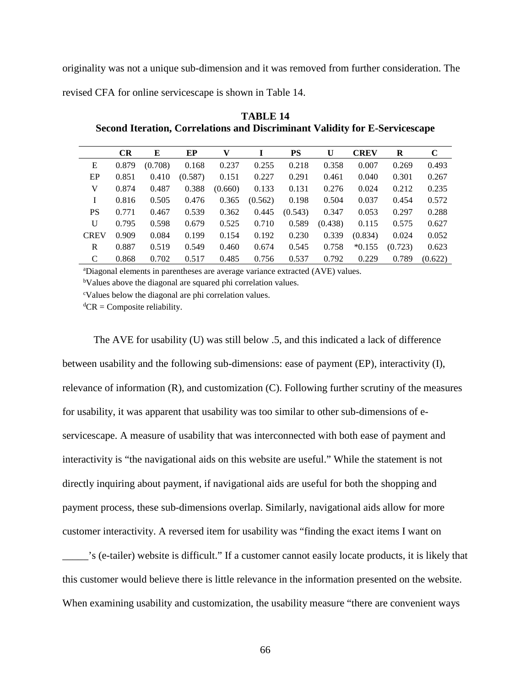originality was not a unique sub-dimension and it was removed from further consideration. The revised CFA for online servicescape is shown in Table 14.

|              | CR    | E       | EP      | v       |         | <b>PS</b> | U       | <b>CREV</b> | R       | $\mathbf C$ |
|--------------|-------|---------|---------|---------|---------|-----------|---------|-------------|---------|-------------|
| E            | 0.879 | (0.708) | 0.168   | 0.237   | 0.255   | 0.218     | 0.358   | 0.007       | 0.269   | 0.493       |
| EP           | 0.851 | 0.410   | (0.587) | 0.151   | 0.227   | 0.291     | 0.461   | 0.040       | 0.301   | 0.267       |
| V            | 0.874 | 0.487   | 0.388   | (0.660) | 0.133   | 0.131     | 0.276   | 0.024       | 0.212   | 0.235       |
| I            | 0.816 | 0.505   | 0.476   | 0.365   | (0.562) | 0.198     | 0.504   | 0.037       | 0.454   | 0.572       |
| <b>PS</b>    | 0.771 | 0.467   | 0.539   | 0.362   | 0.445   | (0.543)   | 0.347   | 0.053       | 0.297   | 0.288       |
| $\mathbf{U}$ | 0.795 | 0.598   | 0.679   | 0.525   | 0.710   | 0.589     | (0.438) | 0.115       | 0.575   | 0.627       |
| <b>CREV</b>  | 0.909 | 0.084   | 0.199   | 0.154   | 0.192   | 0.230     | 0.339   | (0.834)     | 0.024   | 0.052       |
| R            | 0.887 | 0.519   | 0.549   | 0.460   | 0.674   | 0.545     | 0.758   | $*0.155$    | (0.723) | 0.623       |
| C            | 0.868 | 0.702   | 0.517   | 0.485   | 0.756   | 0.537     | 0.792   | 0.229       | 0.789   | (0.622)     |

**TABLE 14 Second Iteration, Correlations and Discriminant Validity for E-Servicescape**

a Diagonal elements in parentheses are average variance extracted (AVE) values.

<sup>b</sup>Values above the diagonal are squared phi correlation values.

c Values below the diagonal are phi correlation values.

 ${}^d$ CR = Composite reliability.

The AVE for usability (U) was still below .5, and this indicated a lack of difference between usability and the following sub-dimensions: ease of payment (EP), interactivity (I), relevance of information (R), and customization (C). Following further scrutiny of the measures for usability, it was apparent that usability was too similar to other sub-dimensions of eservicescape. A measure of usability that was interconnected with both ease of payment and interactivity is "the navigational aids on this website are useful." While the statement is not directly inquiring about payment, if navigational aids are useful for both the shopping and payment process, these sub-dimensions overlap. Similarly, navigational aids allow for more customer interactivity. A reversed item for usability was "finding the exact items I want on

\_\_\_\_\_'s (e-tailer) website is difficult." If a customer cannot easily locate products, it is likely that this customer would believe there is little relevance in the information presented on the website. When examining usability and customization, the usability measure "there are convenient ways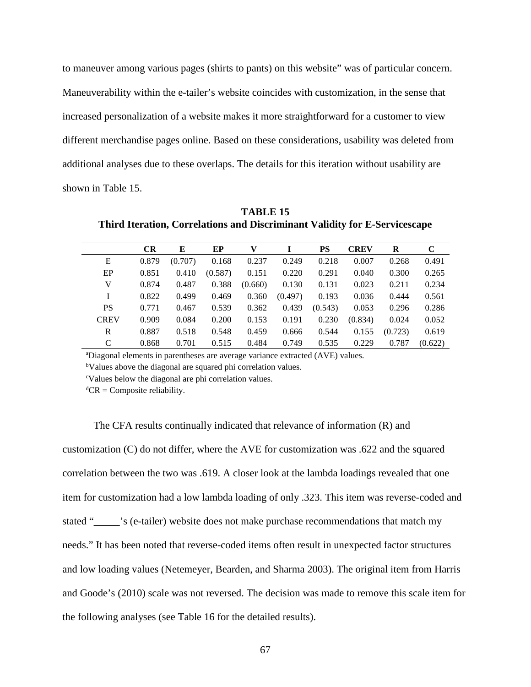to maneuver among various pages (shirts to pants) on this website" was of particular concern. Maneuverability within the e-tailer's website coincides with customization, in the sense that increased personalization of a website makes it more straightforward for a customer to view different merchandise pages online. Based on these considerations, usability was deleted from additional analyses due to these overlaps. The details for this iteration without usability are shown in Table 15.

**CR E EP V I PS CREV R C** E 0.879 (0.707) 0.168 0.237 0.249 0.218 0.007 0.268 0.491 EP 0.851 0.410 (0.587) 0.151 0.220 0.291 0.040 0.300 0.265 V 0.874 0.487 0.388 (0.660) 0.130 0.131 0.023 0.211 0.234 I 0.822 0.499 0.469 0.360 (0.497) 0.193 0.036 0.444 0.561 PS 0.771 0.467 0.539 0.362 0.439 (0.543) 0.053 0.296 0.286 CREV 0.909 0.084 0.200 0.153 0.191 0.230 (0.834) 0.024 0.052 R 0.887 0.518 0.548 0.459 0.666 0.544 0.155 (0.723) 0.619 C 0.868 0.701 0.515 0.484 0.749 0.535 0.229 0.787 (0.622)

**TABLE 15 Third Iteration, Correlations and Discriminant Validity for E-Servicescape**

a Diagonal elements in parentheses are average variance extracted (AVE) values.

<sup>b</sup>Values above the diagonal are squared phi correlation values.

c Values below the diagonal are phi correlation values.

 ${}^d$ CR = Composite reliability.

The CFA results continually indicated that relevance of information (R) and customization (C) do not differ, where the AVE for customization was .622 and the squared correlation between the two was .619. A closer look at the lambda loadings revealed that one item for customization had a low lambda loading of only .323. This item was reverse-coded and stated "\_\_\_\_\_'s (e-tailer) website does not make purchase recommendations that match my needs." It has been noted that reverse-coded items often result in unexpected factor structures and low loading values (Netemeyer, Bearden, and Sharma 2003). The original item from Harris and Goode's (2010) scale was not reversed. The decision was made to remove this scale item for the following analyses (see Table 16 for the detailed results).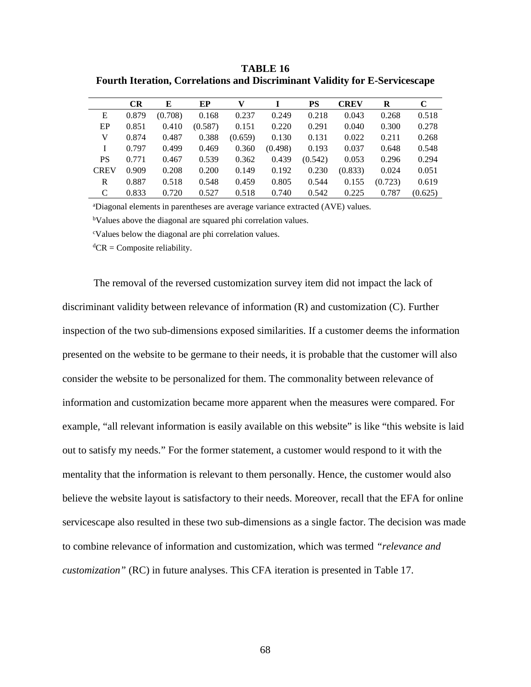**TABLE 16 Fourth Iteration, Correlations and Discriminant Validity for E-Servicescape**

|             | <b>CR</b> | E       | EP      | V       |         | PS      | <b>CREV</b> | R       | C       |
|-------------|-----------|---------|---------|---------|---------|---------|-------------|---------|---------|
| E           | 0.879     | (0.708) | 0.168   | 0.237   | 0.249   | 0.218   | 0.043       | 0.268   | 0.518   |
| EP          | 0.851     | 0.410   | (0.587) | 0.151   | 0.220   | 0.291   | 0.040       | 0.300   | 0.278   |
| V           | 0.874     | 0.487   | 0.388   | (0.659) | 0.130   | 0.131   | 0.022       | 0.211   | 0.268   |
|             | 0.797     | 0.499   | 0.469   | 0.360   | (0.498) | 0.193   | 0.037       | 0.648   | 0.548   |
| <b>PS</b>   | 0.771     | 0.467   | 0.539   | 0.362   | 0.439   | (0.542) | 0.053       | 0.296   | 0.294   |
| <b>CREV</b> | 0.909     | 0.208   | 0.200   | 0.149   | 0.192   | 0.230   | (0.833)     | 0.024   | 0.051   |
| R           | 0.887     | 0.518   | 0.548   | 0.459   | 0.805   | 0.544   | 0.155       | (0.723) | 0.619   |
| C           | 0.833     | 0.720   | 0.527   | 0.518   | 0.740   | 0.542   | 0.225       | 0.787   | (0.625) |

a Diagonal elements in parentheses are average variance extracted (AVE) values.

<sup>b</sup>Values above the diagonal are squared phi correlation values.

c Values below the diagonal are phi correlation values.

 ${}^d$ CR = Composite reliability.

The removal of the reversed customization survey item did not impact the lack of discriminant validity between relevance of information (R) and customization (C). Further inspection of the two sub-dimensions exposed similarities. If a customer deems the information presented on the website to be germane to their needs, it is probable that the customer will also consider the website to be personalized for them. The commonality between relevance of information and customization became more apparent when the measures were compared. For example, "all relevant information is easily available on this website" is like "this website is laid out to satisfy my needs." For the former statement, a customer would respond to it with the mentality that the information is relevant to them personally. Hence, the customer would also believe the website layout is satisfactory to their needs. Moreover, recall that the EFA for online servicescape also resulted in these two sub-dimensions as a single factor. The decision was made to combine relevance of information and customization, which was termed *"relevance and customization"* (RC) in future analyses. This CFA iteration is presented in Table 17.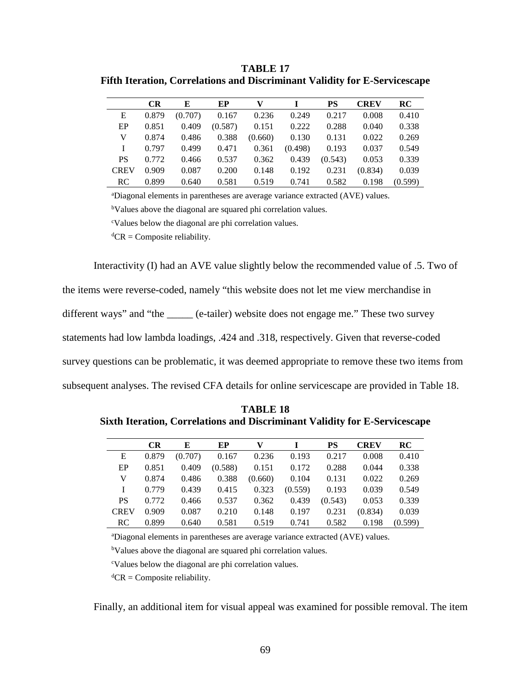**TABLE 17 Fifth Iteration, Correlations and Discriminant Validity for E-Servicescape**

|             | <b>CR</b> | E       | EP      | v       |         | <b>PS</b> | <b>CREV</b> | RC      |
|-------------|-----------|---------|---------|---------|---------|-----------|-------------|---------|
| E           | 0.879     | (0.707) | 0.167   | 0.236   | 0.249   | 0.217     | 0.008       | 0.410   |
| EP          | 0.851     | 0.409   | (0.587) | 0.151   | 0.222   | 0.288     | 0.040       | 0.338   |
| V           | 0.874     | 0.486   | 0.388   | (0.660) | 0.130   | 0.131     | 0.022       | 0.269   |
| L           | 0.797     | 0.499   | 0.471   | 0.361   | (0.498) | 0.193     | 0.037       | 0.549   |
| <b>PS</b>   | 0.772     | 0.466   | 0.537   | 0.362   | 0.439   | (0.543)   | 0.053       | 0.339   |
| <b>CREV</b> | 0.909     | 0.087   | 0.200   | 0.148   | 0.192   | 0.231     | (0.834)     | 0.039   |
| <b>RC</b>   | 0.899     | 0.640   | 0.581   | 0.519   | 0.741   | 0.582     | 0.198       | (0.599) |

a Diagonal elements in parentheses are average variance extracted (AVE) values.

<sup>b</sup>Values above the diagonal are squared phi correlation values.

c Values below the diagonal are phi correlation values.

 ${}^d$ CR = Composite reliability.

Interactivity (I) had an AVE value slightly below the recommended value of .5. Two of

the items were reverse-coded, namely "this website does not let me view merchandise in

different ways" and "the \_\_\_\_\_ (e-tailer) website does not engage me." These two survey

statements had low lambda loadings, .424 and .318, respectively. Given that reverse-coded

survey questions can be problematic, it was deemed appropriate to remove these two items from

subsequent analyses. The revised CFA details for online servicescape are provided in Table 18.

**TABLE 18 Sixth Iteration, Correlations and Discriminant Validity for E-Servicescape**

|             | CR    | E       | EP      | v       |         | <b>PS</b> | <b>CREV</b> | RC      |
|-------------|-------|---------|---------|---------|---------|-----------|-------------|---------|
| E           | 0.879 | (0.707) | 0.167   | 0.236   | 0.193   | 0.217     | 0.008       | 0.410   |
| EP          | 0.851 | 0.409   | (0.588) | 0.151   | 0.172   | 0.288     | 0.044       | 0.338   |
| V           | 0.874 | 0.486   | 0.388   | (0.660) | 0.104   | 0.131     | 0.022       | 0.269   |
|             | 0.779 | 0.439   | 0.415   | 0.323   | (0.559) | 0.193     | 0.039       | 0.549   |
| <b>PS</b>   | 0.772 | 0.466   | 0.537   | 0.362   | 0.439   | (0.543)   | 0.053       | 0.339   |
| <b>CREV</b> | 0.909 | 0.087   | 0.210   | 0.148   | 0.197   | 0.231     | (0.834)     | 0.039   |
| RC.         | 0.899 | 0.640   | 0.581   | 0.519   | 0.741   | 0.582     | 0.198       | (0.599) |

a Diagonal elements in parentheses are average variance extracted (AVE) values.

<sup>b</sup>Values above the diagonal are squared phi correlation values.

c Values below the diagonal are phi correlation values.

 ${}^d$ CR = Composite reliability.

Finally, an additional item for visual appeal was examined for possible removal. The item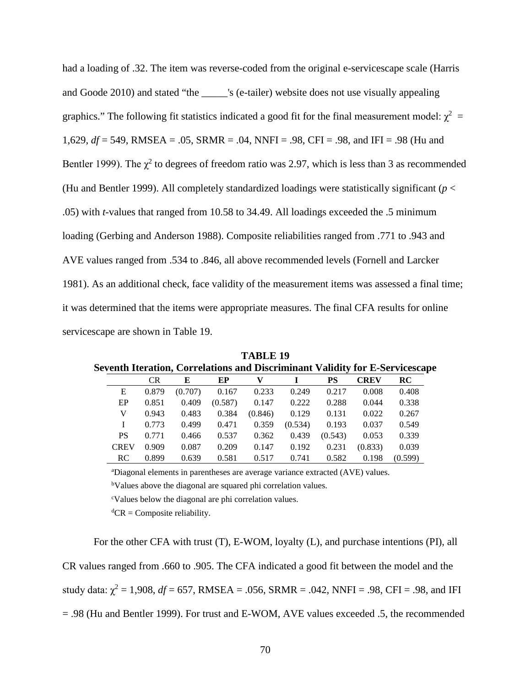had a loading of .32. The item was reverse-coded from the original e-servicescape scale (Harris and Goode 2010) and stated "the \_\_\_\_\_'s (e-tailer) website does not use visually appealing graphics." The following fit statistics indicated a good fit for the final measurement model:  $\chi^2$  = 1,629, *df* = 549, RMSEA = .05, SRMR = .04, NNFI = .98, CFI = .98, and IFI = .98 (Hu and Bentler 1999). The  $\chi^2$  to degrees of freedom ratio was 2.97, which is less than 3 as recommended (Hu and Bentler 1999). All completely standardized loadings were statistically significant (*p* < .05) with *t-*values that ranged from 10.58 to 34.49. All loadings exceeded the .5 minimum loading (Gerbing and Anderson 1988). Composite reliabilities ranged from .771 to .943 and AVE values ranged from .534 to .846, all above recommended levels (Fornell and Larcker 1981). As an additional check, face validity of the measurement items was assessed a final time; it was determined that the items were appropriate measures. The final CFA results for online servicescape are shown in Table 19.

|             |           |         |         |         |         |         |             | Seventh Iteration, Correlations and Discriminant Validity for E-Servicescap |
|-------------|-----------|---------|---------|---------|---------|---------|-------------|-----------------------------------------------------------------------------|
|             | <b>CR</b> | Е       | EP      | V       |         | PS      | <b>CREV</b> | <b>RC</b>                                                                   |
| E           | 0.879     | (0.707) | 0.167   | 0.233   | 0.249   | 0.217   | 0.008       | 0.408                                                                       |
| EP          | 0.851     | 0.409   | (0.587) | 0.147   | 0.222   | 0.288   | 0.044       | 0.338                                                                       |
| V           | 0.943     | 0.483   | 0.384   | (0.846) | 0.129   | 0.131   | 0.022       | 0.267                                                                       |
|             | 0.773     | 0.499   | 0.471   | 0.359   | (0.534) | 0.193   | 0.037       | 0.549                                                                       |
| <b>PS</b>   | 0.771     | 0.466   | 0.537   | 0.362   | 0.439   | (0.543) | 0.053       | 0.339                                                                       |
| <b>CREV</b> | 0.909     | 0.087   | 0.209   | 0.147   | 0.192   | 0.231   | (0.833)     | 0.039                                                                       |
| <b>RC</b>   | 0.899     | 0.639   | 0.581   | 0.517   | 0.741   | 0.582   | 0.198       | (0.599)                                                                     |

**TABLE 19 Seventh Iteration, Correlations and Discriminant Validity for E-Servicescape**

a Diagonal elements in parentheses are average variance extracted (AVE) values.

<sup>b</sup>Values above the diagonal are squared phi correlation values.

c Values below the diagonal are phi correlation values.

 ${}^d$ CR = Composite reliability.

For the other CFA with trust (T), E-WOM, loyalty (L), and purchase intentions (PI), all CR values ranged from .660 to .905. The CFA indicated a good fit between the model and the study data:  $\chi^2 = 1,908$ ,  $df = 657$ , RMSEA = .056, SRMR = .042, NNFI = .98, CFI = .98, and IFI = .98 (Hu and Bentler 1999). For trust and E-WOM, AVE values exceeded .5, the recommended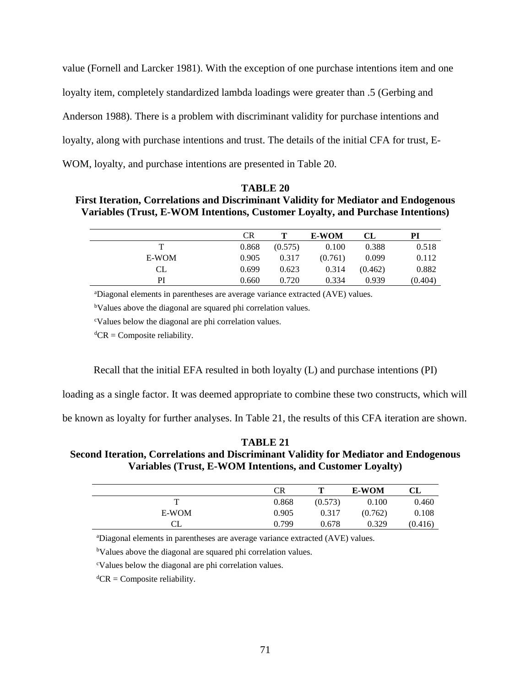value (Fornell and Larcker 1981). With the exception of one purchase intentions item and one loyalty item, completely standardized lambda loadings were greater than .5 (Gerbing and Anderson 1988). There is a problem with discriminant validity for purchase intentions and loyalty, along with purchase intentions and trust. The details of the initial CFA for trust, E-WOM, loyalty, and purchase intentions are presented in Table 20.

## **TABLE 20**

## **First Iteration, Correlations and Discriminant Validity for Mediator and Endogenous Variables (Trust, E-WOM Intentions, Customer Loyalty, and Purchase Intentions)**

|       | <b>CR</b> |         | <b>E-WOM</b> | CL      | PI      |
|-------|-----------|---------|--------------|---------|---------|
|       | 0.868     | (0.575) | 0.100        | 0.388   | 0.518   |
| E-WOM | 0.905     | 0.317   | (0.761)      | 0.099   | 0.112   |
| CL.   | 0.699     | 0.623   | 0.314        | (0.462) | 0.882   |
| PI    | 0.660     | 0.720   | 0.334        | 0.939   | (0.404) |

a Diagonal elements in parentheses are average variance extracted (AVE) values.

<sup>b</sup>Values above the diagonal are squared phi correlation values.

c Values below the diagonal are phi correlation values.

 ${}^d$ CR = Composite reliability.

Recall that the initial EFA resulted in both loyalty (L) and purchase intentions (PI)

loading as a single factor. It was deemed appropriate to combine these two constructs, which will

be known as loyalty for further analyses. In Table 21, the results of this CFA iteration are shown.

## **TABLE 21 Second Iteration, Correlations and Discriminant Validity for Mediator and Endogenous Variables (Trust, E-WOM Intentions, and Customer Loyalty)**

|       | <b>CR</b> |         | <b>E-WOM</b> | CL      |
|-------|-----------|---------|--------------|---------|
| т     | 0.868     | (0.573) | 0.100        | 0.460   |
| E-WOM | 0.905     | 0.317   | (0.762)      | 0.108   |
|       | 0.799     | 0.678   | 0.329        | (0.416) |

a Diagonal elements in parentheses are average variance extracted (AVE) values.

<sup>b</sup>Values above the diagonal are squared phi correlation values.

c Values below the diagonal are phi correlation values.

 ${}^d$ CR = Composite reliability.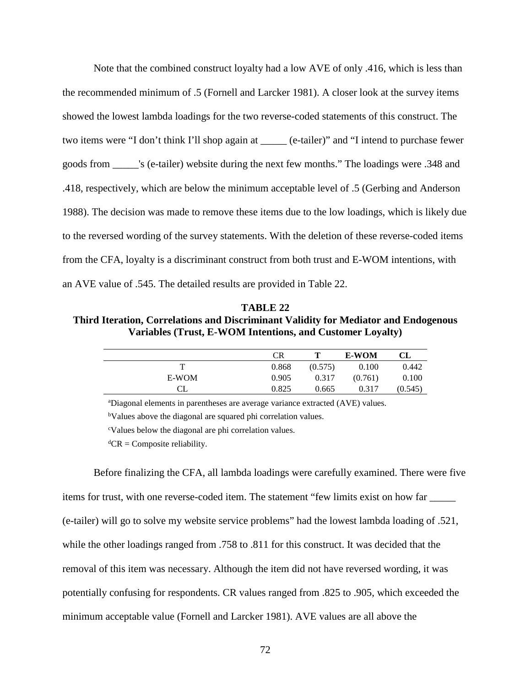Note that the combined construct loyalty had a low AVE of only .416, which is less than the recommended minimum of .5 (Fornell and Larcker 1981). A closer look at the survey items showed the lowest lambda loadings for the two reverse-coded statements of this construct. The two items were "I don't think I'll shop again at \_\_\_\_\_ (e-tailer)" and "I intend to purchase fewer goods from \_\_\_\_\_'s (e-tailer) website during the next few months." The loadings were .348 and .418, respectively, which are below the minimum acceptable level of .5 (Gerbing and Anderson 1988). The decision was made to remove these items due to the low loadings, which is likely due to the reversed wording of the survey statements. With the deletion of these reverse-coded items from the CFA, loyalty is a discriminant construct from both trust and E-WOM intentions, with an AVE value of .545. The detailed results are provided in Table 22.

**TABLE 22 Third Iteration, Correlations and Discriminant Validity for Mediator and Endogenous Variables (Trust, E-WOM Intentions, and Customer Loyalty)**

|       | <b>CR</b> |         | <b>E-WOM</b> | CL      |
|-------|-----------|---------|--------------|---------|
|       | 0.868     | (0.575) | 0.100        | 0.442   |
| E-WOM | 0.905     | 0.317   | (0.761)      | 0.100   |
| CL    | 0.825     | 0.665   | 0.317        | (0.545) |

a Diagonal elements in parentheses are average variance extracted (AVE) values.

<sup>b</sup>Values above the diagonal are squared phi correlation values.

c Values below the diagonal are phi correlation values.

 ${}^d$ CR = Composite reliability.

Before finalizing the CFA, all lambda loadings were carefully examined. There were five items for trust, with one reverse-coded item. The statement "few limits exist on how far \_\_\_\_\_ (e-tailer) will go to solve my website service problems" had the lowest lambda loading of .521, while the other loadings ranged from .758 to .811 for this construct. It was decided that the removal of this item was necessary. Although the item did not have reversed wording, it was potentially confusing for respondents. CR values ranged from .825 to .905, which exceeded the minimum acceptable value (Fornell and Larcker 1981). AVE values are all above the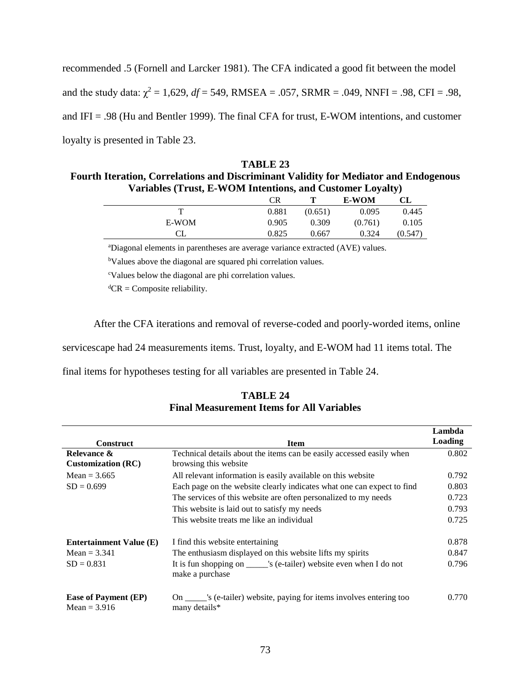recommended .5 (Fornell and Larcker 1981). The CFA indicated a good fit between the model and the study data:  $\chi^2 = 1{,}629$ ,  $df = 549$ , RMSEA = .057, SRMR = .049, NNFI = .98, CFI = .98, and IFI = .98 (Hu and Bentler 1999). The final CFA for trust, E-WOM intentions, and customer loyalty is presented in Table 23.

| TABLE 23                                                                                    |
|---------------------------------------------------------------------------------------------|
| <b>Fourth Iteration, Correlations and Discriminant Validity for Mediator and Endogenous</b> |
| Variables (Trust, E-WOM Intentions, and Customer Loyalty)                                   |

|       | <b>CR</b> |         | <b>E-WOM</b> | CL      |
|-------|-----------|---------|--------------|---------|
| т     | 0.881     | (0.651) | 0.095        | 0.445   |
| E-WOM | 0.905     | 0.309   | (0.761)      | 0.105   |
|       | 0.825     | 0.667   | 0.324        | (0.547) |

a Diagonal elements in parentheses are average variance extracted (AVE) values.

<sup>b</sup>Values above the diagonal are squared phi correlation values.

c Values below the diagonal are phi correlation values.

 ${}^d$ CR = Composite reliability.

After the CFA iterations and removal of reverse-coded and poorly-worded items, online

servicescape had 24 measurements items. Trust, loyalty, and E-WOM had 11 items total. The

final items for hypotheses testing for all variables are presented in Table 24.

| <b>Construct</b>                              | <b>Item</b>                                                                                   | Lambda<br><b>Loading</b> |
|-----------------------------------------------|-----------------------------------------------------------------------------------------------|--------------------------|
| Relevance &<br><b>Customization (RC)</b>      | Technical details about the items can be easily accessed easily when<br>browsing this website | 0.802                    |
| Mean = $3.665$                                | All relevant information is easily available on this website                                  | 0.792                    |
| $SD = 0.699$                                  | Each page on the website clearly indicates what one can expect to find                        | 0.803                    |
|                                               | The services of this website are often personalized to my needs                               | 0.723                    |
|                                               | This website is laid out to satisfy my needs                                                  | 0.793                    |
|                                               | This website treats me like an individual                                                     | 0.725                    |
| <b>Entertainment Value (E)</b>                | I find this website entertaining                                                              | 0.878                    |
| Mean = $3.341$                                | The enthusiasm displayed on this website lifts my spirits                                     | 0.847                    |
| $SD = 0.831$                                  | It is fun shopping on _______'s (e-tailer) website even when I do not<br>make a purchase      | 0.796                    |
| <b>Ease of Payment (EP)</b><br>Mean = $3.916$ | s (e-tailer) website, paying for items involves entering too<br>On<br>many details*           | 0.770                    |

**TABLE 24 Final Measurement Items for All Variables**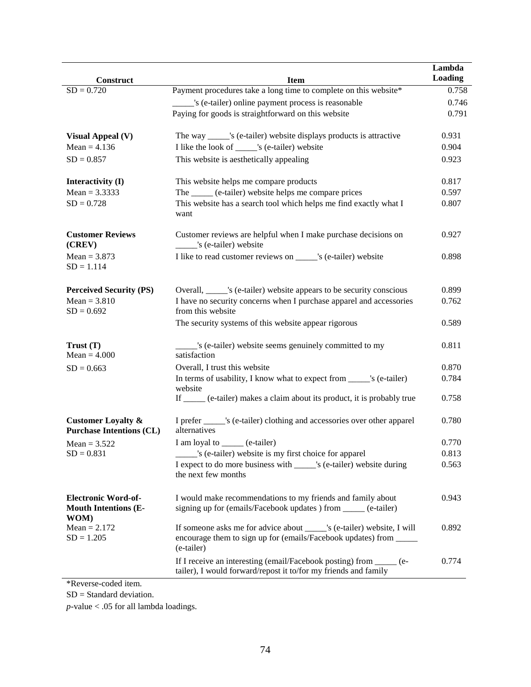| Construct                                                         | <b>Item</b>                                                                                                                                                 | Lambda<br><b>Loading</b> |
|-------------------------------------------------------------------|-------------------------------------------------------------------------------------------------------------------------------------------------------------|--------------------------|
| $SD = 0.720$                                                      | Payment procedures take a long time to complete on this website*                                                                                            | 0.758                    |
|                                                                   | s (e-tailer) online payment process is reasonable                                                                                                           | 0.746                    |
|                                                                   | Paying for goods is straightforward on this website                                                                                                         | 0.791                    |
|                                                                   |                                                                                                                                                             |                          |
| <b>Visual Appeal (V)</b>                                          | The way ______'s (e-tailer) website displays products is attractive                                                                                         | 0.931                    |
| Mean = $4.136$                                                    | I like the look of ______'s (e-tailer) website                                                                                                              | 0.904                    |
| $SD = 0.857$                                                      | This website is aesthetically appealing                                                                                                                     | 0.923                    |
| Interactivity (I)                                                 | This website helps me compare products                                                                                                                      | 0.817                    |
| $Mean = 3.3333$                                                   | The _____ (e-tailer) website helps me compare prices                                                                                                        | 0.597                    |
| $SD = 0.728$                                                      | This website has a search tool which helps me find exactly what I<br>want                                                                                   | 0.807                    |
| <b>Customer Reviews</b><br>(CREV)                                 | Customer reviews are helpful when I make purchase decisions on<br>______'s (e-tailer) website                                                               | 0.927                    |
| $Mean = 3.873$<br>$SD = 1.114$                                    | I like to read customer reviews on ______'s (e-tailer) website                                                                                              | 0.898                    |
| <b>Perceived Security (PS)</b>                                    | Overall, ______'s (e-tailer) website appears to be security conscious                                                                                       | 0.899                    |
| $Mean = 3.810$<br>$SD = 0.692$                                    | I have no security concerns when I purchase apparel and accessories<br>from this website                                                                    | 0.762                    |
|                                                                   | The security systems of this website appear rigorous                                                                                                        | 0.589                    |
| Trust (T)<br>$Mean = 4.000$                                       | _____'s (e-tailer) website seems genuinely committed to my<br>satisfaction                                                                                  | 0.811                    |
| $SD = 0.663$                                                      | Overall, I trust this website                                                                                                                               | 0.870                    |
|                                                                   | In terms of usability, I know what to expect from ______'s (e-tailer)<br>website                                                                            | 0.784                    |
|                                                                   | If ____ (e-tailer) makes a claim about its product, it is probably true                                                                                     | 0.758                    |
| <b>Customer Loyalty &amp;</b><br><b>Purchase Intentions (CL)</b>  | I prefer ______ 's (e-tailer) clothing and accessories over other apparel<br>alternatives                                                                   | 0.780                    |
| Mean = $3.522$                                                    | I am loyal to ______ (e-tailer)                                                                                                                             | 0.770                    |
| $SD = 0.831$                                                      | __ 's (e-tailer) website is my first choice for apparel                                                                                                     | 0.813                    |
|                                                                   | I expect to do more business with _____'s (e-tailer) website during<br>the next few months                                                                  | 0.563                    |
| <b>Electronic Word-of-</b><br><b>Mouth Intentions (E-</b><br>WOM) | I would make recommendations to my friends and family about<br>signing up for (emails/Facebook updates) from _____ (e-tailer)                               | 0.943                    |
| $Mean = 2.172$<br>$SD = 1.205$                                    | If someone asks me for advice about ______'s (e-tailer) website, I will<br>encourage them to sign up for (emails/Facebook updates) from _____<br>(e-tailer) | 0.892                    |
|                                                                   | If I receive an interesting (email/Facebook posting) from _____ (e-<br>tailer), I would forward/repost it to/for my friends and family                      | 0.774                    |

\*Reverse-coded item.

SD = Standard deviation.

*p-*value < .05 for all lambda loadings.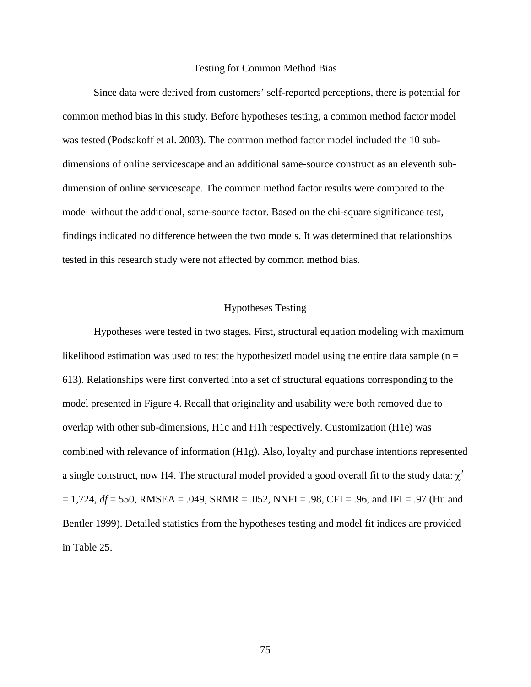#### Testing for Common Method Bias

Since data were derived from customers' self-reported perceptions, there is potential for common method bias in this study. Before hypotheses testing, a common method factor model was tested (Podsakoff et al. 2003). The common method factor model included the 10 subdimensions of online servicescape and an additional same-source construct as an eleventh subdimension of online servicescape. The common method factor results were compared to the model without the additional, same-source factor. Based on the chi-square significance test, findings indicated no difference between the two models. It was determined that relationships tested in this research study were not affected by common method bias.

### Hypotheses Testing

Hypotheses were tested in two stages. First, structural equation modeling with maximum likelihood estimation was used to test the hypothesized model using the entire data sample  $(n =$ 613). Relationships were first converted into a set of structural equations corresponding to the model presented in Figure 4. Recall that originality and usability were both removed due to overlap with other sub-dimensions, H1c and H1h respectively. Customization (H1e) was combined with relevance of information (H1g). Also, loyalty and purchase intentions represented a single construct, now H4. The structural model provided a good overall fit to the study data:  $\chi^2$ = 1,724, *df* = 550, RMSEA = .049, SRMR = .052, NNFI = .98, CFI = .96, and IFI = .97 (Hu and Bentler 1999). Detailed statistics from the hypotheses testing and model fit indices are provided in Table 25.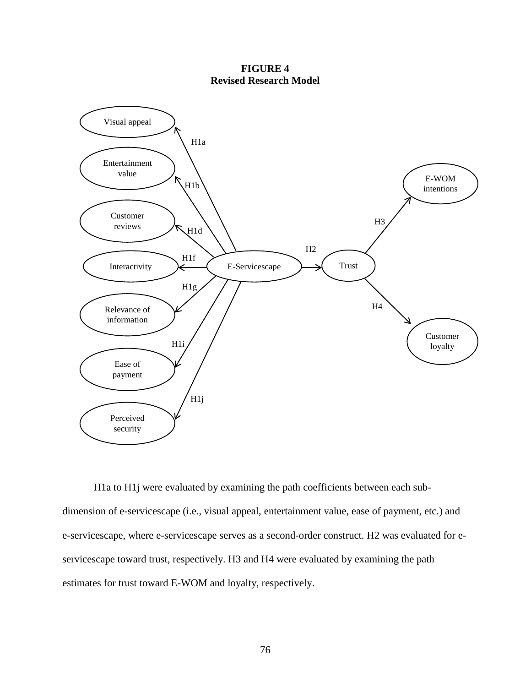**FIGURE 4 Revised Research Model**



H1a to H1j were evaluated by examining the path coefficients between each subdimension of e-servicescape (i.e., visual appeal, entertainment value, ease of payment, etc.) and e-servicescape, where e-servicescape serves as a second-order construct. H2 was evaluated for eservicescape toward trust, respectively. H3 and H4 were evaluated by examining the path estimates for trust toward E-WOM and loyalty, respectively.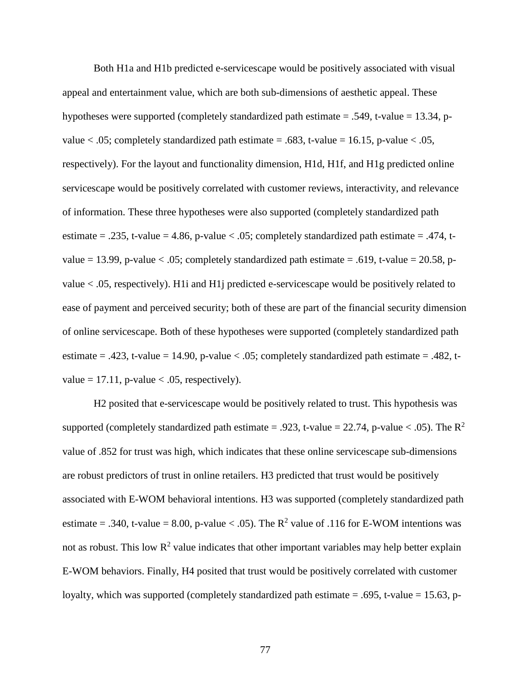Both H1a and H1b predicted e-servicescape would be positively associated with visual appeal and entertainment value, which are both sub-dimensions of aesthetic appeal. These hypotheses were supported (completely standardized path estimate  $= .549$ , t-value  $= 13.34$ , pvalue  $< .05$ ; completely standardized path estimate = .683, t-value = 16.15, p-value  $< .05$ , respectively). For the layout and functionality dimension, H1d, H1f, and H1g predicted online servicescape would be positively correlated with customer reviews, interactivity, and relevance of information. These three hypotheses were also supported (completely standardized path estimate = .235, t-value = 4.86, p-value < .05; completely standardized path estimate = .474, tvalue = 13.99, p-value < .05; completely standardized path estimate = .619, t-value = 20.58, pvalue < .05, respectively). H1i and H1j predicted e-servicescape would be positively related to ease of payment and perceived security; both of these are part of the financial security dimension of online servicescape. Both of these hypotheses were supported (completely standardized path estimate = .423, t-value = 14.90, p-value < .05; completely standardized path estimate = .482, tvalue  $= 17.11$ , p-value  $< .05$ , respectively).

H2 posited that e-servicescape would be positively related to trust. This hypothesis was supported (completely standardized path estimate = .923, t-value = 22.74, p-value < .05). The  $R^2$ value of .852 for trust was high, which indicates that these online servicescape sub-dimensions are robust predictors of trust in online retailers. H3 predicted that trust would be positively associated with E-WOM behavioral intentions. H3 was supported (completely standardized path estimate = .340, t-value = 8.00, p-value < .05). The  $R^2$  value of .116 for E-WOM intentions was not as robust. This low  $R^2$  value indicates that other important variables may help better explain E-WOM behaviors. Finally, H4 posited that trust would be positively correlated with customer loyalty, which was supported (completely standardized path estimate = .695, t-value = 15.63, p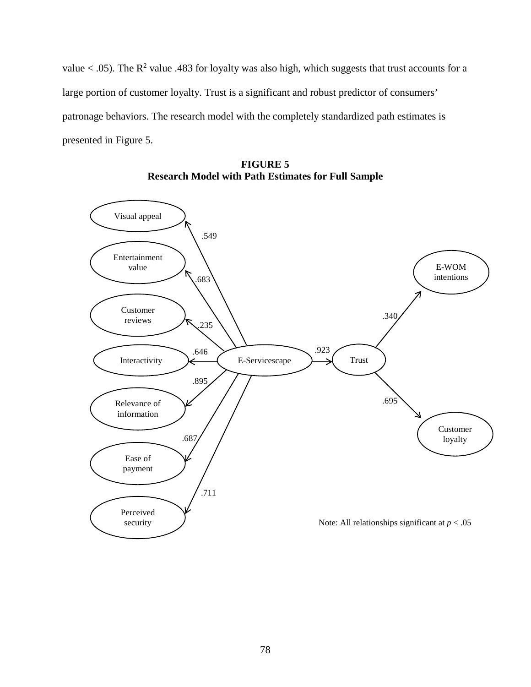value  $<$  0.05). The R<sup>2</sup> value 0.483 for loyalty was also high, which suggests that trust accounts for a large portion of customer loyalty. Trust is a significant and robust predictor of consumers' patronage behaviors. The research model with the completely standardized path estimates is presented in Figure 5.



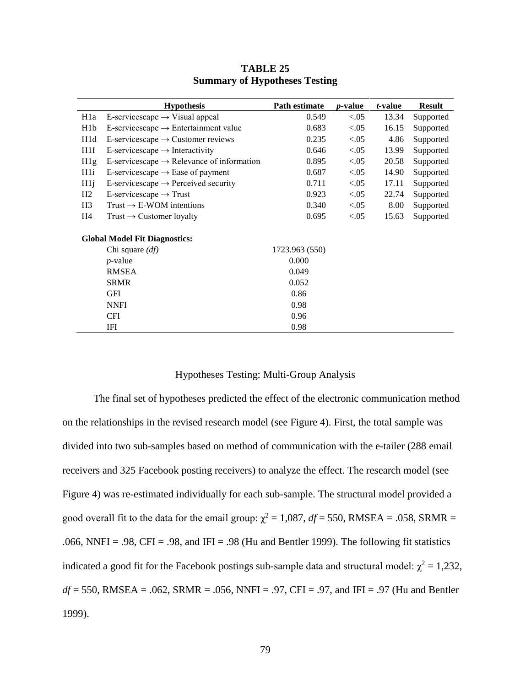|                  | <b>Hypothesis</b>                                     | Path estimate  | <i>p</i> -value | <i>t</i> -value | <b>Result</b> |
|------------------|-------------------------------------------------------|----------------|-----------------|-----------------|---------------|
| H <sub>1</sub> a | E-servicescape $\rightarrow$ Visual appeal            | 0.549          | < 0.05          | 13.34           | Supported     |
| H <sub>1</sub> b | E-servicescape $\rightarrow$ Entertainment value      | 0.683          | < 0.05          | 16.15           | Supported     |
| H <sub>1</sub> d | E-servicescape $\rightarrow$ Customer reviews         | 0.235          | < 0.05          | 4.86            | Supported     |
| H <sub>1f</sub>  | E-servicescape $\rightarrow$ Interactivity            | 0.646          | < 0.05          | 13.99           | Supported     |
| H1g              | E-servicescape $\rightarrow$ Relevance of information | 0.895          | < 0.05          | 20.58           | Supported     |
| H <sub>1</sub>   | E-servicescape $\rightarrow$ Ease of payment          | 0.687          | < 0.05          | 14.90           | Supported     |
| $H1$ j           | E-servicescape $\rightarrow$ Perceived security       | 0.711          | < 0.05          | 17.11           | Supported     |
| H2               | E-servicescape $\rightarrow$ Trust                    | 0.923          | < 0.05          | 22.74           | Supported     |
| H <sub>3</sub>   | Trust $\rightarrow$ E-WOM intentions                  | 0.340          | < 0.05          | 8.00            | Supported     |
| H4               | Trust $\rightarrow$ Customer loyalty                  | 0.695          | < 0.05          | 15.63           | Supported     |
|                  | <b>Global Model Fit Diagnostics:</b>                  |                |                 |                 |               |
|                  | Chi square $(df)$                                     | 1723.963 (550) |                 |                 |               |
|                  | $p$ -value                                            | 0.000          |                 |                 |               |
|                  | <b>RMSEA</b>                                          | 0.049          |                 |                 |               |
|                  | <b>SRMR</b>                                           | 0.052          |                 |                 |               |
|                  | <b>GFI</b>                                            | 0.86           |                 |                 |               |
|                  | <b>NNFI</b>                                           | 0.98           |                 |                 |               |
|                  | <b>CFI</b>                                            | 0.96           |                 |                 |               |
|                  | IFI                                                   | 0.98           |                 |                 |               |

## **TABLE 25 Summary of Hypotheses Testing**

### Hypotheses Testing: Multi-Group Analysis

The final set of hypotheses predicted the effect of the electronic communication method on the relationships in the revised research model (see Figure 4). First, the total sample was divided into two sub-samples based on method of communication with the e-tailer (288 email receivers and 325 Facebook posting receivers) to analyze the effect. The research model (see Figure 4) was re-estimated individually for each sub-sample. The structural model provided a good overall fit to the data for the email group:  $\chi^2 = 1,087$ ,  $df = 550$ , RMSEA = .058, SRMR = .066, NNFI = .98, CFI = .98, and IFI = .98 (Hu and Bentler 1999). The following fit statistics indicated a good fit for the Facebook postings sub-sample data and structural model:  $\chi^2 = 1,232$ , *df* = 550, RMSEA = .062, SRMR = .056, NNFI = .97, CFI = .97, and IFI = .97 (Hu and Bentler 1999).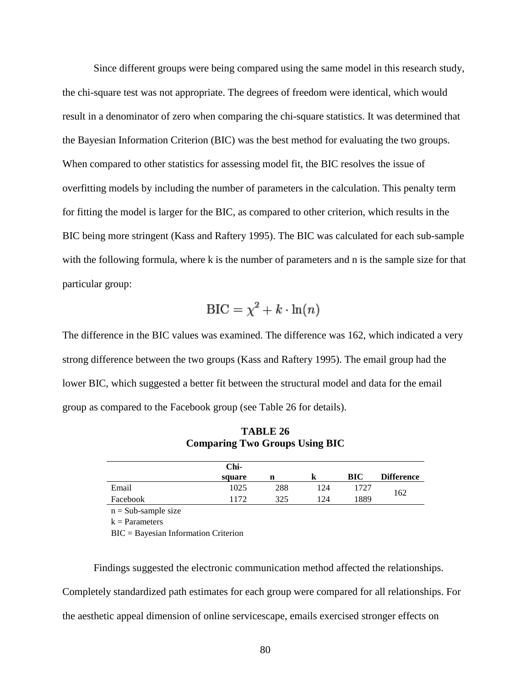Since different groups were being compared using the same model in this research study, the chi-square test was not appropriate. The degrees of freedom were identical, which would result in a denominator of zero when comparing the chi-square statistics. It was determined that the Bayesian Information Criterion (BIC) was the best method for evaluating the two groups. When compared to other statistics for assessing model fit, the BIC resolves the issue of overfitting models by including the number of parameters in the calculation. This penalty term for fitting the model is larger for the BIC, as compared to other criterion, which results in the BIC being more stringent (Kass and Raftery 1995). The BIC was calculated for each sub-sample with the following formula, where k is the number of parameters and n is the sample size for that particular group:

$$
\text{BIC} = \chi^2 + k \cdot \ln(n)
$$

The difference in the BIC values was examined. The difference was 162, which indicated a very strong difference between the two groups (Kass and Raftery 1995). The email group had the lower BIC, which suggested a better fit between the structural model and data for the email group as compared to the Facebook group (see Table 26 for details).

|          | Chi-   |     |     |      |                   |  |
|----------|--------|-----|-----|------|-------------------|--|
|          | square | n   | n   | BIC  | <b>Difference</b> |  |
| Email    | 1025   | 288 | 124 | 1727 |                   |  |
| Facebook | 1172   | 325 | 124 | 1889 | 162               |  |

**TABLE 26 Comparing Two Groups Using BIC**

 $n = Sub-sample size$ 

 $k = Parameters$ 

BIC = Bayesian Information Criterion

Findings suggested the electronic communication method affected the relationships. Completely standardized path estimates for each group were compared for all relationships. For the aesthetic appeal dimension of online servicescape, emails exercised stronger effects on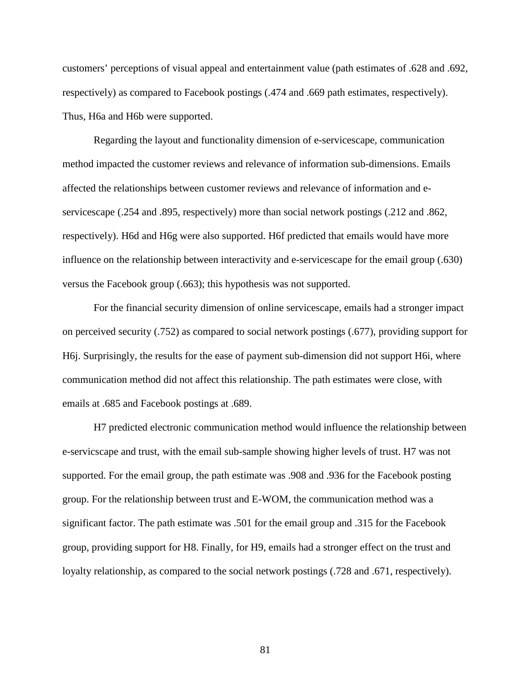customers' perceptions of visual appeal and entertainment value (path estimates of .628 and .692, respectively) as compared to Facebook postings (.474 and .669 path estimates, respectively). Thus, H6a and H6b were supported.

Regarding the layout and functionality dimension of e-servicescape, communication method impacted the customer reviews and relevance of information sub-dimensions. Emails affected the relationships between customer reviews and relevance of information and eservicescape (.254 and .895, respectively) more than social network postings (.212 and .862, respectively). H6d and H6g were also supported. H6f predicted that emails would have more influence on the relationship between interactivity and e-servicescape for the email group (.630) versus the Facebook group (.663); this hypothesis was not supported.

For the financial security dimension of online servicescape, emails had a stronger impact on perceived security (.752) as compared to social network postings (.677), providing support for H6j. Surprisingly, the results for the ease of payment sub-dimension did not support H6i, where communication method did not affect this relationship. The path estimates were close, with emails at .685 and Facebook postings at .689.

H7 predicted electronic communication method would influence the relationship between e-servicscape and trust, with the email sub-sample showing higher levels of trust. H7 was not supported. For the email group, the path estimate was .908 and .936 for the Facebook posting group. For the relationship between trust and E-WOM, the communication method was a significant factor. The path estimate was .501 for the email group and .315 for the Facebook group, providing support for H8. Finally, for H9, emails had a stronger effect on the trust and loyalty relationship, as compared to the social network postings (.728 and .671, respectively).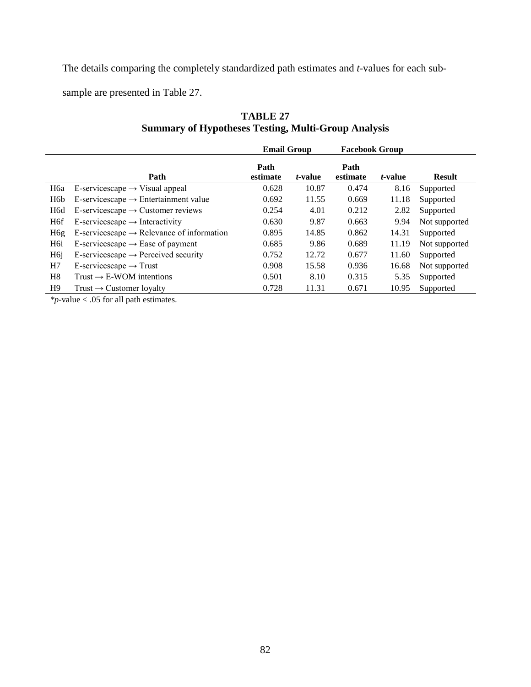The details comparing the completely standardized path estimates and *t-*values for each sub-

sample are presented in Table 27.

# **TABLE 27 Summary of Hypotheses Testing, Multi-Group Analysis**

|                  |                                                       | <b>Email Group</b> |                 | <b>Facebook Group</b> |                 |               |
|------------------|-------------------------------------------------------|--------------------|-----------------|-----------------------|-----------------|---------------|
|                  | Path                                                  | Path<br>estimate   | <i>t</i> -value | Path<br>estimate      | <i>t</i> -value | <b>Result</b> |
| H6a              | E-servicescape $\rightarrow$ Visual appeal            | 0.628              | 10.87           | 0.474                 | 8.16            | Supported     |
| H <sub>6</sub> b | E-servicescape $\rightarrow$ Entertainment value      | 0.692              | 11.55           | 0.669                 | 11.18           | Supported     |
| H <sub>6</sub> d | E-servicescape $\rightarrow$ Customer reviews         | 0.254              | 4.01            | 0.212                 | 2.82            | Supported     |
| H <sub>6f</sub>  | E-servicescape $\rightarrow$ Interactivity            | 0.630              | 9.87            | 0.663                 | 9.94            | Not supported |
| H <sub>6g</sub>  | E-servicescape $\rightarrow$ Relevance of information | 0.895              | 14.85           | 0.862                 | 14.31           | Supported     |
| H <sub>6i</sub>  | E-servicescape $\rightarrow$ Ease of payment          | 0.685              | 9.86            | 0.689                 | 11.19           | Not supported |
| H <sub>6</sub> j | E-servicescape $\rightarrow$ Perceived security       | 0.752              | 12.72           | 0.677                 | 11.60           | Supported     |
| H7               | E-servicescape $\rightarrow$ Trust                    | 0.908              | 15.58           | 0.936                 | 16.68           | Not supported |
| H8               | Trust $\rightarrow$ E-WOM intentions                  | 0.501              | 8.10            | 0.315                 | 5.35            | Supported     |
| H <sub>9</sub>   | Trust $\rightarrow$ Customer loyalty                  | 0.728              | 11.31           | 0.671                 | 10.95           | Supported     |

*\*p*-value < .05 for all path estimates.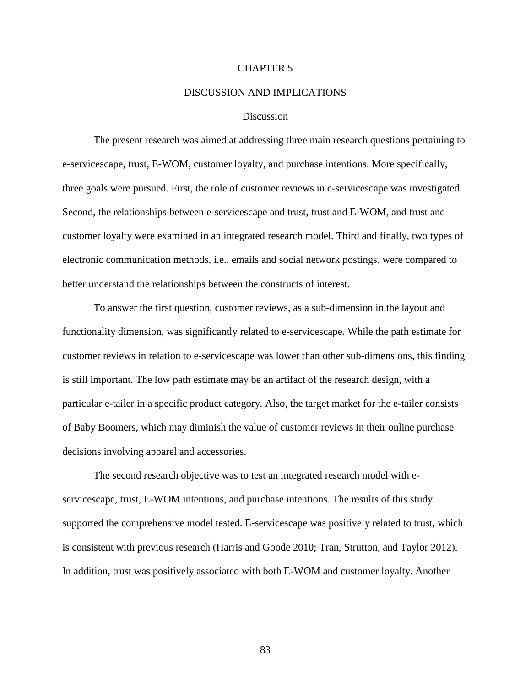#### CHAPTER 5

#### DISCUSSION AND IMPLICATIONS

#### **Discussion**

The present research was aimed at addressing three main research questions pertaining to e-servicescape, trust, E-WOM, customer loyalty, and purchase intentions. More specifically, three goals were pursued. First, the role of customer reviews in e-servicescape was investigated. Second, the relationships between e-servicescape and trust, trust and E-WOM, and trust and customer loyalty were examined in an integrated research model. Third and finally, two types of electronic communication methods, i.e., emails and social network postings, were compared to better understand the relationships between the constructs of interest.

To answer the first question, customer reviews, as a sub-dimension in the layout and functionality dimension, was significantly related to e-servicescape. While the path estimate for customer reviews in relation to e-servicescape was lower than other sub-dimensions, this finding is still important. The low path estimate may be an artifact of the research design, with a particular e-tailer in a specific product category. Also, the target market for the e-tailer consists of Baby Boomers, which may diminish the value of customer reviews in their online purchase decisions involving apparel and accessories.

The second research objective was to test an integrated research model with eservicescape, trust, E-WOM intentions, and purchase intentions. The results of this study supported the comprehensive model tested. E-servicescape was positively related to trust, which is consistent with previous research (Harris and Goode 2010; Tran, Strutton, and Taylor 2012). In addition, trust was positively associated with both E-WOM and customer loyalty. Another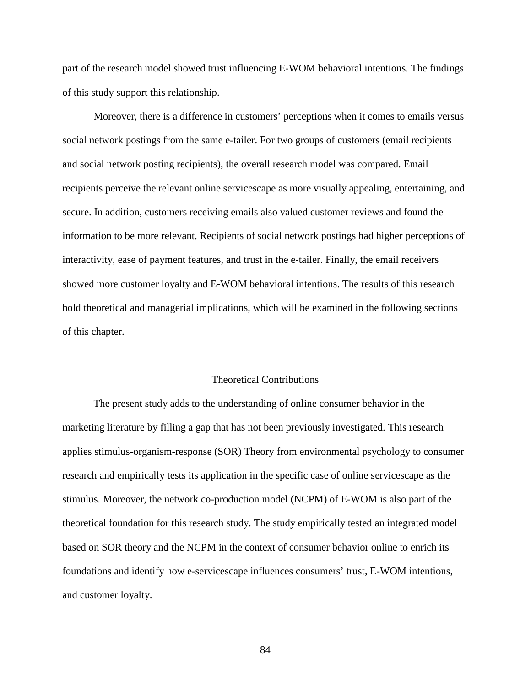part of the research model showed trust influencing E-WOM behavioral intentions. The findings of this study support this relationship.

Moreover, there is a difference in customers' perceptions when it comes to emails versus social network postings from the same e-tailer. For two groups of customers (email recipients and social network posting recipients), the overall research model was compared. Email recipients perceive the relevant online servicescape as more visually appealing, entertaining, and secure. In addition, customers receiving emails also valued customer reviews and found the information to be more relevant. Recipients of social network postings had higher perceptions of interactivity, ease of payment features, and trust in the e-tailer. Finally, the email receivers showed more customer loyalty and E-WOM behavioral intentions. The results of this research hold theoretical and managerial implications, which will be examined in the following sections of this chapter.

#### Theoretical Contributions

The present study adds to the understanding of online consumer behavior in the marketing literature by filling a gap that has not been previously investigated. This research applies stimulus-organism-response (SOR) Theory from environmental psychology to consumer research and empirically tests its application in the specific case of online servicescape as the stimulus. Moreover, the network co-production model (NCPM) of E-WOM is also part of the theoretical foundation for this research study. The study empirically tested an integrated model based on SOR theory and the NCPM in the context of consumer behavior online to enrich its foundations and identify how e-servicescape influences consumers' trust, E-WOM intentions, and customer loyalty.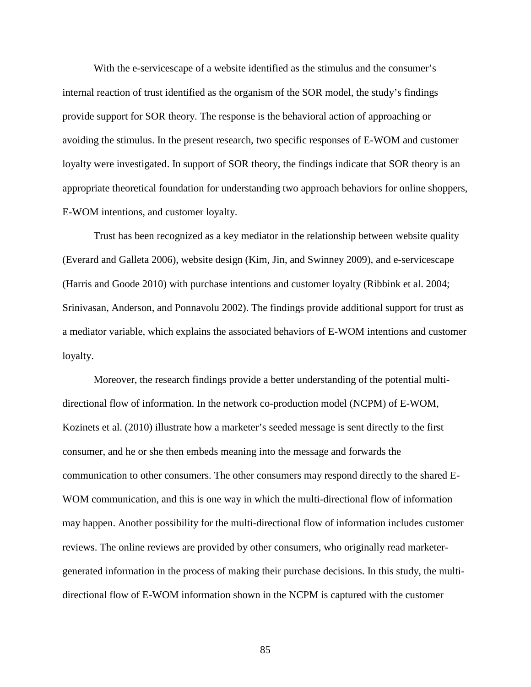With the e-servicescape of a website identified as the stimulus and the consumer's internal reaction of trust identified as the organism of the SOR model, the study's findings provide support for SOR theory. The response is the behavioral action of approaching or avoiding the stimulus. In the present research, two specific responses of E-WOM and customer loyalty were investigated. In support of SOR theory, the findings indicate that SOR theory is an appropriate theoretical foundation for understanding two approach behaviors for online shoppers, E-WOM intentions, and customer loyalty.

Trust has been recognized as a key mediator in the relationship between website quality (Everard and Galleta 2006), website design (Kim, Jin, and Swinney 2009), and e-servicescape (Harris and Goode 2010) with purchase intentions and customer loyalty (Ribbink et al. 2004; Srinivasan, Anderson, and Ponnavolu 2002). The findings provide additional support for trust as a mediator variable, which explains the associated behaviors of E-WOM intentions and customer loyalty.

Moreover, the research findings provide a better understanding of the potential multidirectional flow of information. In the network co-production model (NCPM) of E-WOM, Kozinets et al. (2010) illustrate how a marketer's seeded message is sent directly to the first consumer, and he or she then embeds meaning into the message and forwards the communication to other consumers. The other consumers may respond directly to the shared E-WOM communication, and this is one way in which the multi-directional flow of information may happen. Another possibility for the multi-directional flow of information includes customer reviews. The online reviews are provided by other consumers, who originally read marketergenerated information in the process of making their purchase decisions. In this study, the multidirectional flow of E-WOM information shown in the NCPM is captured with the customer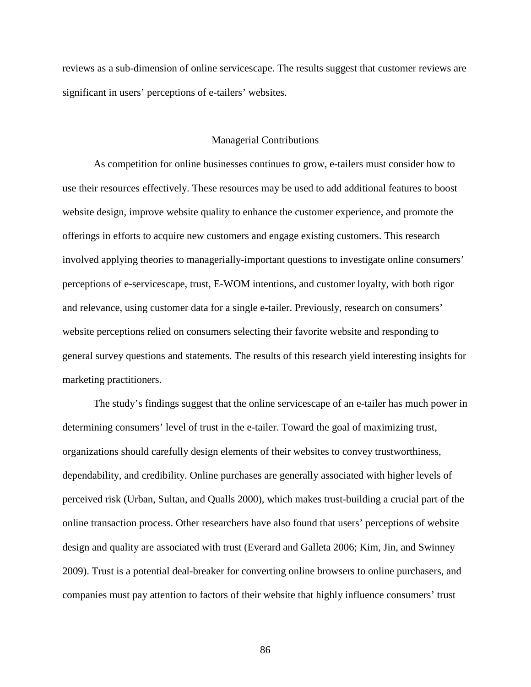reviews as a sub-dimension of online servicescape. The results suggest that customer reviews are significant in users' perceptions of e-tailers' websites.

#### Managerial Contributions

As competition for online businesses continues to grow, e-tailers must consider how to use their resources effectively. These resources may be used to add additional features to boost website design, improve website quality to enhance the customer experience, and promote the offerings in efforts to acquire new customers and engage existing customers. This research involved applying theories to managerially-important questions to investigate online consumers' perceptions of e-servicescape, trust, E-WOM intentions, and customer loyalty, with both rigor and relevance, using customer data for a single e-tailer. Previously, research on consumers' website perceptions relied on consumers selecting their favorite website and responding to general survey questions and statements. The results of this research yield interesting insights for marketing practitioners.

The study's findings suggest that the online servicescape of an e-tailer has much power in determining consumers' level of trust in the e-tailer. Toward the goal of maximizing trust, organizations should carefully design elements of their websites to convey trustworthiness, dependability, and credibility. Online purchases are generally associated with higher levels of perceived risk (Urban, Sultan, and Qualls 2000), which makes trust-building a crucial part of the online transaction process. Other researchers have also found that users' perceptions of website design and quality are associated with trust (Everard and Galleta 2006; Kim, Jin, and Swinney 2009). Trust is a potential deal-breaker for converting online browsers to online purchasers, and companies must pay attention to factors of their website that highly influence consumers' trust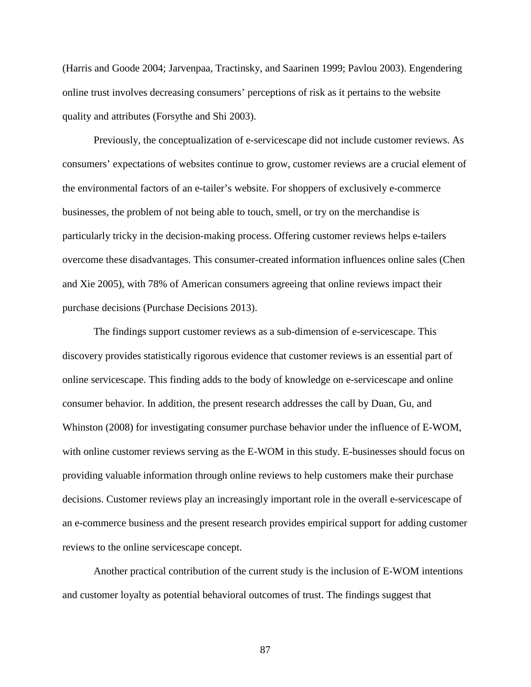(Harris and Goode 2004; Jarvenpaa, Tractinsky, and Saarinen 1999; Pavlou 2003). Engendering online trust involves decreasing consumers' perceptions of risk as it pertains to the website quality and attributes (Forsythe and Shi 2003).

Previously, the conceptualization of e-servicescape did not include customer reviews. As consumers' expectations of websites continue to grow, customer reviews are a crucial element of the environmental factors of an e-tailer's website. For shoppers of exclusively e-commerce businesses, the problem of not being able to touch, smell, or try on the merchandise is particularly tricky in the decision-making process. Offering customer reviews helps e-tailers overcome these disadvantages. This consumer-created information influences online sales (Chen and Xie 2005), with 78% of American consumers agreeing that online reviews impact their purchase decisions (Purchase Decisions 2013).

The findings support customer reviews as a sub-dimension of e-servicescape. This discovery provides statistically rigorous evidence that customer reviews is an essential part of online servicescape. This finding adds to the body of knowledge on e-servicescape and online consumer behavior. In addition, the present research addresses the call by Duan, Gu, and Whinston (2008) for investigating consumer purchase behavior under the influence of E-WOM, with online customer reviews serving as the E-WOM in this study. E-businesses should focus on providing valuable information through online reviews to help customers make their purchase decisions. Customer reviews play an increasingly important role in the overall e-servicescape of an e-commerce business and the present research provides empirical support for adding customer reviews to the online servicescape concept.

Another practical contribution of the current study is the inclusion of E-WOM intentions and customer loyalty as potential behavioral outcomes of trust. The findings suggest that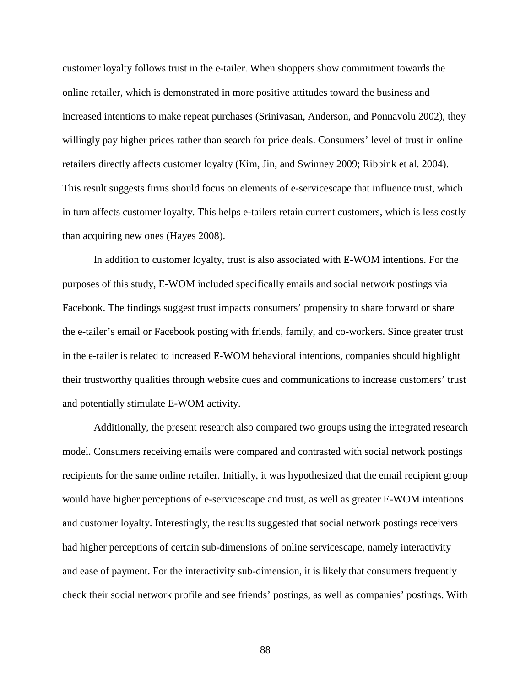customer loyalty follows trust in the e-tailer. When shoppers show commitment towards the online retailer, which is demonstrated in more positive attitudes toward the business and increased intentions to make repeat purchases (Srinivasan, Anderson, and Ponnavolu 2002), they willingly pay higher prices rather than search for price deals. Consumers' level of trust in online retailers directly affects customer loyalty (Kim, Jin, and Swinney 2009; Ribbink et al. 2004). This result suggests firms should focus on elements of e-servicescape that influence trust, which in turn affects customer loyalty. This helps e-tailers retain current customers, which is less costly than acquiring new ones (Hayes 2008).

In addition to customer loyalty, trust is also associated with E-WOM intentions. For the purposes of this study, E-WOM included specifically emails and social network postings via Facebook. The findings suggest trust impacts consumers' propensity to share forward or share the e-tailer's email or Facebook posting with friends, family, and co-workers. Since greater trust in the e-tailer is related to increased E-WOM behavioral intentions, companies should highlight their trustworthy qualities through website cues and communications to increase customers' trust and potentially stimulate E-WOM activity.

Additionally, the present research also compared two groups using the integrated research model. Consumers receiving emails were compared and contrasted with social network postings recipients for the same online retailer. Initially, it was hypothesized that the email recipient group would have higher perceptions of e-servicescape and trust, as well as greater E-WOM intentions and customer loyalty. Interestingly, the results suggested that social network postings receivers had higher perceptions of certain sub-dimensions of online servicescape, namely interactivity and ease of payment. For the interactivity sub-dimension, it is likely that consumers frequently check their social network profile and see friends' postings, as well as companies' postings. With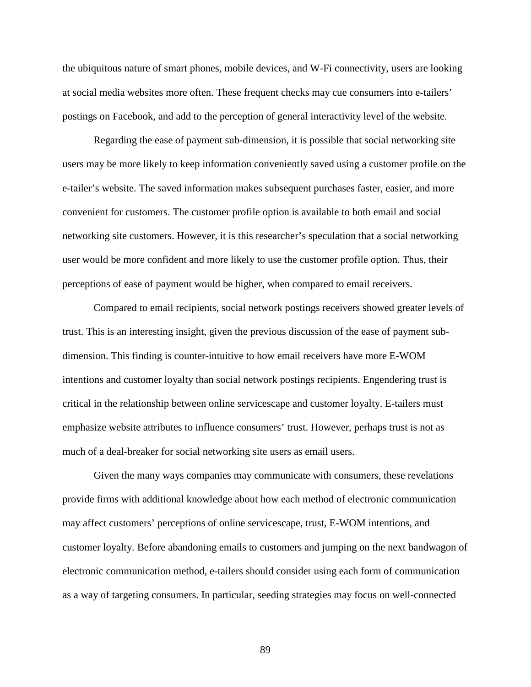the ubiquitous nature of smart phones, mobile devices, and W-Fi connectivity, users are looking at social media websites more often. These frequent checks may cue consumers into e-tailers' postings on Facebook, and add to the perception of general interactivity level of the website.

Regarding the ease of payment sub-dimension, it is possible that social networking site users may be more likely to keep information conveniently saved using a customer profile on the e-tailer's website. The saved information makes subsequent purchases faster, easier, and more convenient for customers. The customer profile option is available to both email and social networking site customers. However, it is this researcher's speculation that a social networking user would be more confident and more likely to use the customer profile option. Thus, their perceptions of ease of payment would be higher, when compared to email receivers.

Compared to email recipients, social network postings receivers showed greater levels of trust. This is an interesting insight, given the previous discussion of the ease of payment subdimension. This finding is counter-intuitive to how email receivers have more E-WOM intentions and customer loyalty than social network postings recipients. Engendering trust is critical in the relationship between online servicescape and customer loyalty. E-tailers must emphasize website attributes to influence consumers' trust. However, perhaps trust is not as much of a deal-breaker for social networking site users as email users.

Given the many ways companies may communicate with consumers, these revelations provide firms with additional knowledge about how each method of electronic communication may affect customers' perceptions of online servicescape, trust, E-WOM intentions, and customer loyalty. Before abandoning emails to customers and jumping on the next bandwagon of electronic communication method, e-tailers should consider using each form of communication as a way of targeting consumers. In particular, seeding strategies may focus on well-connected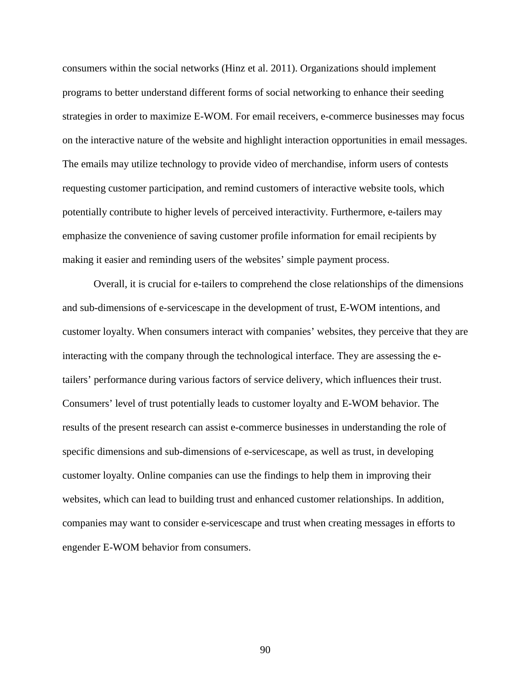consumers within the social networks (Hinz et al. 2011). Organizations should implement programs to better understand different forms of social networking to enhance their seeding strategies in order to maximize E-WOM. For email receivers, e-commerce businesses may focus on the interactive nature of the website and highlight interaction opportunities in email messages. The emails may utilize technology to provide video of merchandise, inform users of contests requesting customer participation, and remind customers of interactive website tools, which potentially contribute to higher levels of perceived interactivity. Furthermore, e-tailers may emphasize the convenience of saving customer profile information for email recipients by making it easier and reminding users of the websites' simple payment process.

Overall, it is crucial for e-tailers to comprehend the close relationships of the dimensions and sub-dimensions of e-servicescape in the development of trust, E-WOM intentions, and customer loyalty. When consumers interact with companies' websites, they perceive that they are interacting with the company through the technological interface. They are assessing the etailers' performance during various factors of service delivery, which influences their trust. Consumers' level of trust potentially leads to customer loyalty and E-WOM behavior. The results of the present research can assist e-commerce businesses in understanding the role of specific dimensions and sub-dimensions of e-servicescape, as well as trust, in developing customer loyalty. Online companies can use the findings to help them in improving their websites, which can lead to building trust and enhanced customer relationships. In addition, companies may want to consider e-servicescape and trust when creating messages in efforts to engender E-WOM behavior from consumers.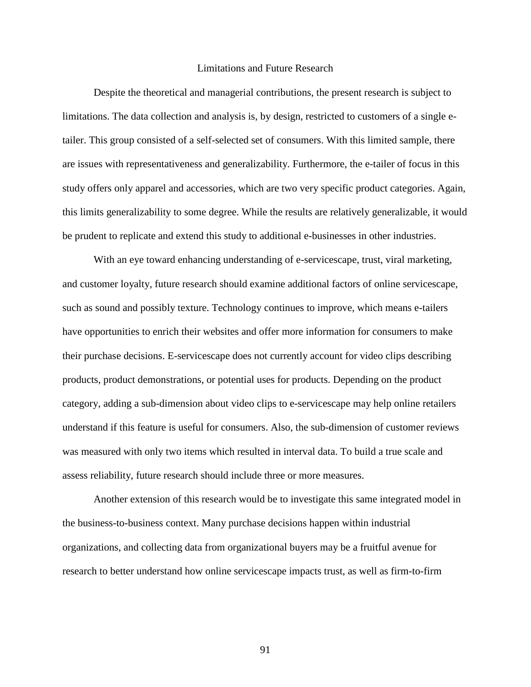#### Limitations and Future Research

Despite the theoretical and managerial contributions, the present research is subject to limitations. The data collection and analysis is, by design, restricted to customers of a single etailer. This group consisted of a self-selected set of consumers. With this limited sample, there are issues with representativeness and generalizability. Furthermore, the e-tailer of focus in this study offers only apparel and accessories, which are two very specific product categories. Again, this limits generalizability to some degree. While the results are relatively generalizable, it would be prudent to replicate and extend this study to additional e-businesses in other industries.

With an eye toward enhancing understanding of e-servicescape, trust, viral marketing, and customer loyalty, future research should examine additional factors of online servicescape, such as sound and possibly texture. Technology continues to improve, which means e-tailers have opportunities to enrich their websites and offer more information for consumers to make their purchase decisions. E-servicescape does not currently account for video clips describing products, product demonstrations, or potential uses for products. Depending on the product category, adding a sub-dimension about video clips to e-servicescape may help online retailers understand if this feature is useful for consumers. Also, the sub-dimension of customer reviews was measured with only two items which resulted in interval data. To build a true scale and assess reliability, future research should include three or more measures.

Another extension of this research would be to investigate this same integrated model in the business-to-business context. Many purchase decisions happen within industrial organizations, and collecting data from organizational buyers may be a fruitful avenue for research to better understand how online servicescape impacts trust, as well as firm-to-firm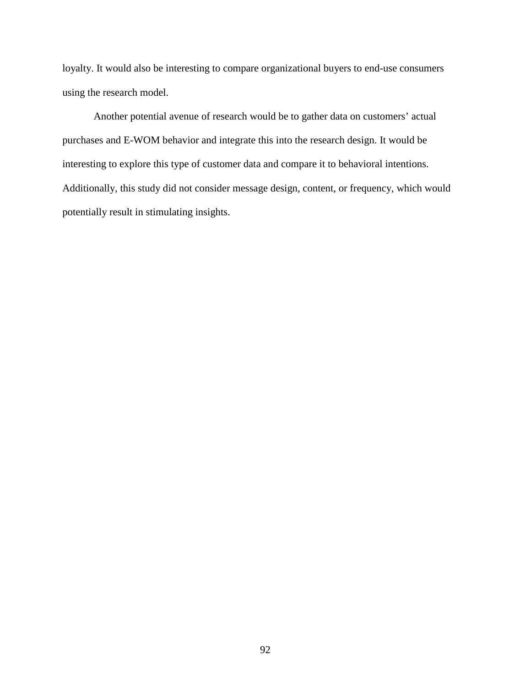loyalty. It would also be interesting to compare organizational buyers to end-use consumers using the research model.

Another potential avenue of research would be to gather data on customers' actual purchases and E-WOM behavior and integrate this into the research design. It would be interesting to explore this type of customer data and compare it to behavioral intentions. Additionally, this study did not consider message design, content, or frequency, which would potentially result in stimulating insights.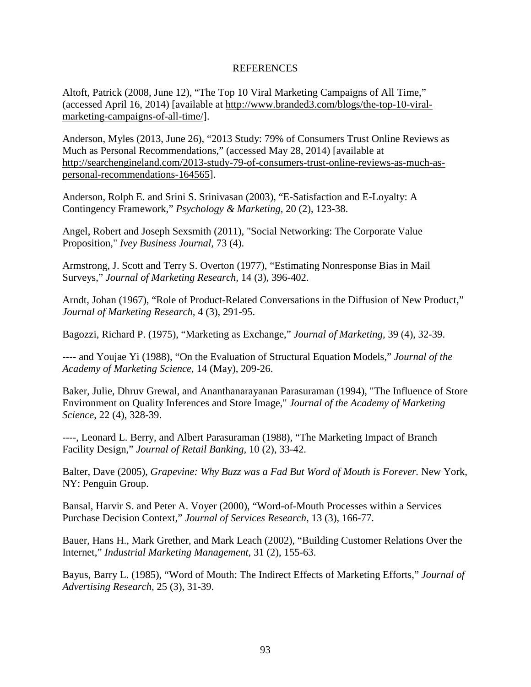### REFERENCES

Altoft, Patrick (2008, June 12), "The Top 10 Viral Marketing Campaigns of All Time," (accessed April 16, 2014) [available at http://www.branded3.com/blogs/the-top-10-viralmarketing-campaigns-of-all-time/].

Anderson, Myles (2013, June 26), "2013 Study: 79% of Consumers Trust Online Reviews as Much as Personal Recommendations," (accessed May 28, 2014) [available at http://searchengineland.com/2013-study-79-of-consumers-trust-online-reviews-as-much-aspersonal-recommendations-164565].

Anderson, Rolph E. and Srini S. Srinivasan (2003), "E-Satisfaction and E-Loyalty: A Contingency Framework," *Psychology & Marketing,* 20 (2), 123-38.

Angel, Robert and Joseph Sexsmith (2011), "Social Networking: The Corporate Value Proposition," *Ivey Business Journal,* 73 (4).

Armstrong, J. Scott and Terry S. Overton (1977), "Estimating Nonresponse Bias in Mail Surveys," *Journal of Marketing Research,* 14 (3), 396-402.

Arndt, Johan (1967), "Role of Product-Related Conversations in the Diffusion of New Product," *Journal of Marketing Research,* 4 (3), 291-95.

Bagozzi, Richard P. (1975), "Marketing as Exchange," *Journal of Marketing,* 39 (4), 32-39.

---- and Youjae Yi (1988), "On the Evaluation of Structural Equation Models," *Journal of the Academy of Marketing Science,* 14 (May), 209-26.

Baker, Julie, Dhruv Grewal, and Ananthanarayanan Parasuraman (1994), "The Influence of Store Environment on Quality Inferences and Store Image," *Journal of the Academy of Marketing Science*, 22 (4), 328-39.

----, Leonard L. Berry, and Albert Parasuraman (1988), "The Marketing Impact of Branch Facility Design," *Journal of Retail Banking,* 10 (2), 33-42.

Balter, Dave (2005), *Grapevine: Why Buzz was a Fad But Word of Mouth is Forever*. New York, NY: Penguin Group.

Bansal, Harvir S. and Peter A. Voyer (2000), "Word-of-Mouth Processes within a Services Purchase Decision Context," *Journal of Services Research,* 13 (3), 166-77.

Bauer, Hans H., Mark Grether, and Mark Leach (2002), "Building Customer Relations Over the Internet," *Industrial Marketing Management,* 31 (2), 155-63.

Bayus, Barry L. (1985), "Word of Mouth: The Indirect Effects of Marketing Efforts," *Journal of Advertising Research,* 25 (3), 31-39.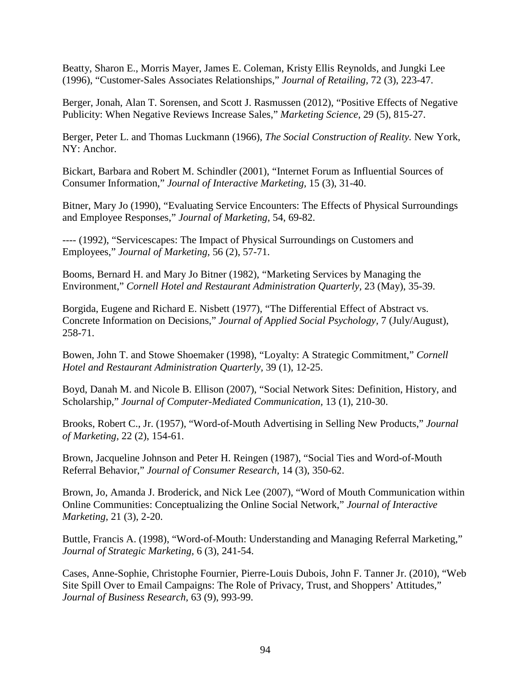Beatty, Sharon E., Morris Mayer, James E. Coleman, Kristy Ellis Reynolds, and Jungki Lee (1996), "Customer-Sales Associates Relationships," *Journal of Retailing,* 72 (3), 223-47.

Berger, Jonah, Alan T. Sorensen, and Scott J. Rasmussen (2012), "Positive Effects of Negative Publicity: When Negative Reviews Increase Sales," *Marketing Science,* 29 (5), 815-27.

Berger, Peter L. and Thomas Luckmann (1966), *The Social Construction of Reality.* New York, NY: Anchor.

Bickart, Barbara and Robert M. Schindler (2001), "Internet Forum as Influential Sources of Consumer Information," *Journal of Interactive Marketing,* 15 (3), 31-40.

Bitner, Mary Jo (1990), "Evaluating Service Encounters: The Effects of Physical Surroundings and Employee Responses," *Journal of Marketing,* 54, 69-82.

---- (1992), "Servicescapes: The Impact of Physical Surroundings on Customers and Employees," *Journal of Marketing,* 56 (2), 57-71.

Booms, Bernard H. and Mary Jo Bitner (1982), "Marketing Services by Managing the Environment," *Cornell Hotel and Restaurant Administration Quarterly,* 23 (May), 35-39.

Borgida, Eugene and Richard E. Nisbett (1977), "The Differential Effect of Abstract vs. Concrete Information on Decisions," *Journal of Applied Social Psychology,* 7 (July/August), 258-71.

Bowen, John T. and Stowe Shoemaker (1998), "Loyalty: A Strategic Commitment," *Cornell Hotel and Restaurant Administration Quarterly,* 39 (1), 12-25.

Boyd, Danah M. and Nicole B. Ellison (2007), "Social Network Sites: Definition, History, and Scholarship," *Journal of Computer-Mediated Communication,* 13 (1), 210-30.

Brooks, Robert C., Jr. (1957), "Word-of-Mouth Advertising in Selling New Products," *Journal of Marketing,* 22 (2), 154-61.

Brown, Jacqueline Johnson and Peter H. Reingen (1987), "Social Ties and Word-of-Mouth Referral Behavior," *Journal of Consumer Research,* 14 (3), 350-62.

Brown, Jo, Amanda J. Broderick, and Nick Lee (2007), "Word of Mouth Communication within Online Communities: Conceptualizing the Online Social Network," *Journal of Interactive Marketing,* 21 (3), 2-20.

Buttle, Francis A. (1998), "Word-of-Mouth: Understanding and Managing Referral Marketing," *Journal of Strategic Marketing,* 6 (3), 241-54.

Cases, Anne-Sophie, Christophe Fournier, Pierre-Louis Dubois, John F. Tanner Jr. (2010), "Web Site Spill Over to Email Campaigns: The Role of Privacy, Trust, and Shoppers' Attitudes," *Journal of Business Research,* 63 (9), 993-99.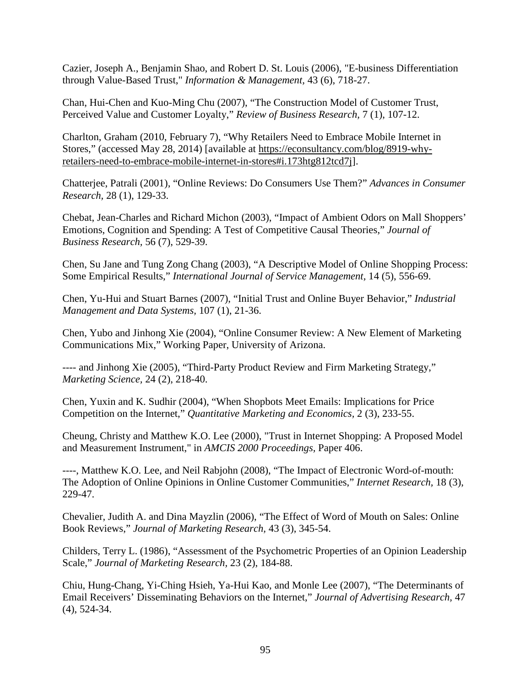Cazier, Joseph A., Benjamin Shao, and Robert D. St. Louis (2006), "E-business Differentiation through Value-Based Trust," *Information & Management,* 43 (6), 718-27.

Chan, Hui-Chen and Kuo-Ming Chu (2007), "The Construction Model of Customer Trust, Perceived Value and Customer Loyalty," *Review of Business Research,* 7 (1), 107-12.

Charlton, Graham (2010, February 7), "Why Retailers Need to Embrace Mobile Internet in Stores," (accessed May 28, 2014) [available at https://econsultancy.com/blog/8919-whyretailers-need-to-embrace-mobile-internet-in-stores#i.173htg812tcd7j].

Chatterjee, Patrali (2001), "Online Reviews: Do Consumers Use Them?" *Advances in Consumer Research,* 28 (1), 129-33.

Chebat, Jean-Charles and Richard Michon (2003), "Impact of Ambient Odors on Mall Shoppers' Emotions, Cognition and Spending: A Test of Competitive Causal Theories," *Journal of Business Research,* 56 (7), 529-39.

Chen, Su Jane and Tung Zong Chang (2003), "A Descriptive Model of Online Shopping Process: Some Empirical Results," *International Journal of Service Management,* 14 (5), 556-69.

Chen, Yu-Hui and Stuart Barnes (2007), "Initial Trust and Online Buyer Behavior," *Industrial Management and Data Systems,* 107 (1), 21-36.

Chen, Yubo and Jinhong Xie (2004), "Online Consumer Review: A New Element of Marketing Communications Mix," Working Paper, University of Arizona.

---- and Jinhong Xie (2005), "Third-Party Product Review and Firm Marketing Strategy," *Marketing Science,* 24 (2), 218-40.

Chen, Yuxin and K. Sudhir (2004), "When Shopbots Meet Emails: Implications for Price Competition on the Internet," *Quantitative Marketing and Economics,* 2 (3), 233-55.

Cheung, Christy and Matthew K.O. Lee (2000), "Trust in Internet Shopping: A Proposed Model and Measurement Instrument," in *AMCIS 2000 Proceedings,* Paper 406.

----, Matthew K.O. Lee, and Neil Rabjohn (2008), "The Impact of Electronic Word-of-mouth: The Adoption of Online Opinions in Online Customer Communities," *Internet Research,* 18 (3), 229-47.

Chevalier, Judith A. and Dina Mayzlin (2006), "The Effect of Word of Mouth on Sales: Online Book Reviews," *Journal of Marketing Research,* 43 (3), 345-54.

Childers, Terry L. (1986), "Assessment of the Psychometric Properties of an Opinion Leadership Scale," *Journal of Marketing Research,* 23 (2), 184-88.

Chiu, Hung-Chang, Yi-Ching Hsieh, Ya-Hui Kao, and Monle Lee (2007), "The Determinants of Email Receivers' Disseminating Behaviors on the Internet," *Journal of Advertising Research,* 47 (4), 524-34.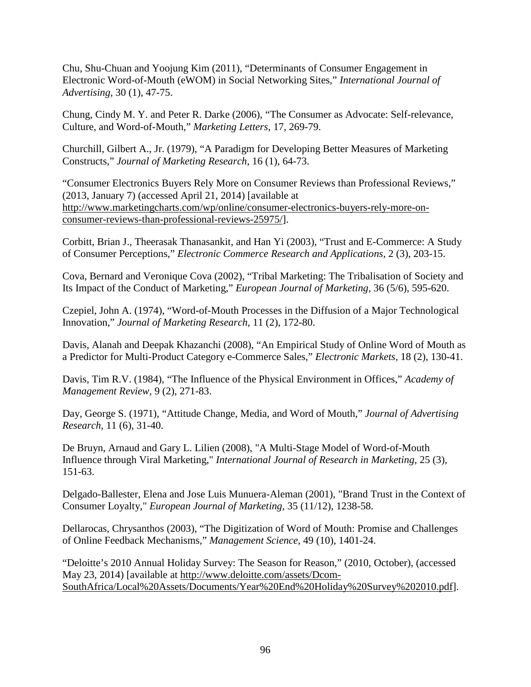Chu, Shu-Chuan and Yoojung Kim (2011), "Determinants of Consumer Engagement in Electronic Word-of-Mouth (eWOM) in Social Networking Sites," *International Journal of Advertising,* 30 (1), 47-75.

Chung, Cindy M. Y. and Peter R. Darke (2006), "The Consumer as Advocate: Self-relevance, Culture, and Word-of-Mouth," *Marketing Letters,* 17, 269-79.

Churchill, Gilbert A., Jr. (1979), "A Paradigm for Developing Better Measures of Marketing Constructs," *Journal of Marketing Research,* 16 (1), 64-73.

"Consumer Electronics Buyers Rely More on Consumer Reviews than Professional Reviews," (2013, January 7) (accessed April 21, 2014) [available at http://www.marketingcharts.com/wp/online/consumer-electronics-buyers-rely-more-onconsumer-reviews-than-professional-reviews-25975/].

Corbitt, Brian J., Theerasak Thanasankit, and Han Yi (2003), "Trust and E-Commerce: A Study of Consumer Perceptions," *Electronic Commerce Research and Applications,* 2 (3), 203-15.

Cova, Bernard and Veronique Cova (2002), "Tribal Marketing: The Tribalisation of Society and Its Impact of the Conduct of Marketing," *European Journal of Marketing,* 36 (5/6), 595-620.

Czepiel, John A. (1974), "Word-of-Mouth Processes in the Diffusion of a Major Technological Innovation," *Journal of Marketing Research,* 11 (2), 172-80.

Davis, Alanah and Deepak Khazanchi (2008), "An Empirical Study of Online Word of Mouth as a Predictor for Multi-Product Category e-Commerce Sales," *Electronic Markets,* 18 (2), 130-41.

Davis, Tim R.V. (1984), "The Influence of the Physical Environment in Offices," *Academy of Management Review,* 9 (2), 271-83.

Day, George S. (1971), "Attitude Change, Media, and Word of Mouth," *Journal of Advertising Research,* 11 (6), 31-40.

De Bruyn, Arnaud and Gary L. Lilien (2008), "A Multi-Stage Model of Word-of-Mouth Influence through Viral Marketing," *International Journal of Research in Marketing,* 25 (3), 151-63.

Delgado-Ballester, Elena and Jose Luis Munuera-Aleman (2001), "Brand Trust in the Context of Consumer Loyalty," *European Journal of Marketing,* 35 (11/12), 1238-58.

Dellarocas, Chrysanthos (2003), "The Digitization of Word of Mouth: Promise and Challenges of Online Feedback Mechanisms," *Management Science,* 49 (10), 1401-24.

"Deloitte's 2010 Annual Holiday Survey: The Season for Reason," (2010, October), (accessed May 23, 2014) [available at http://www.deloitte.com/assets/Dcom-SouthAfrica/Local%20Assets/Documents/Year%20End%20Holiday%20Survey%202010.pdf].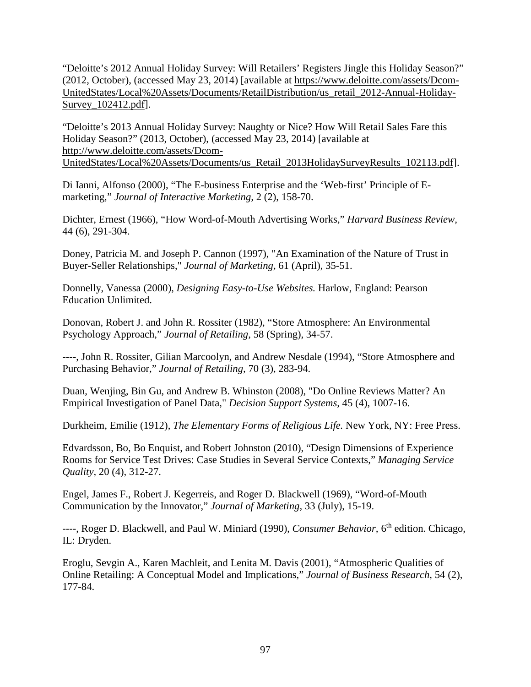"Deloitte's 2012 Annual Holiday Survey: Will Retailers' Registers Jingle this Holiday Season?" (2012, October), (accessed May 23, 2014) [available at https://www.deloitte.com/assets/Dcom-UnitedStates/Local%20Assets/Documents/RetailDistribution/us\_retail\_2012-Annual-Holiday-Survey\_102412.pdf].

"Deloitte's 2013 Annual Holiday Survey: Naughty or Nice? How Will Retail Sales Fare this Holiday Season?" (2013, October), (accessed May 23, 2014) [available at http://www.deloitte.com/assets/Dcom-UnitedStates/Local%20Assets/Documents/us\_Retail\_2013HolidaySurveyResults\_102113.pdf].

Di Ianni, Alfonso (2000), "The E-business Enterprise and the 'Web-first' Principle of Emarketing," *Journal of Interactive Marketing,* 2 (2), 158-70.

Dichter, Ernest (1966), "How Word-of-Mouth Advertising Works," *Harvard Business Review,*  44 (6), 291-304.

Doney, Patricia M. and Joseph P. Cannon (1997), "An Examination of the Nature of Trust in Buyer-Seller Relationships," *Journal of Marketing,* 61 (April), 35-51.

Donnelly, Vanessa (2000), *Designing Easy-to-Use Websites.* Harlow, England: Pearson Education Unlimited.

Donovan, Robert J. and John R. Rossiter (1982), "Store Atmosphere: An Environmental Psychology Approach," *Journal of Retailing,* 58 (Spring), 34-57.

----, John R. Rossiter, Gilian Marcoolyn, and Andrew Nesdale (1994), "Store Atmosphere and Purchasing Behavior," *Journal of Retailing,* 70 (3), 283-94.

Duan, Wenjing, Bin Gu, and Andrew B. Whinston (2008), "Do Online Reviews Matter? An Empirical Investigation of Panel Data," *Decision Support Systems,* 45 (4), 1007-16.

Durkheim, Emilie (1912), *The Elementary Forms of Religious Life.* New York, NY: Free Press.

Edvardsson, Bo, Bo Enquist, and Robert Johnston (2010), "Design Dimensions of Experience Rooms for Service Test Drives: Case Studies in Several Service Contexts," *Managing Service Quality,* 20 (4), 312-27.

Engel, James F., Robert J. Kegerreis, and Roger D. Blackwell (1969), "Word-of-Mouth Communication by the Innovator," *Journal of Marketing,* 33 (July), 15-19.

----, Roger D. Blackwell, and Paul W. Miniard (1990), *Consumer Behavior,* 6th edition. Chicago, IL: Dryden.

Eroglu, Sevgin A., Karen Machleit, and Lenita M. Davis (2001), "Atmospheric Qualities of Online Retailing: A Conceptual Model and Implications," *Journal of Business Research,* 54 (2), 177-84.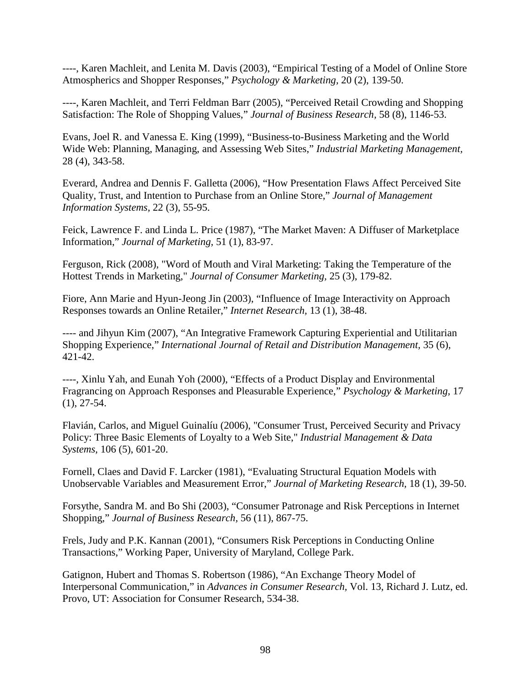----, Karen Machleit, and Lenita M. Davis (2003), "Empirical Testing of a Model of Online Store Atmospherics and Shopper Responses," *Psychology & Marketing,* 20 (2), 139-50.

----, Karen Machleit, and Terri Feldman Barr (2005), "Perceived Retail Crowding and Shopping Satisfaction: The Role of Shopping Values," *Journal of Business Research,* 58 (8), 1146-53.

Evans, Joel R. and Vanessa E. King (1999), "Business-to-Business Marketing and the World Wide Web: Planning, Managing, and Assessing Web Sites," *Industrial Marketing Management,* 28 (4), 343-58.

Everard, Andrea and Dennis F. Galletta (2006), "How Presentation Flaws Affect Perceived Site Quality, Trust, and Intention to Purchase from an Online Store," *Journal of Management Information Systems,* 22 (3), 55-95.

Feick, Lawrence F. and Linda L. Price (1987), "The Market Maven: A Diffuser of Marketplace Information," *Journal of Marketing,* 51 (1), 83-97.

Ferguson, Rick (2008), "Word of Mouth and Viral Marketing: Taking the Temperature of the Hottest Trends in Marketing," *Journal of Consumer Marketing,* 25 (3), 179-82.

Fiore, Ann Marie and Hyun-Jeong Jin (2003), "Influence of Image Interactivity on Approach Responses towards an Online Retailer," *Internet Research,* 13 (1), 38-48.

---- and Jihyun Kim (2007), "An Integrative Framework Capturing Experiential and Utilitarian Shopping Experience," *International Journal of Retail and Distribution Management,* 35 (6), 421-42.

----, Xinlu Yah, and Eunah Yoh (2000), "Effects of a Product Display and Environmental Fragrancing on Approach Responses and Pleasurable Experience," *Psychology & Marketing,* 17  $(1), 27-54.$ 

Flavián, Carlos, and Miguel Guinalíu (2006), "Consumer Trust, Perceived Security and Privacy Policy: Three Basic Elements of Loyalty to a Web Site," *Industrial Management & Data Systems,* 106 (5), 601-20.

Fornell, Claes and David F. Larcker (1981), "Evaluating Structural Equation Models with Unobservable Variables and Measurement Error," *Journal of Marketing Research,* 18 (1), 39-50.

Forsythe, Sandra M. and Bo Shi (2003), "Consumer Patronage and Risk Perceptions in Internet Shopping," *Journal of Business Research,* 56 (11), 867-75.

Frels, Judy and P.K. Kannan (2001), "Consumers Risk Perceptions in Conducting Online Transactions," Working Paper, University of Maryland, College Park.

Gatignon, Hubert and Thomas S. Robertson (1986), "An Exchange Theory Model of Interpersonal Communication," in *Advances in Consumer Research,* Vol. 13, Richard J. Lutz, ed. Provo, UT: Association for Consumer Research, 534-38.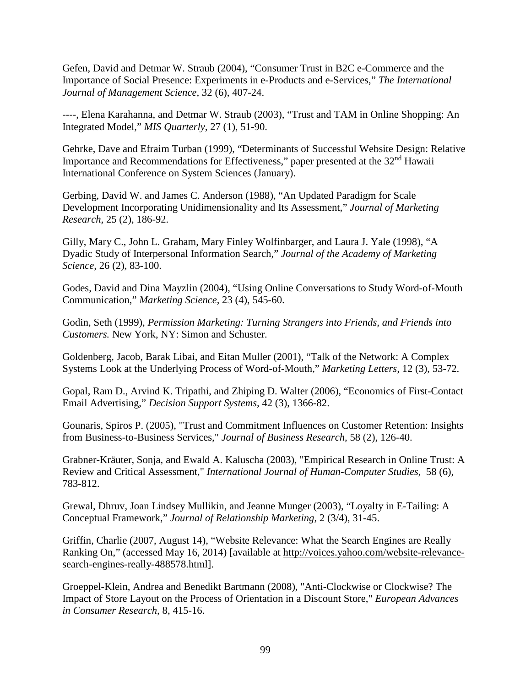Gefen, David and Detmar W. Straub (2004), "Consumer Trust in B2C e-Commerce and the Importance of Social Presence: Experiments in e-Products and e-Services," *The International Journal of Management Science,* 32 (6), 407-24.

----, Elena Karahanna, and Detmar W. Straub (2003), "Trust and TAM in Online Shopping: An Integrated Model," *MIS Quarterly,* 27 (1), 51-90.

Gehrke, Dave and Efraim Turban (1999), "Determinants of Successful Website Design: Relative Importance and Recommendations for Effectiveness," paper presented at the 32<sup>nd</sup> Hawaii International Conference on System Sciences (January).

Gerbing, David W. and James C. Anderson (1988), "An Updated Paradigm for Scale Development Incorporating Unidimensionality and Its Assessment," *Journal of Marketing Research,* 25 (2), 186-92.

Gilly, Mary C., John L. Graham, Mary Finley Wolfinbarger, and Laura J. Yale (1998), "A Dyadic Study of Interpersonal Information Search," *Journal of the Academy of Marketing Science,* 26 (2), 83-100.

Godes, David and Dina Mayzlin (2004), "Using Online Conversations to Study Word-of-Mouth Communication," *Marketing Science,* 23 (4), 545-60.

Godin, Seth (1999), *Permission Marketing: Turning Strangers into Friends, and Friends into Customers.* New York, NY: Simon and Schuster.

Goldenberg, Jacob, Barak Libai, and Eitan Muller (2001), "Talk of the Network: A Complex Systems Look at the Underlying Process of Word-of-Mouth," *Marketing Letters,* 12 (3), 53-72.

Gopal, Ram D., Arvind K. Tripathi, and Zhiping D. Walter (2006), "Economics of First-Contact Email Advertising," *Decision Support Systems,* 42 (3), 1366-82.

Gounaris, Spiros P. (2005), "Trust and Commitment Influences on Customer Retention: Insights from Business-to-Business Services," *Journal of Business Research,* 58 (2), 126-40.

Grabner-Kräuter, Sonja, and Ewald A. Kaluscha (2003), "Empirical Research in Online Trust: A Review and Critical Assessment," *International Journal of Human-Computer Studies,* 58 (6), 783-812.

Grewal, Dhruv, Joan Lindsey Mullikin, and Jeanne Munger (2003), "Loyalty in E-Tailing: A Conceptual Framework," *Journal of Relationship Marketing,* 2 (3/4), 31-45.

Griffin, Charlie (2007, August 14), "Website Relevance: What the Search Engines are Really Ranking On," (accessed May 16, 2014) [available at http://voices.yahoo.com/website-relevancesearch-engines-really-488578.html].

Groeppel-Klein, Andrea and Benedikt Bartmann (2008), "Anti-Clockwise or Clockwise? The Impact of Store Layout on the Process of Orientation in a Discount Store," *European Advances in Consumer Research,* 8, 415-16.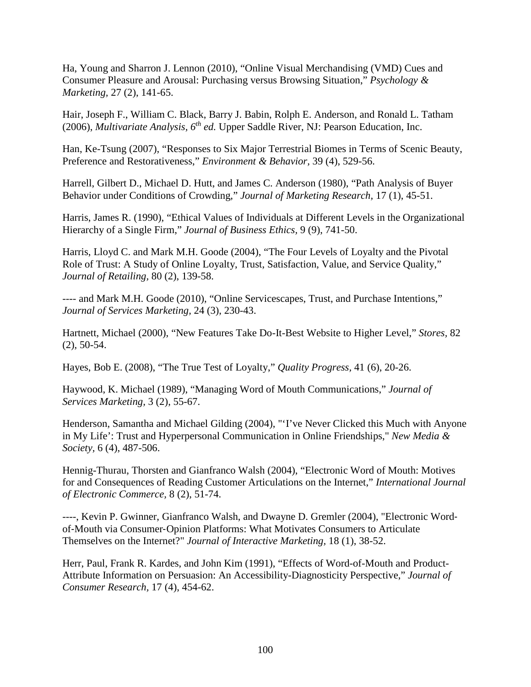Ha, Young and Sharron J. Lennon (2010), "Online Visual Merchandising (VMD) Cues and Consumer Pleasure and Arousal: Purchasing versus Browsing Situation," *Psychology & Marketing,* 27 (2), 141-65.

Hair, Joseph F., William C. Black, Barry J. Babin, Rolph E. Anderson, and Ronald L. Tatham (2006), *Multivariate Analysis, 6th ed.* Upper Saddle River, NJ: Pearson Education, Inc.

Han, Ke-Tsung (2007), "Responses to Six Major Terrestrial Biomes in Terms of Scenic Beauty, Preference and Restorativeness," *Environment & Behavior,* 39 (4), 529-56.

Harrell, Gilbert D., Michael D. Hutt, and James C. Anderson (1980), "Path Analysis of Buyer Behavior under Conditions of Crowding," *Journal of Marketing Research,* 17 (1), 45-51.

Harris, James R. (1990), "Ethical Values of Individuals at Different Levels in the Organizational Hierarchy of a Single Firm," *Journal of Business Ethics,* 9 (9), 741-50.

Harris, Lloyd C. and Mark M.H. Goode (2004), "The Four Levels of Loyalty and the Pivotal Role of Trust: A Study of Online Loyalty, Trust, Satisfaction, Value, and Service Quality," *Journal of Retailing,* 80 (2), 139-58.

---- and Mark M.H. Goode (2010), "Online Servicescapes, Trust, and Purchase Intentions," *Journal of Services Marketing,* 24 (3), 230-43.

Hartnett, Michael (2000), "New Features Take Do-It-Best Website to Higher Level," *Stores,* 82 (2), 50-54.

Hayes, Bob E. (2008), "The True Test of Loyalty," *Quality Progress,* 41 (6), 20-26.

Haywood, K. Michael (1989), "Managing Word of Mouth Communications," *Journal of Services Marketing,* 3 (2), 55-67.

Henderson, Samantha and Michael Gilding (2004), "'I've Never Clicked this Much with Anyone in My Life': Trust and Hyperpersonal Communication in Online Friendships," *New Media & Society,* 6 (4), 487-506.

Hennig-Thurau, Thorsten and Gianfranco Walsh (2004), "Electronic Word of Mouth: Motives for and Consequences of Reading Customer Articulations on the Internet," *International Journal of Electronic Commerce,* 8 (2), 51-74.

----, Kevin P. Gwinner, Gianfranco Walsh, and Dwayne D. Gremler (2004), "Electronic Word‐ of‐Mouth via Consumer‐Opinion Platforms: What Motivates Consumers to Articulate Themselves on the Internet?" *Journal of Interactive Marketing,* 18 (1), 38-52.

Herr, Paul, Frank R. Kardes, and John Kim (1991), "Effects of Word-of-Mouth and Product-Attribute Information on Persuasion: An Accessibility-Diagnosticity Perspective," *Journal of Consumer Research,* 17 (4), 454-62.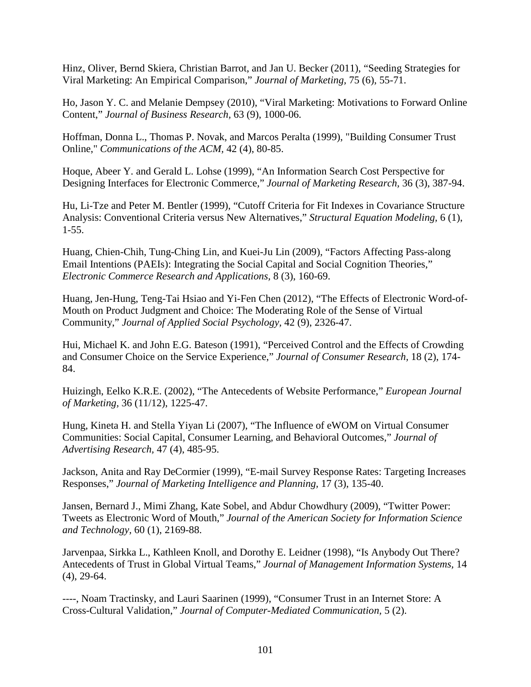Hinz, Oliver, Bernd Skiera, Christian Barrot, and Jan U. Becker (2011), "Seeding Strategies for Viral Marketing: An Empirical Comparison," *Journal of Marketing,* 75 (6), 55-71.

Ho, Jason Y. C. and Melanie Dempsey (2010), "Viral Marketing: Motivations to Forward Online Content," *Journal of Business Research,* 63 (9), 1000-06.

Hoffman, Donna L., Thomas P. Novak, and Marcos Peralta (1999), "Building Consumer Trust Online," *Communications of the ACM,* 42 (4), 80-85.

Hoque, Abeer Y. and Gerald L. Lohse (1999), "An Information Search Cost Perspective for Designing Interfaces for Electronic Commerce," *Journal of Marketing Research,* 36 (3), 387-94.

Hu, Li-Tze and Peter M. Bentler (1999), "Cutoff Criteria for Fit Indexes in Covariance Structure Analysis: Conventional Criteria versus New Alternatives," *Structural Equation Modeling,* 6 (1), 1-55.

Huang, Chien-Chih, Tung-Ching Lin, and Kuei-Ju Lin (2009), "Factors Affecting Pass-along Email Intentions (PAEIs): Integrating the Social Capital and Social Cognition Theories," *Electronic Commerce Research and Applications,* 8 (3), 160-69.

Huang, Jen-Hung, Teng-Tai Hsiao and Yi-Fen Chen (2012), "The Effects of Electronic Word-of-Mouth on Product Judgment and Choice: The Moderating Role of the Sense of Virtual Community," *Journal of Applied Social Psychology,* 42 (9), 2326-47.

Hui, Michael K. and John E.G. Bateson (1991), "Perceived Control and the Effects of Crowding and Consumer Choice on the Service Experience," *Journal of Consumer Research,* 18 (2), 174- 84.

Huizingh, Eelko K.R.E. (2002), "The Antecedents of Website Performance," *European Journal of Marketing,* 36 (11/12), 1225-47.

Hung, Kineta H. and Stella Yiyan Li (2007), "The Influence of eWOM on Virtual Consumer Communities: Social Capital, Consumer Learning, and Behavioral Outcomes," *Journal of Advertising Research,* 47 (4), 485-95.

Jackson, Anita and Ray DeCormier (1999), "E-mail Survey Response Rates: Targeting Increases Responses," *Journal of Marketing Intelligence and Planning,* 17 (3), 135-40.

Jansen, Bernard J., Mimi Zhang, Kate Sobel, and Abdur Chowdhury (2009), "Twitter Power: Tweets as Electronic Word of Mouth," *Journal of the American Society for Information Science and Technology,* 60 (1), 2169-88.

Jarvenpaa, Sirkka L., Kathleen Knoll, and Dorothy E. Leidner (1998), "Is Anybody Out There? Antecedents of Trust in Global Virtual Teams," *Journal of Management Information Systems,* 14 (4), 29-64.

----, Noam Tractinsky, and Lauri Saarinen (1999), "Consumer Trust in an Internet Store: A Cross-Cultural Validation," *Journal of Computer-Mediated Communication,* 5 (2).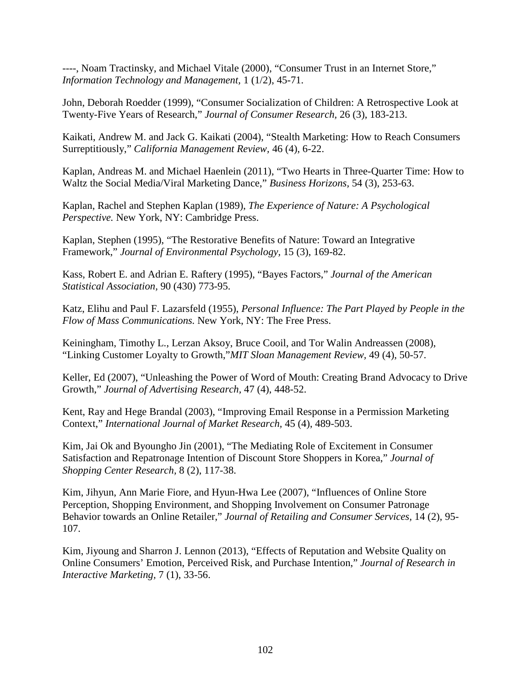----, Noam Tractinsky, and Michael Vitale (2000), "Consumer Trust in an Internet Store," *Information Technology and Management,* 1 (1/2), 45-71.

John, Deborah Roedder (1999), "Consumer Socialization of Children: A Retrospective Look at Twenty-Five Years of Research," *Journal of Consumer Research,* 26 (3), 183-213.

Kaikati, Andrew M. and Jack G. Kaikati (2004), "Stealth Marketing: How to Reach Consumers Surreptitiously," *California Management Review,* 46 (4), 6-22.

Kaplan, Andreas M. and Michael Haenlein (2011), "Two Hearts in Three-Quarter Time: How to Waltz the Social Media/Viral Marketing Dance," *Business Horizons,* 54 (3), 253-63.

Kaplan, Rachel and Stephen Kaplan (1989), *The Experience of Nature: A Psychological Perspective.* New York, NY: Cambridge Press.

Kaplan, Stephen (1995), "The Restorative Benefits of Nature: Toward an Integrative Framework," *Journal of Environmental Psychology,* 15 (3), 169-82.

Kass, Robert E. and Adrian E. Raftery (1995), "Bayes Factors," *Journal of the American Statistical Association,* 90 (430) 773-95.

Katz, Elihu and Paul F. Lazarsfeld (1955), *Personal Influence: The Part Played by People in the Flow of Mass Communications.* New York, NY: The Free Press.

Keiningham, Timothy L., Lerzan Aksoy, Bruce Cooil, and Tor Walin Andreassen (2008), "Linking Customer Loyalty to Growth,"*MIT Sloan Management Review,* 49 (4), 50-57.

Keller, Ed (2007), "Unleashing the Power of Word of Mouth: Creating Brand Advocacy to Drive Growth," *Journal of Advertising Research,* 47 (4), 448-52.

Kent, Ray and Hege Brandal (2003), "Improving Email Response in a Permission Marketing Context," *International Journal of Market Research,* 45 (4), 489-503.

Kim, Jai Ok and Byoungho Jin (2001), "The Mediating Role of Excitement in Consumer Satisfaction and Repatronage Intention of Discount Store Shoppers in Korea," *Journal of Shopping Center Research,* 8 (2), 117-38.

Kim, Jihyun, Ann Marie Fiore, and Hyun-Hwa Lee (2007), "Influences of Online Store Perception, Shopping Environment, and Shopping Involvement on Consumer Patronage Behavior towards an Online Retailer," *Journal of Retailing and Consumer Services,* 14 (2), 95- 107.

Kim, Jiyoung and Sharron J. Lennon (2013), "Effects of Reputation and Website Quality on Online Consumers' Emotion, Perceived Risk, and Purchase Intention," *Journal of Research in Interactive Marketing,* 7 (1), 33-56.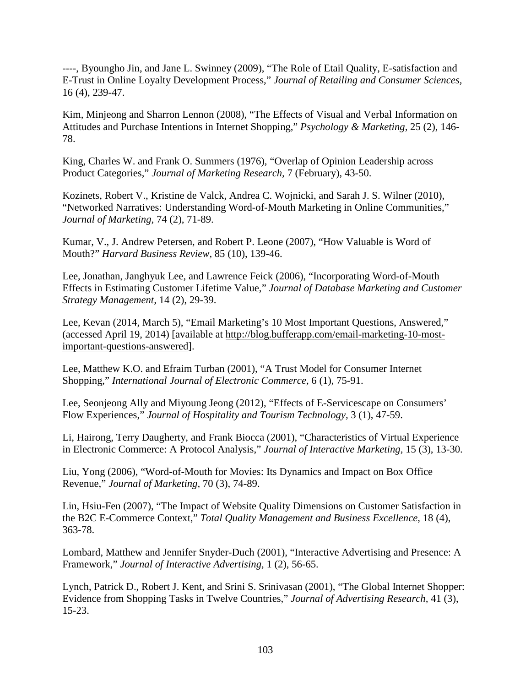----, Byoungho Jin, and Jane L. Swinney (2009), "The Role of Etail Quality, E-satisfaction and E-Trust in Online Loyalty Development Process," *Journal of Retailing and Consumer Sciences,*  16 (4), 239-47.

Kim, Minjeong and Sharron Lennon (2008), "The Effects of Visual and Verbal Information on Attitudes and Purchase Intentions in Internet Shopping," *Psychology & Marketing,* 25 (2), 146- 78.

King, Charles W. and Frank O. Summers (1976), "Overlap of Opinion Leadership across Product Categories," *Journal of Marketing Research,* 7 (February), 43-50.

Kozinets, Robert V., Kristine de Valck, Andrea C. Wojnicki, and Sarah J. S. Wilner (2010), "Networked Narratives: Understanding Word-of-Mouth Marketing in Online Communities," *Journal of Marketing,* 74 (2), 71-89.

Kumar, V., J. Andrew Petersen, and Robert P. Leone (2007), "How Valuable is Word of Mouth?" *Harvard Business Review,* 85 (10), 139-46.

Lee, Jonathan, Janghyuk Lee, and Lawrence Feick (2006), "Incorporating Word-of-Mouth Effects in Estimating Customer Lifetime Value," *Journal of Database Marketing and Customer Strategy Management,* 14 (2), 29-39.

Lee, Kevan (2014, March 5), "Email Marketing's 10 Most Important Questions, Answered," (accessed April 19, 2014) [available at http://blog.bufferapp.com/email-marketing-10-mostimportant-questions-answered].

Lee, Matthew K.O. and Efraim Turban (2001), "A Trust Model for Consumer Internet Shopping," *International Journal of Electronic Commerce,* 6 (1), 75-91.

Lee, Seonjeong Ally and Miyoung Jeong (2012), "Effects of E-Servicescape on Consumers' Flow Experiences," *Journal of Hospitality and Tourism Technology,* 3 (1), 47-59.

Li, Hairong, Terry Daugherty, and Frank Biocca (2001), "Characteristics of Virtual Experience in Electronic Commerce: A Protocol Analysis," *Journal of Interactive Marketing,* 15 (3), 13-30.

Liu, Yong (2006), "Word-of-Mouth for Movies: Its Dynamics and Impact on Box Office Revenue," *Journal of Marketing,* 70 (3), 74-89.

Lin, Hsiu-Fen (2007), "The Impact of Website Quality Dimensions on Customer Satisfaction in the B2C E-Commerce Context," *Total Quality Management and Business Excellence,* 18 (4), 363-78.

Lombard, Matthew and Jennifer Snyder-Duch (2001), "Interactive Advertising and Presence: A Framework," *Journal of Interactive Advertising,* 1 (2), 56-65.

Lynch, Patrick D., Robert J. Kent, and Srini S. Srinivasan (2001), "The Global Internet Shopper: Evidence from Shopping Tasks in Twelve Countries," *Journal of Advertising Research,* 41 (3), 15-23.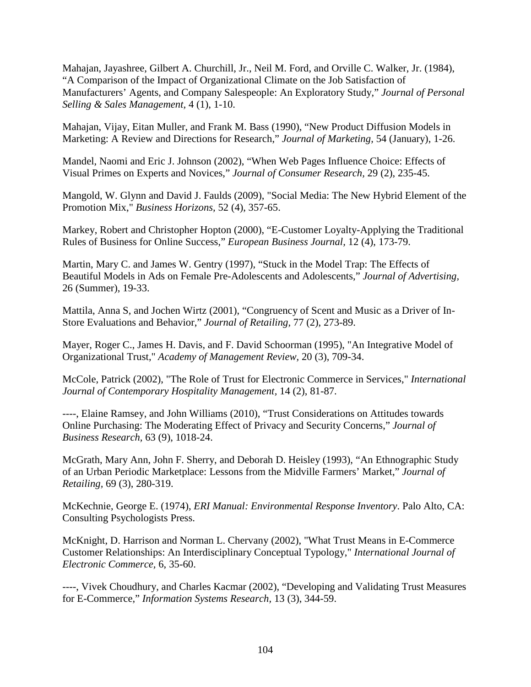Mahajan, Jayashree, Gilbert A. Churchill, Jr., Neil M. Ford, and Orville C. Walker, Jr. (1984), "A Comparison of the Impact of Organizational Climate on the Job Satisfaction of Manufacturers' Agents, and Company Salespeople: An Exploratory Study," *Journal of Personal Selling & Sales Management,* 4 (1), 1-10.

Mahajan, Vijay, Eitan Muller, and Frank M. Bass (1990), "New Product Diffusion Models in Marketing: A Review and Directions for Research," *Journal of Marketing,* 54 (January), 1-26.

Mandel, Naomi and Eric J. Johnson (2002), "When Web Pages Influence Choice: Effects of Visual Primes on Experts and Novices," *Journal of Consumer Research,* 29 (2), 235-45.

Mangold, W. Glynn and David J. Faulds (2009), "Social Media: The New Hybrid Element of the Promotion Mix," *Business Horizons,* 52 (4), 357-65.

Markey, Robert and Christopher Hopton (2000), "E-Customer Loyalty-Applying the Traditional Rules of Business for Online Success," *European Business Journal,* 12 (4), 173-79.

Martin, Mary C. and James W. Gentry (1997), "Stuck in the Model Trap: The Effects of Beautiful Models in Ads on Female Pre-Adolescents and Adolescents," *Journal of Advertising,*  26 (Summer), 19-33.

Mattila, Anna S, and Jochen Wirtz (2001), "Congruency of Scent and Music as a Driver of In-Store Evaluations and Behavior," *Journal of Retailing,* 77 (2), 273-89.

Mayer, Roger C., James H. Davis, and F. David Schoorman (1995), "An Integrative Model of Organizational Trust," *Academy of Management Review,* 20 (3), 709-34.

McCole, Patrick (2002), "The Role of Trust for Electronic Commerce in Services," *International Journal of Contemporary Hospitality Management,* 14 (2), 81-87.

----, Elaine Ramsey, and John Williams (2010), "Trust Considerations on Attitudes towards Online Purchasing: The Moderating Effect of Privacy and Security Concerns," *Journal of Business Research,* 63 (9), 1018-24.

McGrath, Mary Ann, John F. Sherry, and Deborah D. Heisley (1993), "An Ethnographic Study of an Urban Periodic Marketplace: Lessons from the Midville Farmers' Market," *Journal of Retailing,* 69 (3), 280-319.

McKechnie, George E. (1974), *ERI Manual: Environmental Response Inventory*. Palo Alto, CA: Consulting Psychologists Press.

McKnight, D. Harrison and Norman L. Chervany (2002), "What Trust Means in E-Commerce Customer Relationships: An Interdisciplinary Conceptual Typology," *International Journal of Electronic Commerce,* 6, 35-60.

----, Vivek Choudhury, and Charles Kacmar (2002), "Developing and Validating Trust Measures for E-Commerce," *Information Systems Research,* 13 (3), 344-59.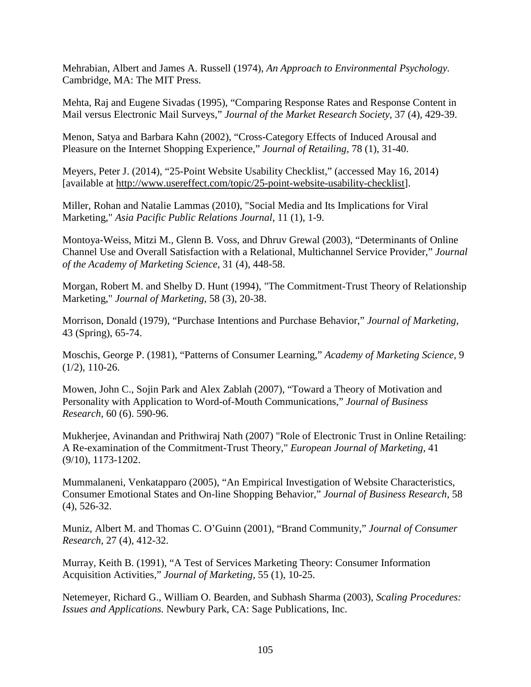Mehrabian, Albert and James A. Russell (1974), *An Approach to Environmental Psychology.*  Cambridge, MA: The MIT Press.

Mehta, Raj and Eugene Sivadas (1995), "Comparing Response Rates and Response Content in Mail versus Electronic Mail Surveys," *Journal of the Market Research Society,* 37 (4), 429-39.

Menon, Satya and Barbara Kahn (2002), "Cross-Category Effects of Induced Arousal and Pleasure on the Internet Shopping Experience," *Journal of Retailing,* 78 (1), 31-40.

Meyers, Peter J. (2014), "25-Point Website Usability Checklist," (accessed May 16, 2014) [available at http://www.usereffect.com/topic/25-point-website-usability-checklist].

Miller, Rohan and Natalie Lammas (2010), "Social Media and Its Implications for Viral Marketing," *Asia Pacific Public Relations Journal,* 11 (1), 1-9.

Montoya-Weiss, Mitzi M., Glenn B. Voss, and Dhruv Grewal (2003), "Determinants of Online Channel Use and Overall Satisfaction with a Relational, Multichannel Service Provider," *Journal of the Academy of Marketing Science,* 31 (4), 448-58.

Morgan, Robert M. and Shelby D. Hunt (1994), "The Commitment-Trust Theory of Relationship Marketing," *Journal of Marketing,* 58 (3), 20-38.

Morrison, Donald (1979), "Purchase Intentions and Purchase Behavior," *Journal of Marketing,*  43 (Spring), 65-74.

Moschis, George P. (1981), "Patterns of Consumer Learning," *Academy of Marketing Science,* 9 (1/2), 110-26.

Mowen, John C., Sojin Park and Alex Zablah (2007), "Toward a Theory of Motivation and Personality with Application to Word-of-Mouth Communications," *Journal of Business Research,* 60 (6). 590-96.

Mukherjee, Avinandan and Prithwiraj Nath (2007) "Role of Electronic Trust in Online Retailing: A Re-examination of the Commitment-Trust Theory," *European Journal of Marketing,* 41 (9/10), 1173-1202.

Mummalaneni, Venkatapparo (2005), "An Empirical Investigation of Website Characteristics, Consumer Emotional States and On-line Shopping Behavior," *Journal of Business Research,* 58 (4), 526-32.

Muniz, Albert M. and Thomas C. O'Guinn (2001), "Brand Community," *Journal of Consumer Research,* 27 (4), 412-32.

Murray, Keith B. (1991), "A Test of Services Marketing Theory: Consumer Information Acquisition Activities," *Journal of Marketing,* 55 (1), 10-25.

Netemeyer, Richard G., William O. Bearden, and Subhash Sharma (2003), *Scaling Procedures: Issues and Applications.* Newbury Park, CA: Sage Publications, Inc.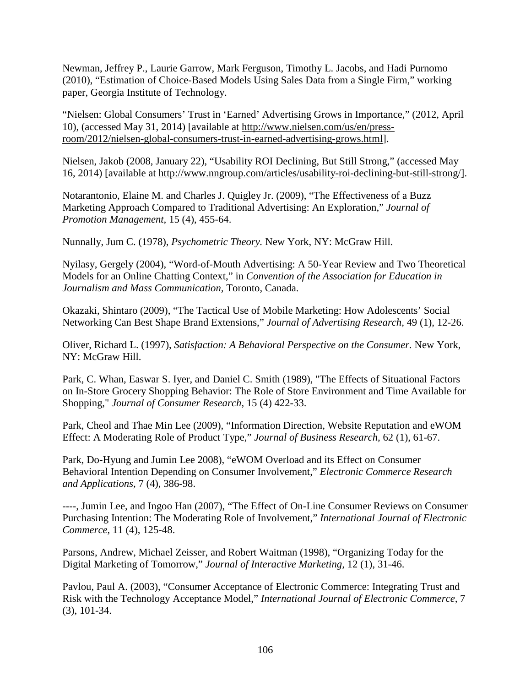Newman, Jeffrey P., Laurie Garrow, Mark Ferguson, Timothy L. Jacobs, and Hadi Purnomo (2010), "Estimation of Choice-Based Models Using Sales Data from a Single Firm," working paper, Georgia Institute of Technology.

"Nielsen: Global Consumers' Trust in 'Earned' Advertising Grows in Importance," (2012, April 10), (accessed May 31, 2014) [available at http://www.nielsen.com/us/en/pressroom/2012/nielsen-global-consumers-trust-in-earned-advertising-grows.html].

Nielsen, Jakob (2008, January 22), "Usability ROI Declining, But Still Strong," (accessed May 16, 2014) [available at http://www.nngroup.com/articles/usability-roi-declining-but-still-strong/].

Notarantonio, Elaine M. and Charles J. Quigley Jr. (2009), "The Effectiveness of a Buzz Marketing Approach Compared to Traditional Advertising: An Exploration," *Journal of Promotion Management,* 15 (4), 455-64.

Nunnally, Jum C. (1978), *Psychometric Theory.* New York, NY: McGraw Hill.

Nyilasy, Gergely (2004), "Word-of-Mouth Advertising: A 50-Year Review and Two Theoretical Models for an Online Chatting Context," in *Convention of the Association for Education in Journalism and Mass Communication,* Toronto, Canada.

Okazaki, Shintaro (2009), "The Tactical Use of Mobile Marketing: How Adolescents' Social Networking Can Best Shape Brand Extensions," *Journal of Advertising Research,* 49 (1), 12-26.

Oliver, Richard L. (1997), *Satisfaction: A Behavioral Perspective on the Consumer.* New York, NY: McGraw Hill.

Park, C. Whan, Easwar S. Iyer, and Daniel C. Smith (1989), "The Effects of Situational Factors on In-Store Grocery Shopping Behavior: The Role of Store Environment and Time Available for Shopping," *Journal of Consumer Research*, 15 (4) 422-33.

Park, Cheol and Thae Min Lee (2009), "Information Direction, Website Reputation and eWOM Effect: A Moderating Role of Product Type," *Journal of Business Research,* 62 (1), 61-67.

Park, Do-Hyung and Jumin Lee 2008), "eWOM Overload and its Effect on Consumer Behavioral Intention Depending on Consumer Involvement," *Electronic Commerce Research and Applications,* 7 (4), 386-98.

----, Jumin Lee, and Ingoo Han (2007), "The Effect of On-Line Consumer Reviews on Consumer Purchasing Intention: The Moderating Role of Involvement," *International Journal of Electronic Commerce,* 11 (4), 125-48.

Parsons, Andrew, Michael Zeisser, and Robert Waitman (1998), "Organizing Today for the Digital Marketing of Tomorrow," *Journal of Interactive Marketing,* 12 (1), 31-46.

Pavlou, Paul A. (2003), "Consumer Acceptance of Electronic Commerce: Integrating Trust and Risk with the Technology Acceptance Model," *International Journal of Electronic Commerce,* 7 (3), 101-34.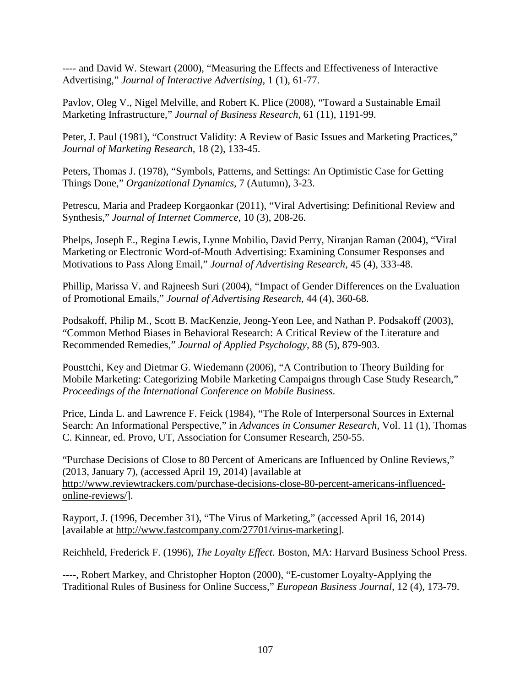---- and David W. Stewart (2000), "Measuring the Effects and Effectiveness of Interactive Advertising," *Journal of Interactive Advertising,* 1 (1), 61-77.

Pavlov, Oleg V., Nigel Melville, and Robert K. Plice (2008), "Toward a Sustainable Email Marketing Infrastructure," *Journal of Business Research,* 61 (11), 1191-99.

Peter, J. Paul (1981), "Construct Validity: A Review of Basic Issues and Marketing Practices," *Journal of Marketing Research,* 18 (2), 133-45.

Peters, Thomas J. (1978), "Symbols, Patterns, and Settings: An Optimistic Case for Getting Things Done," *Organizational Dynamics,* 7 (Autumn), 3-23.

Petrescu, Maria and Pradeep Korgaonkar (2011), "Viral Advertising: Definitional Review and Synthesis," *Journal of Internet Commerce,* 10 (3), 208-26.

Phelps, Joseph E., Regina Lewis, Lynne Mobilio, David Perry, Niranjan Raman (2004), "Viral Marketing or Electronic Word-of-Mouth Advertising: Examining Consumer Responses and Motivations to Pass Along Email," *Journal of Advertising Research,* 45 (4), 333-48.

Phillip, Marissa V. and Rajneesh Suri (2004), "Impact of Gender Differences on the Evaluation of Promotional Emails," *Journal of Advertising Research,* 44 (4), 360-68.

Podsakoff, Philip M., Scott B. MacKenzie, Jeong-Yeon Lee, and Nathan P. Podsakoff (2003), "Common Method Biases in Behavioral Research: A Critical Review of the Literature and Recommended Remedies," *Journal of Applied Psychology,* 88 (5), 879-903.

Pousttchi, Key and Dietmar G. Wiedemann (2006), "A Contribution to Theory Building for Mobile Marketing: Categorizing Mobile Marketing Campaigns through Case Study Research," *Proceedings of the International Conference on Mobile Business*.

Price, Linda L. and Lawrence F. Feick (1984), "The Role of Interpersonal Sources in External Search: An Informational Perspective," in *Advances in Consumer Research,* Vol. 11 (1), Thomas C. Kinnear, ed. Provo, UT, Association for Consumer Research, 250-55.

"Purchase Decisions of Close to 80 Percent of Americans are Influenced by Online Reviews," (2013, January 7), (accessed April 19, 2014) [available at http://www.reviewtrackers.com/purchase-decisions-close-80-percent-americans-influencedonline-reviews/].

Rayport, J. (1996, December 31), "The Virus of Marketing," (accessed April 16, 2014) [available at http://www.fastcompany.com/27701/virus-marketing].

Reichheld, Frederick F. (1996), *The Loyalty Effect.* Boston, MA: Harvard Business School Press.

----, Robert Markey, and Christopher Hopton (2000), "E-customer Loyalty-Applying the Traditional Rules of Business for Online Success," *European Business Journal,* 12 (4), 173-79.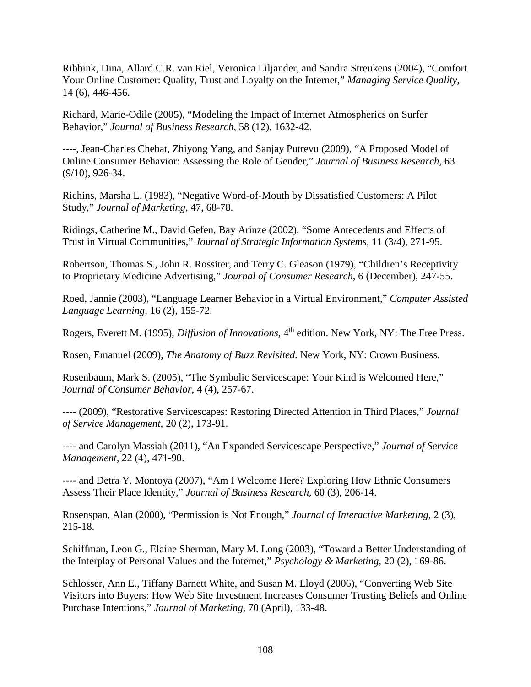Ribbink, Dina, Allard C.R. van Riel, Veronica Liljander, and Sandra Streukens (2004), "Comfort Your Online Customer: Quality, Trust and Loyalty on the Internet," *Managing Service Quality,*  14 (6), 446-456.

Richard, Marie-Odile (2005), "Modeling the Impact of Internet Atmospherics on Surfer Behavior," *Journal of Business Research,* 58 (12), 1632-42.

----, Jean-Charles Chebat, Zhiyong Yang, and Sanjay Putrevu (2009), "A Proposed Model of Online Consumer Behavior: Assessing the Role of Gender," *Journal of Business Research,* 63 (9/10), 926-34.

Richins, Marsha L. (1983), "Negative Word-of-Mouth by Dissatisfied Customers: A Pilot Study," *Journal of Marketing,* 47, 68-78.

Ridings, Catherine M., David Gefen, Bay Arinze (2002), "Some Antecedents and Effects of Trust in Virtual Communities," *Journal of Strategic Information Systems,* 11 (3/4), 271-95.

Robertson, Thomas S., John R. Rossiter, and Terry C. Gleason (1979), "Children's Receptivity to Proprietary Medicine Advertising," *Journal of Consumer Research,* 6 (December), 247-55.

Roed, Jannie (2003), "Language Learner Behavior in a Virtual Environment," *Computer Assisted Language Learning,* 16 (2), 155-72.

Rogers, Everett M. (1995), *Diffusion of Innovations*, 4<sup>th</sup> edition. New York, NY: The Free Press.

Rosen, Emanuel (2009), *The Anatomy of Buzz Revisited.* New York, NY: Crown Business.

Rosenbaum, Mark S. (2005), "The Symbolic Servicescape: Your Kind is Welcomed Here," *Journal of Consumer Behavior,* 4 (4), 257-67.

---- (2009), "Restorative Servicescapes: Restoring Directed Attention in Third Places," *Journal of Service Management,* 20 (2), 173-91.

---- and Carolyn Massiah (2011), "An Expanded Servicescape Perspective," *Journal of Service Management,* 22 (4), 471-90.

---- and Detra Y. Montoya (2007), "Am I Welcome Here? Exploring How Ethnic Consumers Assess Their Place Identity," *Journal of Business Research,* 60 (3), 206-14.

Rosenspan, Alan (2000), "Permission is Not Enough," *Journal of Interactive Marketing,* 2 (3), 215-18.

Schiffman, Leon G., Elaine Sherman, Mary M. Long (2003), "Toward a Better Understanding of the Interplay of Personal Values and the Internet," *Psychology & Marketing,* 20 (2), 169-86.

Schlosser, Ann E., Tiffany Barnett White, and Susan M. Lloyd (2006), "Converting Web Site Visitors into Buyers: How Web Site Investment Increases Consumer Trusting Beliefs and Online Purchase Intentions," *Journal of Marketing,* 70 (April), 133-48.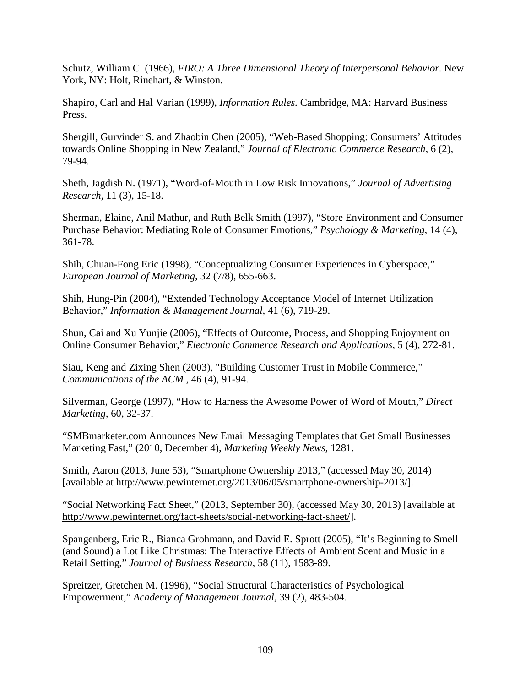Schutz, William C. (1966), *FIRO: A Three Dimensional Theory of Interpersonal Behavior*. New York, NY: Holt, Rinehart, & Winston.

Shapiro, Carl and Hal Varian (1999), *Information Rules.* Cambridge, MA: Harvard Business Press.

Shergill, Gurvinder S. and Zhaobin Chen (2005), "Web-Based Shopping: Consumers' Attitudes towards Online Shopping in New Zealand," *Journal of Electronic Commerce Research,* 6 (2), 79-94.

Sheth, Jagdish N. (1971), "Word-of-Mouth in Low Risk Innovations," *Journal of Advertising Research,* 11 (3), 15-18.

Sherman, Elaine, Anil Mathur, and Ruth Belk Smith (1997), "Store Environment and Consumer Purchase Behavior: Mediating Role of Consumer Emotions," *Psychology & Marketing,* 14 (4), 361-78.

Shih, Chuan-Fong Eric (1998), "Conceptualizing Consumer Experiences in Cyberspace," *European Journal of Marketing,* 32 (7/8), 655-663.

Shih, Hung-Pin (2004), "Extended Technology Acceptance Model of Internet Utilization Behavior," *Information & Management Journal,* 41 (6), 719-29.

Shun, Cai and Xu Yunjie (2006), "Effects of Outcome, Process, and Shopping Enjoyment on Online Consumer Behavior," *Electronic Commerce Research and Applications,* 5 (4), 272-81.

Siau, Keng and Zixing Shen (2003), "Building Customer Trust in Mobile Commerce," *Communications of the ACM* , 46 (4), 91-94.

Silverman, George (1997), "How to Harness the Awesome Power of Word of Mouth," *Direct Marketing,* 60, 32-37.

"SMBmarketer.com Announces New Email Messaging Templates that Get Small Businesses Marketing Fast," (2010, December 4), *Marketing Weekly News,* 1281.

Smith, Aaron (2013, June 53), "Smartphone Ownership 2013," (accessed May 30, 2014) [available at http://www.pewinternet.org/2013/06/05/smartphone-ownership-2013/].

"Social Networking Fact Sheet," (2013, September 30), (accessed May 30, 2013) [available at http://www.pewinternet.org/fact-sheets/social-networking-fact-sheet/].

Spangenberg, Eric R., Bianca Grohmann, and David E. Sprott (2005), "It's Beginning to Smell (and Sound) a Lot Like Christmas: The Interactive Effects of Ambient Scent and Music in a Retail Setting," *Journal of Business Research,* 58 (11), 1583-89.

Spreitzer, Gretchen M. (1996), "Social Structural Characteristics of Psychological Empowerment," *Academy of Management Journal,* 39 (2), 483-504.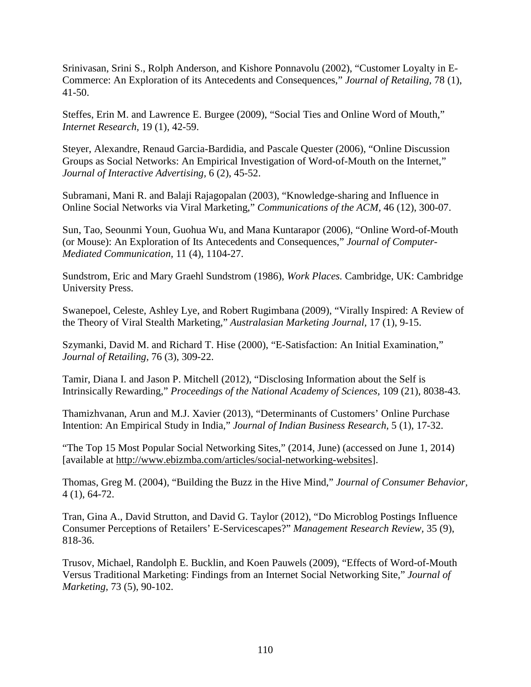Srinivasan, Srini S., Rolph Anderson, and Kishore Ponnavolu (2002), "Customer Loyalty in E-Commerce: An Exploration of its Antecedents and Consequences," *Journal of Retailing,* 78 (1), 41-50.

Steffes, Erin M. and Lawrence E. Burgee (2009), "Social Ties and Online Word of Mouth," *Internet Research,* 19 (1), 42-59.

Steyer, Alexandre, Renaud Garcia-Bardidia, and Pascale Quester (2006), "Online Discussion Groups as Social Networks: An Empirical Investigation of Word-of-Mouth on the Internet," *Journal of Interactive Advertising,* 6 (2), 45-52.

Subramani, Mani R. and Balaji Rajagopalan (2003), "Knowledge-sharing and Influence in Online Social Networks via Viral Marketing," *Communications of the ACM,* 46 (12), 300-07.

Sun, Tao, Seounmi Youn, Guohua Wu, and Mana Kuntarapor (2006), "Online Word-of-Mouth (or Mouse): An Exploration of Its Antecedents and Consequences," *Journal of Computer-Mediated Communication,* 11 (4), 1104-27.

Sundstrom, Eric and Mary Graehl Sundstrom (1986), *Work Places.* Cambridge, UK: Cambridge University Press.

Swanepoel, Celeste, Ashley Lye, and Robert Rugimbana (2009), "Virally Inspired: A Review of the Theory of Viral Stealth Marketing," *Australasian Marketing Journal,* 17 (1), 9-15.

Szymanki, David M. and Richard T. Hise (2000), "E-Satisfaction: An Initial Examination," *Journal of Retailing,* 76 (3), 309-22.

Tamir, Diana I. and Jason P. Mitchell (2012), "Disclosing Information about the Self is Intrinsically Rewarding," *Proceedings of the National Academy of Sciences,* 109 (21), 8038-43.

Thamizhvanan, Arun and M.J. Xavier (2013), "Determinants of Customers' Online Purchase Intention: An Empirical Study in India," *Journal of Indian Business Research,* 5 (1), 17-32.

"The Top 15 Most Popular Social Networking Sites," (2014, June) (accessed on June 1, 2014) [available at http://www.ebizmba.com/articles/social-networking-websites].

Thomas, Greg M. (2004), "Building the Buzz in the Hive Mind," *Journal of Consumer Behavior,*  4 (1), 64-72.

Tran, Gina A., David Strutton, and David G. Taylor (2012), "Do Microblog Postings Influence Consumer Perceptions of Retailers' E-Servicescapes?" *Management Research Review,* 35 (9), 818-36.

Trusov, Michael, Randolph E. Bucklin, and Koen Pauwels (2009), "Effects of Word-of-Mouth Versus Traditional Marketing: Findings from an Internet Social Networking Site," *Journal of Marketing,* 73 (5), 90-102.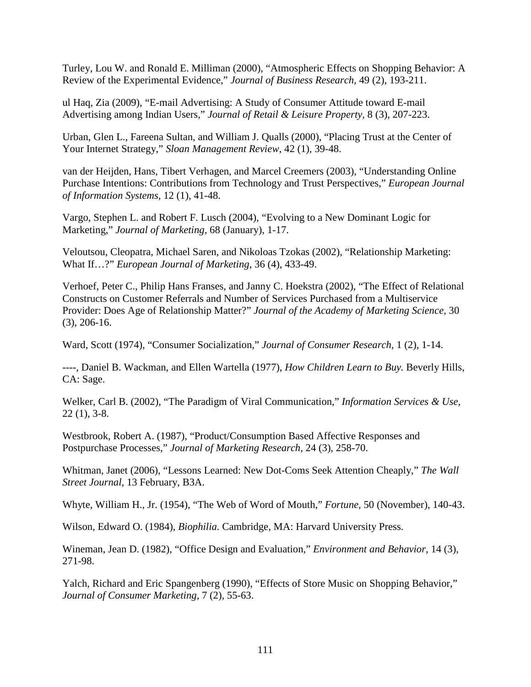Turley, Lou W. and Ronald E. Milliman (2000), "Atmospheric Effects on Shopping Behavior: A Review of the Experimental Evidence," *Journal of Business Research,* 49 (2), 193-211.

ul Haq, Zia (2009), "E-mail Advertising: A Study of Consumer Attitude toward E-mail Advertising among Indian Users," *Journal of Retail & Leisure Property,* 8 (3), 207-223.

Urban, Glen L., Fareena Sultan, and William J. Qualls (2000), "Placing Trust at the Center of Your Internet Strategy," *Sloan Management Review,* 42 (1), 39-48.

van der Heijden, Hans, Tibert Verhagen, and Marcel Creemers (2003), "Understanding Online Purchase Intentions: Contributions from Technology and Trust Perspectives," *European Journal of Information Systems,* 12 (1), 41-48.

Vargo, Stephen L. and Robert F. Lusch (2004), "Evolving to a New Dominant Logic for Marketing," *Journal of Marketing,* 68 (January), 1-17.

Veloutsou, Cleopatra, Michael Saren, and Nikoloas Tzokas (2002), "Relationship Marketing: What If…?" *European Journal of Marketing,* 36 (4), 433-49.

Verhoef, Peter C., Philip Hans Franses, and Janny C. Hoekstra (2002), "The Effect of Relational Constructs on Customer Referrals and Number of Services Purchased from a Multiservice Provider: Does Age of Relationship Matter?" *Journal of the Academy of Marketing Science,* 30 (3), 206-16.

Ward, Scott (1974), "Consumer Socialization," *Journal of Consumer Research,* 1 (2), 1-14.

----, Daniel B. Wackman, and Ellen Wartella (1977), *How Children Learn to Buy.* Beverly Hills, CA: Sage.

Welker, Carl B. (2002), "The Paradigm of Viral Communication," *Information Services & Use,*  22 (1), 3-8.

Westbrook, Robert A. (1987), "Product/Consumption Based Affective Responses and Postpurchase Processes," *Journal of Marketing Research,* 24 (3), 258-70.

Whitman, Janet (2006), "Lessons Learned: New Dot-Coms Seek Attention Cheaply," *The Wall Street Journal,* 13 February, B3A.

Whyte, William H., Jr. (1954), "The Web of Word of Mouth," *Fortune,* 50 (November), 140-43.

Wilson, Edward O. (1984), *Biophilia.* Cambridge, MA: Harvard University Press.

Wineman, Jean D. (1982), "Office Design and Evaluation," *Environment and Behavior,* 14 (3), 271-98.

Yalch, Richard and Eric Spangenberg (1990), "Effects of Store Music on Shopping Behavior," *Journal of Consumer Marketing,* 7 (2), 55-63.